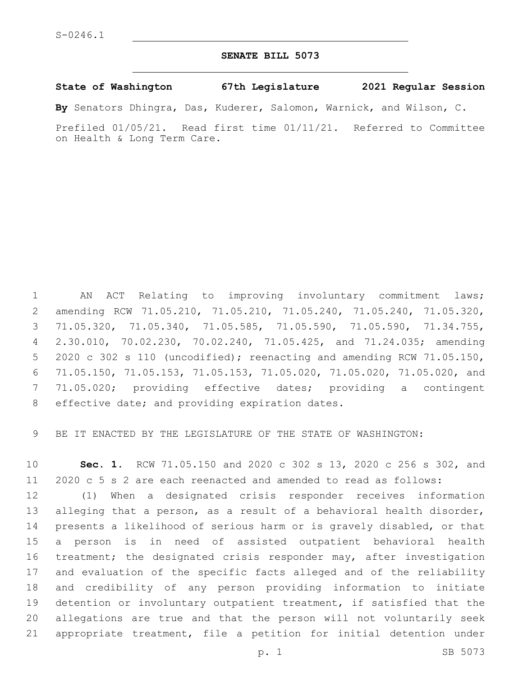## **SENATE BILL 5073**

## **State of Washington 67th Legislature 2021 Regular Session**

**By** Senators Dhingra, Das, Kuderer, Salomon, Warnick, and Wilson, C.

Prefiled 01/05/21. Read first time 01/11/21. Referred to Committee on Health & Long Term Care.

 AN ACT Relating to improving involuntary commitment laws; amending RCW 71.05.210, 71.05.210, 71.05.240, 71.05.240, 71.05.320, 71.05.320, 71.05.340, 71.05.585, 71.05.590, 71.05.590, 71.34.755, 2.30.010, 70.02.230, 70.02.240, 71.05.425, and 71.24.035; amending 2020 c 302 s 110 (uncodified); reenacting and amending RCW 71.05.150, 71.05.150, 71.05.153, 71.05.153, 71.05.020, 71.05.020, 71.05.020, and 71.05.020; providing effective dates; providing a contingent 8 effective date; and providing expiration dates.

BE IT ENACTED BY THE LEGISLATURE OF THE STATE OF WASHINGTON:

 **Sec. 1.** RCW 71.05.150 and 2020 c 302 s 13, 2020 c 256 s 302, and 2020 c 5 s 2 are each reenacted and amended to read as follows:

 (1) When a designated crisis responder receives information alleging that a person, as a result of a behavioral health disorder, presents a likelihood of serious harm or is gravely disabled, or that a person is in need of assisted outpatient behavioral health treatment; the designated crisis responder may, after investigation and evaluation of the specific facts alleged and of the reliability and credibility of any person providing information to initiate detention or involuntary outpatient treatment, if satisfied that the allegations are true and that the person will not voluntarily seek appropriate treatment, file a petition for initial detention under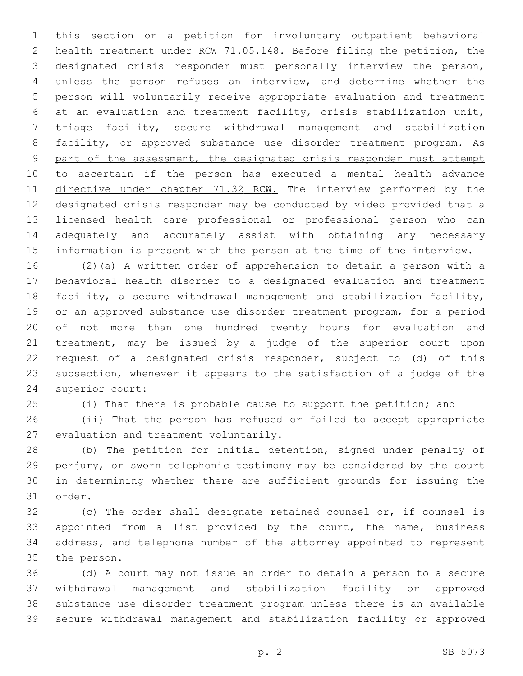this section or a petition for involuntary outpatient behavioral health treatment under RCW 71.05.148. Before filing the petition, the designated crisis responder must personally interview the person, unless the person refuses an interview, and determine whether the person will voluntarily receive appropriate evaluation and treatment at an evaluation and treatment facility, crisis stabilization unit, triage facility, secure withdrawal management and stabilization 8 facility, or approved substance use disorder treatment program. As part of the assessment, the designated crisis responder must attempt to ascertain if the person has executed a mental health advance 11 directive under chapter 71.32 RCW. The interview performed by the designated crisis responder may be conducted by video provided that a licensed health care professional or professional person who can adequately and accurately assist with obtaining any necessary information is present with the person at the time of the interview.

 (2)(a) A written order of apprehension to detain a person with a behavioral health disorder to a designated evaluation and treatment facility, a secure withdrawal management and stabilization facility, or an approved substance use disorder treatment program, for a period of not more than one hundred twenty hours for evaluation and treatment, may be issued by a judge of the superior court upon request of a designated crisis responder, subject to (d) of this subsection, whenever it appears to the satisfaction of a judge of the 24 superior court:

(i) That there is probable cause to support the petition; and

 (ii) That the person has refused or failed to accept appropriate 27 evaluation and treatment voluntarily.

 (b) The petition for initial detention, signed under penalty of perjury, or sworn telephonic testimony may be considered by the court in determining whether there are sufficient grounds for issuing the 31 order.

 (c) The order shall designate retained counsel or, if counsel is appointed from a list provided by the court, the name, business address, and telephone number of the attorney appointed to represent 35 the person.

 (d) A court may not issue an order to detain a person to a secure withdrawal management and stabilization facility or approved substance use disorder treatment program unless there is an available secure withdrawal management and stabilization facility or approved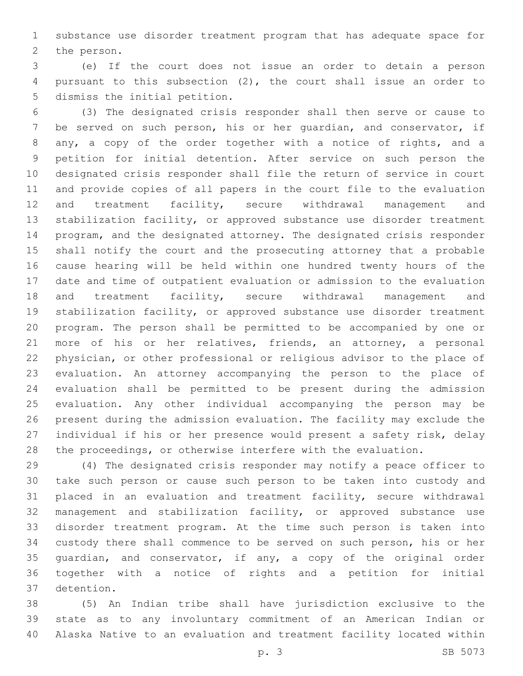substance use disorder treatment program that has adequate space for 2 the person.

 (e) If the court does not issue an order to detain a person pursuant to this subsection (2), the court shall issue an order to 5 dismiss the initial petition.

 (3) The designated crisis responder shall then serve or cause to be served on such person, his or her guardian, and conservator, if any, a copy of the order together with a notice of rights, and a petition for initial detention. After service on such person the designated crisis responder shall file the return of service in court and provide copies of all papers in the court file to the evaluation and treatment facility, secure withdrawal management and stabilization facility, or approved substance use disorder treatment program, and the designated attorney. The designated crisis responder shall notify the court and the prosecuting attorney that a probable cause hearing will be held within one hundred twenty hours of the date and time of outpatient evaluation or admission to the evaluation and treatment facility, secure withdrawal management and stabilization facility, or approved substance use disorder treatment program. The person shall be permitted to be accompanied by one or more of his or her relatives, friends, an attorney, a personal physician, or other professional or religious advisor to the place of evaluation. An attorney accompanying the person to the place of evaluation shall be permitted to be present during the admission evaluation. Any other individual accompanying the person may be present during the admission evaluation. The facility may exclude the individual if his or her presence would present a safety risk, delay the proceedings, or otherwise interfere with the evaluation.

 (4) The designated crisis responder may notify a peace officer to take such person or cause such person to be taken into custody and placed in an evaluation and treatment facility, secure withdrawal management and stabilization facility, or approved substance use disorder treatment program. At the time such person is taken into custody there shall commence to be served on such person, his or her guardian, and conservator, if any, a copy of the original order together with a notice of rights and a petition for initial detention.37

 (5) An Indian tribe shall have jurisdiction exclusive to the state as to any involuntary commitment of an American Indian or Alaska Native to an evaluation and treatment facility located within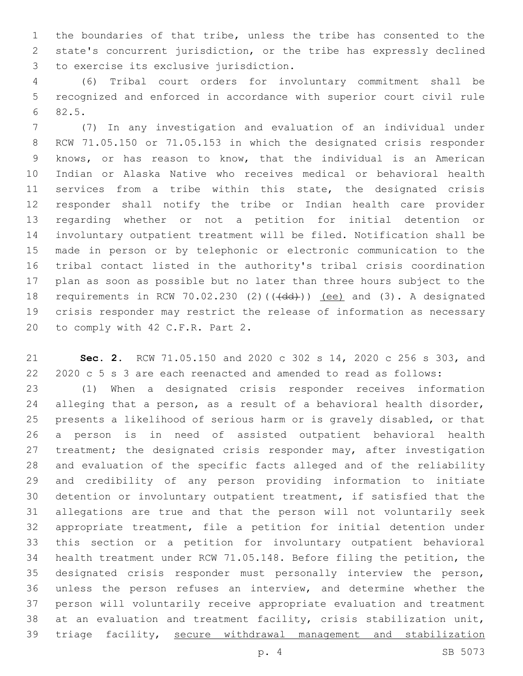the boundaries of that tribe, unless the tribe has consented to the state's concurrent jurisdiction, or the tribe has expressly declined to exercise its exclusive jurisdiction.3

 (6) Tribal court orders for involuntary commitment shall be recognized and enforced in accordance with superior court civil rule 82.5.6

 (7) In any investigation and evaluation of an individual under RCW 71.05.150 or 71.05.153 in which the designated crisis responder knows, or has reason to know, that the individual is an American Indian or Alaska Native who receives medical or behavioral health 11 services from a tribe within this state, the designated crisis responder shall notify the tribe or Indian health care provider regarding whether or not a petition for initial detention or involuntary outpatient treatment will be filed. Notification shall be made in person or by telephonic or electronic communication to the tribal contact listed in the authority's tribal crisis coordination plan as soon as possible but no later than three hours subject to the 18 requirements in RCW 70.02.230 (2)(((dd))) (ee) and (3). A designated crisis responder may restrict the release of information as necessary 20 to comply with 42 C.F.R. Part 2.

 **Sec. 2.** RCW 71.05.150 and 2020 c 302 s 14, 2020 c 256 s 303, and 2020 c 5 s 3 are each reenacted and amended to read as follows: (1) When a designated crisis responder receives information alleging that a person, as a result of a behavioral health disorder, presents a likelihood of serious harm or is gravely disabled, or that a person is in need of assisted outpatient behavioral health 27 treatment; the designated crisis responder may, after investigation and evaluation of the specific facts alleged and of the reliability and credibility of any person providing information to initiate detention or involuntary outpatient treatment, if satisfied that the allegations are true and that the person will not voluntarily seek appropriate treatment, file a petition for initial detention under this section or a petition for involuntary outpatient behavioral health treatment under RCW 71.05.148. Before filing the petition, the designated crisis responder must personally interview the person, unless the person refuses an interview, and determine whether the person will voluntarily receive appropriate evaluation and treatment at an evaluation and treatment facility, crisis stabilization unit, triage facility, secure withdrawal management and stabilization

p. 4 SB 5073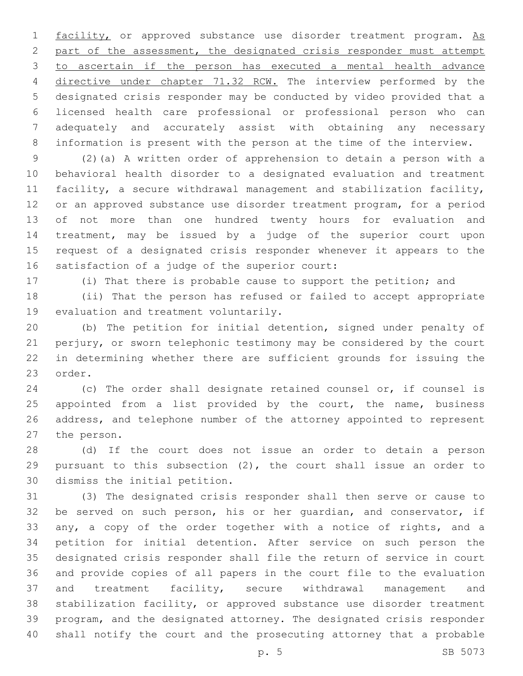1 facility, or approved substance use disorder treatment program. As part of the assessment, the designated crisis responder must attempt to ascertain if the person has executed a mental health advance 4 directive under chapter 71.32 RCW. The interview performed by the designated crisis responder may be conducted by video provided that a licensed health care professional or professional person who can adequately and accurately assist with obtaining any necessary information is present with the person at the time of the interview.

 (2)(a) A written order of apprehension to detain a person with a behavioral health disorder to a designated evaluation and treatment facility, a secure withdrawal management and stabilization facility, or an approved substance use disorder treatment program, for a period of not more than one hundred twenty hours for evaluation and treatment, may be issued by a judge of the superior court upon request of a designated crisis responder whenever it appears to the satisfaction of a judge of the superior court:

(i) That there is probable cause to support the petition; and

 (ii) That the person has refused or failed to accept appropriate 19 evaluation and treatment voluntarily.

 (b) The petition for initial detention, signed under penalty of perjury, or sworn telephonic testimony may be considered by the court in determining whether there are sufficient grounds for issuing the 23 order.

 (c) The order shall designate retained counsel or, if counsel is 25 appointed from a list provided by the court, the name, business address, and telephone number of the attorney appointed to represent 27 the person.

 (d) If the court does not issue an order to detain a person pursuant to this subsection (2), the court shall issue an order to 30 dismiss the initial petition.

 (3) The designated crisis responder shall then serve or cause to be served on such person, his or her guardian, and conservator, if any, a copy of the order together with a notice of rights, and a petition for initial detention. After service on such person the designated crisis responder shall file the return of service in court and provide copies of all papers in the court file to the evaluation 37 and treatment facility, secure withdrawal management and stabilization facility, or approved substance use disorder treatment program, and the designated attorney. The designated crisis responder shall notify the court and the prosecuting attorney that a probable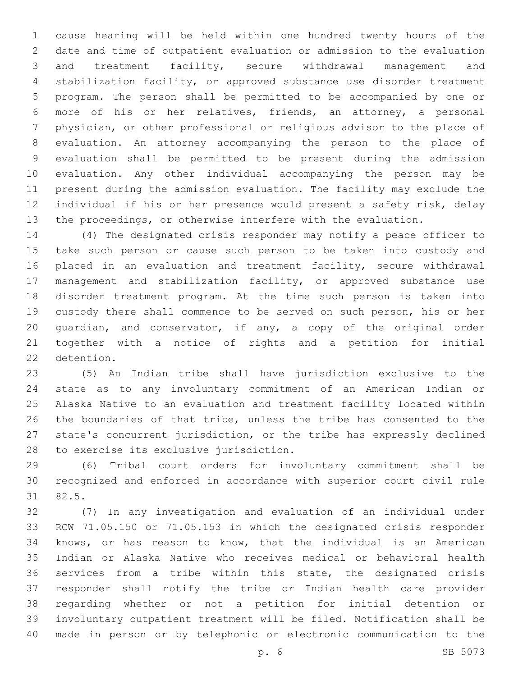cause hearing will be held within one hundred twenty hours of the date and time of outpatient evaluation or admission to the evaluation and treatment facility, secure withdrawal management and stabilization facility, or approved substance use disorder treatment program. The person shall be permitted to be accompanied by one or more of his or her relatives, friends, an attorney, a personal physician, or other professional or religious advisor to the place of evaluation. An attorney accompanying the person to the place of evaluation shall be permitted to be present during the admission evaluation. Any other individual accompanying the person may be present during the admission evaluation. The facility may exclude the individual if his or her presence would present a safety risk, delay the proceedings, or otherwise interfere with the evaluation.

 (4) The designated crisis responder may notify a peace officer to take such person or cause such person to be taken into custody and 16 placed in an evaluation and treatment facility, secure withdrawal management and stabilization facility, or approved substance use disorder treatment program. At the time such person is taken into custody there shall commence to be served on such person, his or her guardian, and conservator, if any, a copy of the original order together with a notice of rights and a petition for initial 22 detention.

 (5) An Indian tribe shall have jurisdiction exclusive to the state as to any involuntary commitment of an American Indian or Alaska Native to an evaluation and treatment facility located within the boundaries of that tribe, unless the tribe has consented to the state's concurrent jurisdiction, or the tribe has expressly declined 28 to exercise its exclusive jurisdiction.

 (6) Tribal court orders for involuntary commitment shall be recognized and enforced in accordance with superior court civil rule 82.5.31

 (7) In any investigation and evaluation of an individual under RCW 71.05.150 or 71.05.153 in which the designated crisis responder knows, or has reason to know, that the individual is an American Indian or Alaska Native who receives medical or behavioral health services from a tribe within this state, the designated crisis responder shall notify the tribe or Indian health care provider regarding whether or not a petition for initial detention or involuntary outpatient treatment will be filed. Notification shall be made in person or by telephonic or electronic communication to the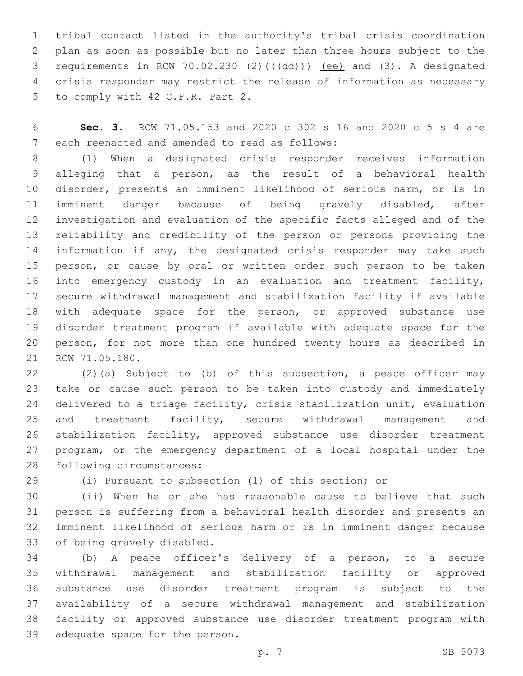tribal contact listed in the authority's tribal crisis coordination plan as soon as possible but no later than three hours subject to the 3 requirements in RCW  $70.02.230$  (2)( $(\overline{+dd})$ )) (ee) and (3). A designated crisis responder may restrict the release of information as necessary 5 to comply with 42 C.F.R. Part 2.

 **Sec. 3.** RCW 71.05.153 and 2020 c 302 s 16 and 2020 c 5 s 4 are 7 each reenacted and amended to read as follows:

 (1) When a designated crisis responder receives information alleging that a person, as the result of a behavioral health disorder, presents an imminent likelihood of serious harm, or is in imminent danger because of being gravely disabled, after investigation and evaluation of the specific facts alleged and of the reliability and credibility of the person or persons providing the 14 information if any, the designated crisis responder may take such 15 person, or cause by oral or written order such person to be taken into emergency custody in an evaluation and treatment facility, secure withdrawal management and stabilization facility if available with adequate space for the person, or approved substance use disorder treatment program if available with adequate space for the person, for not more than one hundred twenty hours as described in 21 RCW 71.05.180.

 (2)(a) Subject to (b) of this subsection, a peace officer may take or cause such person to be taken into custody and immediately delivered to a triage facility, crisis stabilization unit, evaluation 25 and treatment facility, secure withdrawal management and stabilization facility, approved substance use disorder treatment program, or the emergency department of a local hospital under the 28 following circumstances:

(i) Pursuant to subsection (1) of this section; or

 (ii) When he or she has reasonable cause to believe that such person is suffering from a behavioral health disorder and presents an imminent likelihood of serious harm or is in imminent danger because 33 of being gravely disabled.

 (b) A peace officer's delivery of a person, to a secure withdrawal management and stabilization facility or approved substance use disorder treatment program is subject to the availability of a secure withdrawal management and stabilization facility or approved substance use disorder treatment program with 39 adequate space for the person.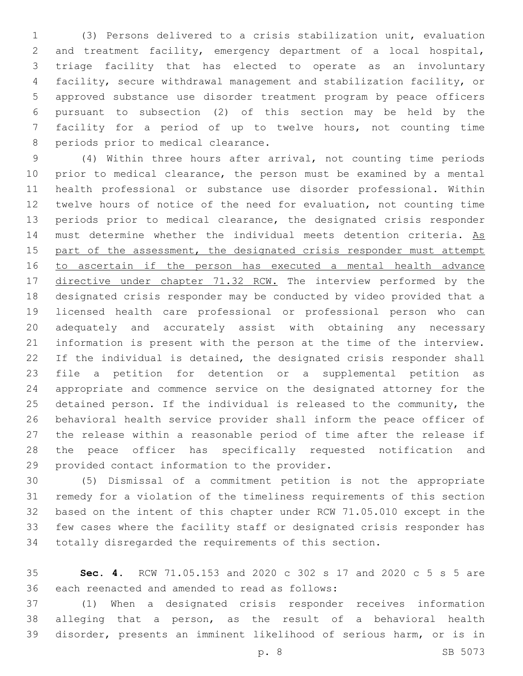(3) Persons delivered to a crisis stabilization unit, evaluation and treatment facility, emergency department of a local hospital, triage facility that has elected to operate as an involuntary facility, secure withdrawal management and stabilization facility, or approved substance use disorder treatment program by peace officers pursuant to subsection (2) of this section may be held by the facility for a period of up to twelve hours, not counting time 8 periods prior to medical clearance.

 (4) Within three hours after arrival, not counting time periods prior to medical clearance, the person must be examined by a mental health professional or substance use disorder professional. Within twelve hours of notice of the need for evaluation, not counting time periods prior to medical clearance, the designated crisis responder 14 must determine whether the individual meets detention criteria. As 15 part of the assessment, the designated crisis responder must attempt 16 to ascertain if the person has executed a mental health advance 17 directive under chapter 71.32 RCW. The interview performed by the designated crisis responder may be conducted by video provided that a licensed health care professional or professional person who can adequately and accurately assist with obtaining any necessary information is present with the person at the time of the interview. 22 If the individual is detained, the designated crisis responder shall file a petition for detention or a supplemental petition as appropriate and commence service on the designated attorney for the detained person. If the individual is released to the community, the behavioral health service provider shall inform the peace officer of the release within a reasonable period of time after the release if the peace officer has specifically requested notification and 29 provided contact information to the provider.

 (5) Dismissal of a commitment petition is not the appropriate remedy for a violation of the timeliness requirements of this section based on the intent of this chapter under RCW 71.05.010 except in the few cases where the facility staff or designated crisis responder has totally disregarded the requirements of this section.

 **Sec. 4.** RCW 71.05.153 and 2020 c 302 s 17 and 2020 c 5 s 5 are 36 each reenacted and amended to read as follows:

 (1) When a designated crisis responder receives information alleging that a person, as the result of a behavioral health disorder, presents an imminent likelihood of serious harm, or is in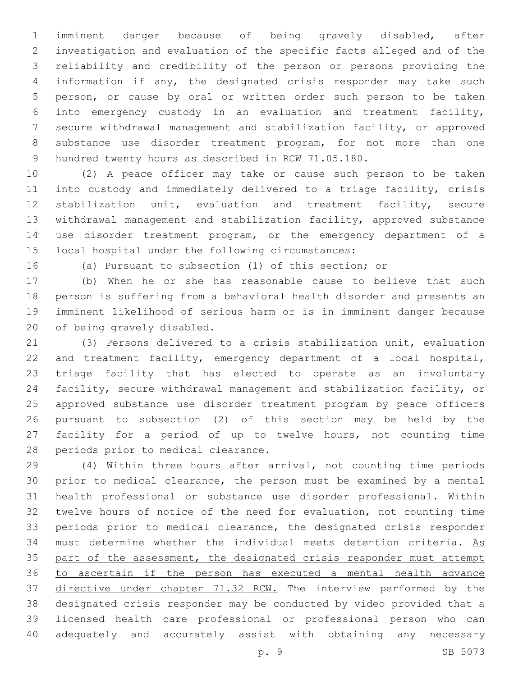imminent danger because of being gravely disabled, after investigation and evaluation of the specific facts alleged and of the reliability and credibility of the person or persons providing the information if any, the designated crisis responder may take such person, or cause by oral or written order such person to be taken into emergency custody in an evaluation and treatment facility, secure withdrawal management and stabilization facility, or approved substance use disorder treatment program, for not more than one hundred twenty hours as described in RCW 71.05.180.

 (2) A peace officer may take or cause such person to be taken into custody and immediately delivered to a triage facility, crisis stabilization unit, evaluation and treatment facility, secure withdrawal management and stabilization facility, approved substance use disorder treatment program, or the emergency department of a 15 local hospital under the following circumstances:

(a) Pursuant to subsection (1) of this section; or

 (b) When he or she has reasonable cause to believe that such person is suffering from a behavioral health disorder and presents an imminent likelihood of serious harm or is in imminent danger because 20 of being gravely disabled.

 (3) Persons delivered to a crisis stabilization unit, evaluation 22 and treatment facility, emergency department of a local hospital, triage facility that has elected to operate as an involuntary facility, secure withdrawal management and stabilization facility, or approved substance use disorder treatment program by peace officers pursuant to subsection (2) of this section may be held by the facility for a period of up to twelve hours, not counting time 28 periods prior to medical clearance.

 (4) Within three hours after arrival, not counting time periods prior to medical clearance, the person must be examined by a mental health professional or substance use disorder professional. Within twelve hours of notice of the need for evaluation, not counting time periods prior to medical clearance, the designated crisis responder 34 must determine whether the individual meets detention criteria. As 35 part of the assessment, the designated crisis responder must attempt to ascertain if the person has executed a mental health advance 37 directive under chapter 71.32 RCW. The interview performed by the designated crisis responder may be conducted by video provided that a licensed health care professional or professional person who can adequately and accurately assist with obtaining any necessary

p. 9 SB 5073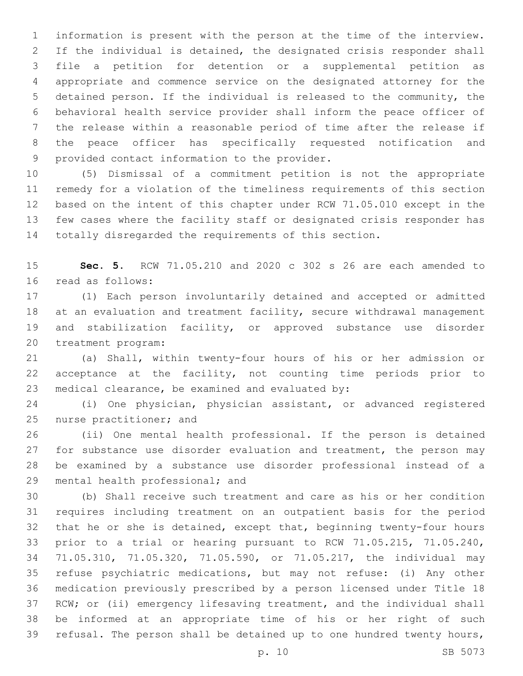information is present with the person at the time of the interview. If the individual is detained, the designated crisis responder shall file a petition for detention or a supplemental petition as appropriate and commence service on the designated attorney for the detained person. If the individual is released to the community, the behavioral health service provider shall inform the peace officer of the release within a reasonable period of time after the release if the peace officer has specifically requested notification and 9 provided contact information to the provider.

 (5) Dismissal of a commitment petition is not the appropriate remedy for a violation of the timeliness requirements of this section based on the intent of this chapter under RCW 71.05.010 except in the few cases where the facility staff or designated crisis responder has totally disregarded the requirements of this section.

 **Sec. 5.** RCW 71.05.210 and 2020 c 302 s 26 are each amended to 16 read as follows:

 (1) Each person involuntarily detained and accepted or admitted 18 at an evaluation and treatment facility, secure withdrawal management and stabilization facility, or approved substance use disorder 20 treatment program:

 (a) Shall, within twenty-four hours of his or her admission or acceptance at the facility, not counting time periods prior to 23 medical clearance, be examined and evaluated by:

 (i) One physician, physician assistant, or advanced registered 25 nurse practitioner; and

 (ii) One mental health professional. If the person is detained 27 for substance use disorder evaluation and treatment, the person may be examined by a substance use disorder professional instead of a 29 mental health professional; and

 (b) Shall receive such treatment and care as his or her condition requires including treatment on an outpatient basis for the period that he or she is detained, except that, beginning twenty-four hours prior to a trial or hearing pursuant to RCW 71.05.215, 71.05.240, 71.05.310, 71.05.320, 71.05.590, or 71.05.217, the individual may refuse psychiatric medications, but may not refuse: (i) Any other medication previously prescribed by a person licensed under Title 18 RCW; or (ii) emergency lifesaving treatment, and the individual shall be informed at an appropriate time of his or her right of such refusal. The person shall be detained up to one hundred twenty hours,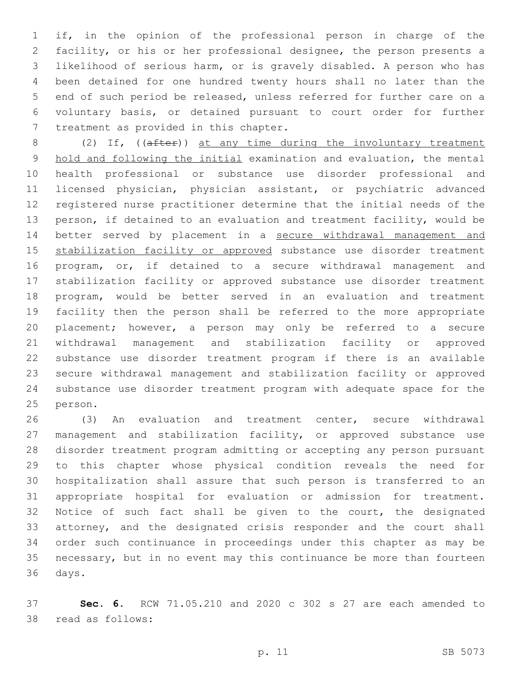if, in the opinion of the professional person in charge of the facility, or his or her professional designee, the person presents a likelihood of serious harm, or is gravely disabled. A person who has been detained for one hundred twenty hours shall no later than the end of such period be released, unless referred for further care on a voluntary basis, or detained pursuant to court order for further 7 treatment as provided in this chapter.

8 (2) If, ((after)) at any time during the involuntary treatment hold and following the initial examination and evaluation, the mental health professional or substance use disorder professional and licensed physician, physician assistant, or psychiatric advanced registered nurse practitioner determine that the initial needs of the person, if detained to an evaluation and treatment facility, would be better served by placement in a secure withdrawal management and 15 stabilization facility or approved substance use disorder treatment program, or, if detained to a secure withdrawal management and stabilization facility or approved substance use disorder treatment program, would be better served in an evaluation and treatment facility then the person shall be referred to the more appropriate placement; however, a person may only be referred to a secure withdrawal management and stabilization facility or approved substance use disorder treatment program if there is an available secure withdrawal management and stabilization facility or approved substance use disorder treatment program with adequate space for the 25 person.

 (3) An evaluation and treatment center, secure withdrawal management and stabilization facility, or approved substance use disorder treatment program admitting or accepting any person pursuant to this chapter whose physical condition reveals the need for hospitalization shall assure that such person is transferred to an appropriate hospital for evaluation or admission for treatment. Notice of such fact shall be given to the court, the designated attorney, and the designated crisis responder and the court shall order such continuance in proceedings under this chapter as may be necessary, but in no event may this continuance be more than fourteen 36 days.

 **Sec. 6.** RCW 71.05.210 and 2020 c 302 s 27 are each amended to 38 read as follows: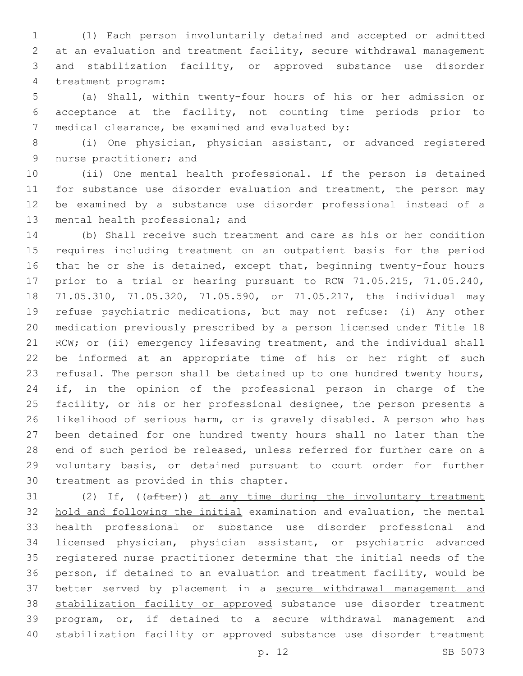(1) Each person involuntarily detained and accepted or admitted at an evaluation and treatment facility, secure withdrawal management and stabilization facility, or approved substance use disorder 4 treatment program:

 (a) Shall, within twenty-four hours of his or her admission or acceptance at the facility, not counting time periods prior to 7 medical clearance, be examined and evaluated by:

 (i) One physician, physician assistant, or advanced registered 9 nurse practitioner; and

 (ii) One mental health professional. If the person is detained 11 for substance use disorder evaluation and treatment, the person may be examined by a substance use disorder professional instead of a 13 mental health professional; and

 (b) Shall receive such treatment and care as his or her condition requires including treatment on an outpatient basis for the period 16 that he or she is detained, except that, beginning twenty-four hours prior to a trial or hearing pursuant to RCW 71.05.215, 71.05.240, 71.05.310, 71.05.320, 71.05.590, or 71.05.217, the individual may refuse psychiatric medications, but may not refuse: (i) Any other medication previously prescribed by a person licensed under Title 18 RCW; or (ii) emergency lifesaving treatment, and the individual shall be informed at an appropriate time of his or her right of such refusal. The person shall be detained up to one hundred twenty hours, if, in the opinion of the professional person in charge of the facility, or his or her professional designee, the person presents a likelihood of serious harm, or is gravely disabled. A person who has been detained for one hundred twenty hours shall no later than the end of such period be released, unless referred for further care on a voluntary basis, or detained pursuant to court order for further 30 treatment as provided in this chapter.

31 (2) If, ((after)) at any time during the involuntary treatment hold and following the initial examination and evaluation, the mental health professional or substance use disorder professional and licensed physician, physician assistant, or psychiatric advanced registered nurse practitioner determine that the initial needs of the person, if detained to an evaluation and treatment facility, would be better served by placement in a secure withdrawal management and stabilization facility or approved substance use disorder treatment program, or, if detained to a secure withdrawal management and stabilization facility or approved substance use disorder treatment

p. 12 SB 5073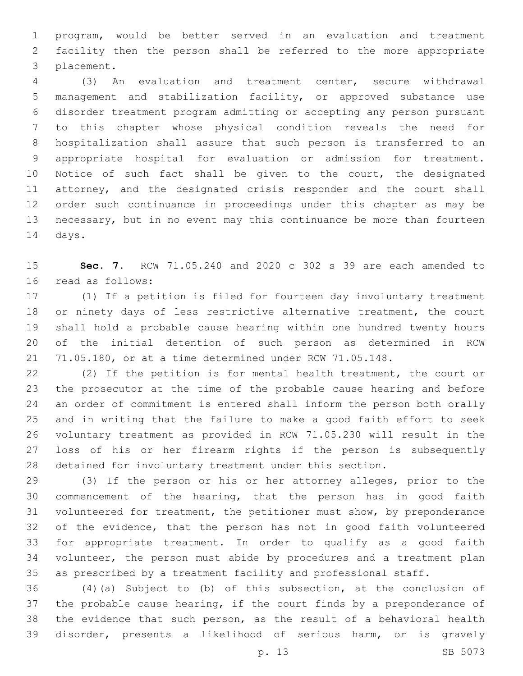program, would be better served in an evaluation and treatment facility then the person shall be referred to the more appropriate 3 placement.

 (3) An evaluation and treatment center, secure withdrawal management and stabilization facility, or approved substance use disorder treatment program admitting or accepting any person pursuant to this chapter whose physical condition reveals the need for hospitalization shall assure that such person is transferred to an appropriate hospital for evaluation or admission for treatment. 10 Notice of such fact shall be given to the court, the designated attorney, and the designated crisis responder and the court shall order such continuance in proceedings under this chapter as may be necessary, but in no event may this continuance be more than fourteen 14 days.

 **Sec. 7.** RCW 71.05.240 and 2020 c 302 s 39 are each amended to 16 read as follows:

 (1) If a petition is filed for fourteen day involuntary treatment 18 or ninety days of less restrictive alternative treatment, the court shall hold a probable cause hearing within one hundred twenty hours of the initial detention of such person as determined in RCW 71.05.180, or at a time determined under RCW 71.05.148.

 (2) If the petition is for mental health treatment, the court or the prosecutor at the time of the probable cause hearing and before an order of commitment is entered shall inform the person both orally and in writing that the failure to make a good faith effort to seek voluntary treatment as provided in RCW 71.05.230 will result in the loss of his or her firearm rights if the person is subsequently detained for involuntary treatment under this section.

 (3) If the person or his or her attorney alleges, prior to the commencement of the hearing, that the person has in good faith volunteered for treatment, the petitioner must show, by preponderance of the evidence, that the person has not in good faith volunteered for appropriate treatment. In order to qualify as a good faith volunteer, the person must abide by procedures and a treatment plan as prescribed by a treatment facility and professional staff.

 (4)(a) Subject to (b) of this subsection, at the conclusion of the probable cause hearing, if the court finds by a preponderance of the evidence that such person, as the result of a behavioral health disorder, presents a likelihood of serious harm, or is gravely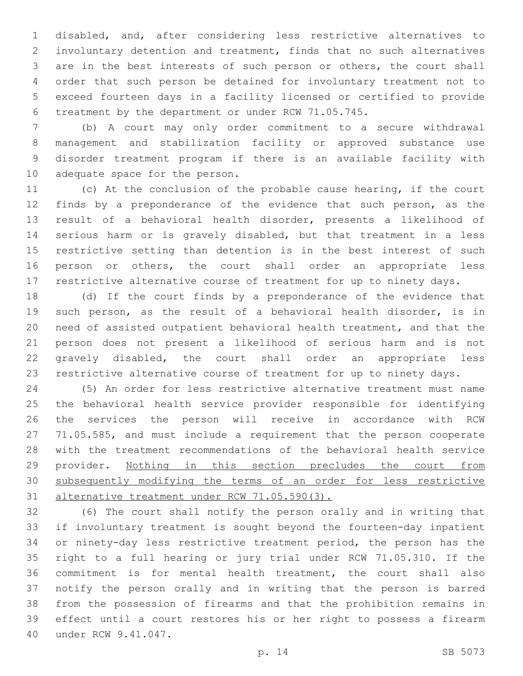disabled, and, after considering less restrictive alternatives to involuntary detention and treatment, finds that no such alternatives are in the best interests of such person or others, the court shall order that such person be detained for involuntary treatment not to exceed fourteen days in a facility licensed or certified to provide treatment by the department or under RCW 71.05.745.

 (b) A court may only order commitment to a secure withdrawal management and stabilization facility or approved substance use disorder treatment program if there is an available facility with 10 adequate space for the person.

 (c) At the conclusion of the probable cause hearing, if the court finds by a preponderance of the evidence that such person, as the result of a behavioral health disorder, presents a likelihood of serious harm or is gravely disabled, but that treatment in a less restrictive setting than detention is in the best interest of such 16 person or others, the court shall order an appropriate less restrictive alternative course of treatment for up to ninety days.

 (d) If the court finds by a preponderance of the evidence that such person, as the result of a behavioral health disorder, is in need of assisted outpatient behavioral health treatment, and that the person does not present a likelihood of serious harm and is not gravely disabled, the court shall order an appropriate less restrictive alternative course of treatment for up to ninety days.

 (5) An order for less restrictive alternative treatment must name the behavioral health service provider responsible for identifying the services the person will receive in accordance with RCW 71.05.585, and must include a requirement that the person cooperate with the treatment recommendations of the behavioral health service provider. Nothing in this section precludes the court from subsequently modifying the terms of an order for less restrictive alternative treatment under RCW 71.05.590(3).

 (6) The court shall notify the person orally and in writing that if involuntary treatment is sought beyond the fourteen-day inpatient or ninety-day less restrictive treatment period, the person has the right to a full hearing or jury trial under RCW 71.05.310. If the commitment is for mental health treatment, the court shall also notify the person orally and in writing that the person is barred from the possession of firearms and that the prohibition remains in effect until a court restores his or her right to possess a firearm 40 under RCW 9.41.047.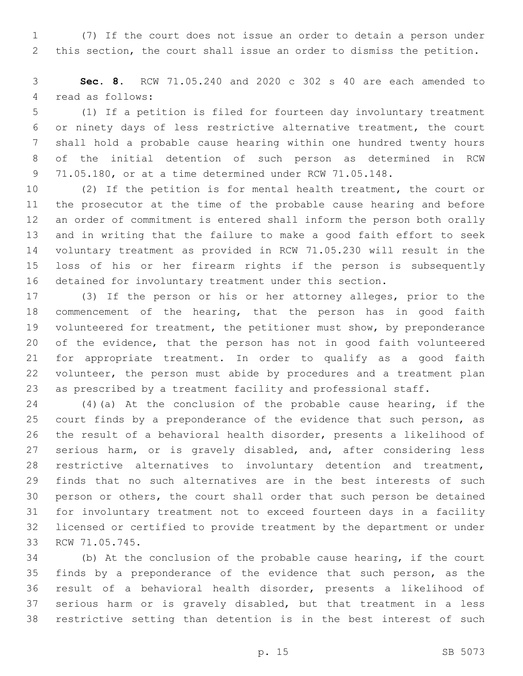(7) If the court does not issue an order to detain a person under this section, the court shall issue an order to dismiss the petition.

 **Sec. 8.** RCW 71.05.240 and 2020 c 302 s 40 are each amended to 4 read as follows:

 (1) If a petition is filed for fourteen day involuntary treatment or ninety days of less restrictive alternative treatment, the court shall hold a probable cause hearing within one hundred twenty hours of the initial detention of such person as determined in RCW 71.05.180, or at a time determined under RCW 71.05.148.

 (2) If the petition is for mental health treatment, the court or the prosecutor at the time of the probable cause hearing and before an order of commitment is entered shall inform the person both orally and in writing that the failure to make a good faith effort to seek voluntary treatment as provided in RCW 71.05.230 will result in the loss of his or her firearm rights if the person is subsequently detained for involuntary treatment under this section.

 (3) If the person or his or her attorney alleges, prior to the commencement of the hearing, that the person has in good faith volunteered for treatment, the petitioner must show, by preponderance of the evidence, that the person has not in good faith volunteered for appropriate treatment. In order to qualify as a good faith volunteer, the person must abide by procedures and a treatment plan as prescribed by a treatment facility and professional staff.

 (4)(a) At the conclusion of the probable cause hearing, if the 25 court finds by a preponderance of the evidence that such person, as the result of a behavioral health disorder, presents a likelihood of serious harm, or is gravely disabled, and, after considering less restrictive alternatives to involuntary detention and treatment, finds that no such alternatives are in the best interests of such person or others, the court shall order that such person be detained for involuntary treatment not to exceed fourteen days in a facility licensed or certified to provide treatment by the department or under 33 RCW 71.05.745.

 (b) At the conclusion of the probable cause hearing, if the court finds by a preponderance of the evidence that such person, as the result of a behavioral health disorder, presents a likelihood of serious harm or is gravely disabled, but that treatment in a less restrictive setting than detention is in the best interest of such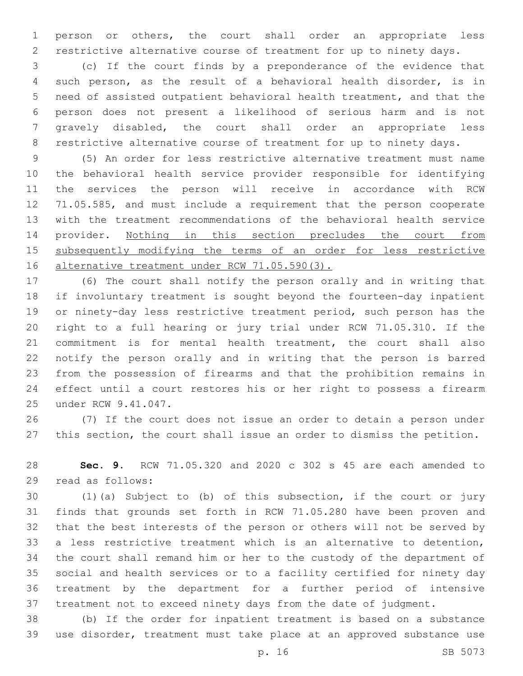person or others, the court shall order an appropriate less restrictive alternative course of treatment for up to ninety days.

 (c) If the court finds by a preponderance of the evidence that such person, as the result of a behavioral health disorder, is in need of assisted outpatient behavioral health treatment, and that the person does not present a likelihood of serious harm and is not gravely disabled, the court shall order an appropriate less restrictive alternative course of treatment for up to ninety days.

 (5) An order for less restrictive alternative treatment must name the behavioral health service provider responsible for identifying the services the person will receive in accordance with RCW 71.05.585, and must include a requirement that the person cooperate with the treatment recommendations of the behavioral health service 14 provider. Nothing in this section precludes the court from 15 subsequently modifying the terms of an order for less restrictive 16 alternative treatment under RCW 71.05.590(3).

 (6) The court shall notify the person orally and in writing that if involuntary treatment is sought beyond the fourteen-day inpatient or ninety-day less restrictive treatment period, such person has the right to a full hearing or jury trial under RCW 71.05.310. If the commitment is for mental health treatment, the court shall also notify the person orally and in writing that the person is barred from the possession of firearms and that the prohibition remains in effect until a court restores his or her right to possess a firearm 25 under RCW 9.41.047.

 (7) If the court does not issue an order to detain a person under this section, the court shall issue an order to dismiss the petition.

 **Sec. 9.** RCW 71.05.320 and 2020 c 302 s 45 are each amended to 29 read as follows:

 (1)(a) Subject to (b) of this subsection, if the court or jury finds that grounds set forth in RCW 71.05.280 have been proven and that the best interests of the person or others will not be served by a less restrictive treatment which is an alternative to detention, the court shall remand him or her to the custody of the department of social and health services or to a facility certified for ninety day treatment by the department for a further period of intensive treatment not to exceed ninety days from the date of judgment.

 (b) If the order for inpatient treatment is based on a substance use disorder, treatment must take place at an approved substance use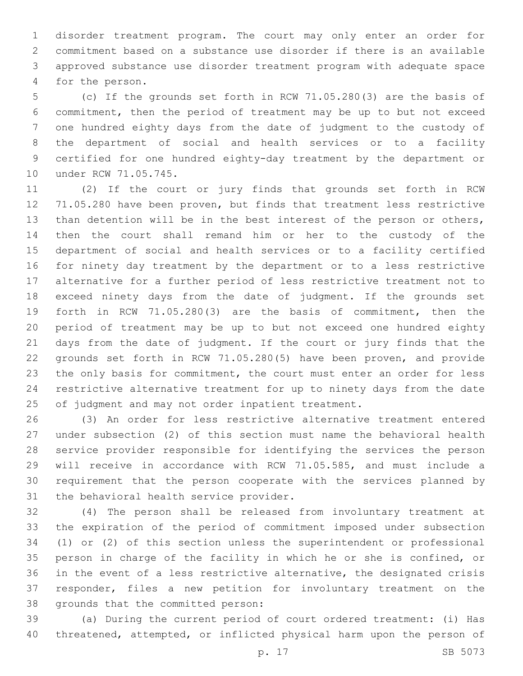disorder treatment program. The court may only enter an order for commitment based on a substance use disorder if there is an available approved substance use disorder treatment program with adequate space 4 for the person.

 (c) If the grounds set forth in RCW 71.05.280(3) are the basis of commitment, then the period of treatment may be up to but not exceed one hundred eighty days from the date of judgment to the custody of the department of social and health services or to a facility certified for one hundred eighty-day treatment by the department or 10 under RCW 71.05.745.

 (2) If the court or jury finds that grounds set forth in RCW 71.05.280 have been proven, but finds that treatment less restrictive than detention will be in the best interest of the person or others, then the court shall remand him or her to the custody of the department of social and health services or to a facility certified for ninety day treatment by the department or to a less restrictive alternative for a further period of less restrictive treatment not to exceed ninety days from the date of judgment. If the grounds set forth in RCW 71.05.280(3) are the basis of commitment, then the period of treatment may be up to but not exceed one hundred eighty days from the date of judgment. If the court or jury finds that the grounds set forth in RCW 71.05.280(5) have been proven, and provide 23 the only basis for commitment, the court must enter an order for less restrictive alternative treatment for up to ninety days from the date of judgment and may not order inpatient treatment.

 (3) An order for less restrictive alternative treatment entered under subsection (2) of this section must name the behavioral health service provider responsible for identifying the services the person will receive in accordance with RCW 71.05.585, and must include a requirement that the person cooperate with the services planned by 31 the behavioral health service provider.

 (4) The person shall be released from involuntary treatment at the expiration of the period of commitment imposed under subsection (1) or (2) of this section unless the superintendent or professional person in charge of the facility in which he or she is confined, or in the event of a less restrictive alternative, the designated crisis responder, files a new petition for involuntary treatment on the 38 grounds that the committed person:

 (a) During the current period of court ordered treatment: (i) Has threatened, attempted, or inflicted physical harm upon the person of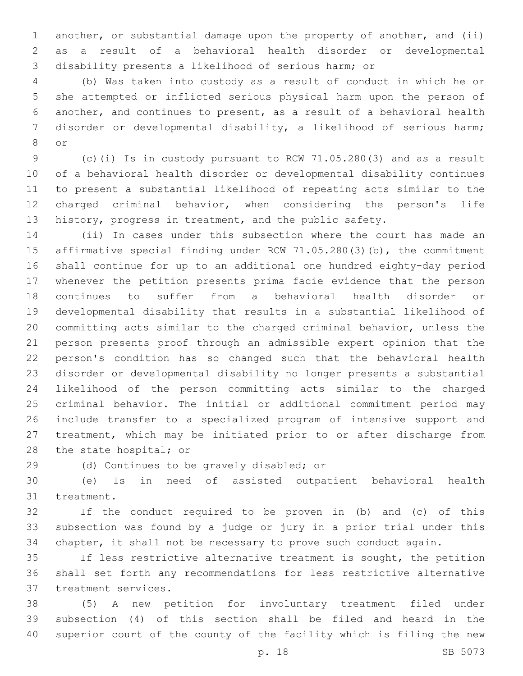another, or substantial damage upon the property of another, and (ii) as a result of a behavioral health disorder or developmental disability presents a likelihood of serious harm; or

 (b) Was taken into custody as a result of conduct in which he or she attempted or inflicted serious physical harm upon the person of another, and continues to present, as a result of a behavioral health disorder or developmental disability, a likelihood of serious harm; 8 or

 (c)(i) Is in custody pursuant to RCW 71.05.280(3) and as a result of a behavioral health disorder or developmental disability continues to present a substantial likelihood of repeating acts similar to the charged criminal behavior, when considering the person's life history, progress in treatment, and the public safety.

 (ii) In cases under this subsection where the court has made an affirmative special finding under RCW 71.05.280(3)(b), the commitment shall continue for up to an additional one hundred eighty-day period whenever the petition presents prima facie evidence that the person continues to suffer from a behavioral health disorder or developmental disability that results in a substantial likelihood of committing acts similar to the charged criminal behavior, unless the person presents proof through an admissible expert opinion that the person's condition has so changed such that the behavioral health disorder or developmental disability no longer presents a substantial likelihood of the person committing acts similar to the charged criminal behavior. The initial or additional commitment period may include transfer to a specialized program of intensive support and treatment, which may be initiated prior to or after discharge from 28 the state hospital; or

29 (d) Continues to be gravely disabled; or

 (e) Is in need of assisted outpatient behavioral health 31 treatment.

 If the conduct required to be proven in (b) and (c) of this subsection was found by a judge or jury in a prior trial under this chapter, it shall not be necessary to prove such conduct again.

 If less restrictive alternative treatment is sought, the petition shall set forth any recommendations for less restrictive alternative 37 treatment services.

 (5) A new petition for involuntary treatment filed under subsection (4) of this section shall be filed and heard in the superior court of the county of the facility which is filing the new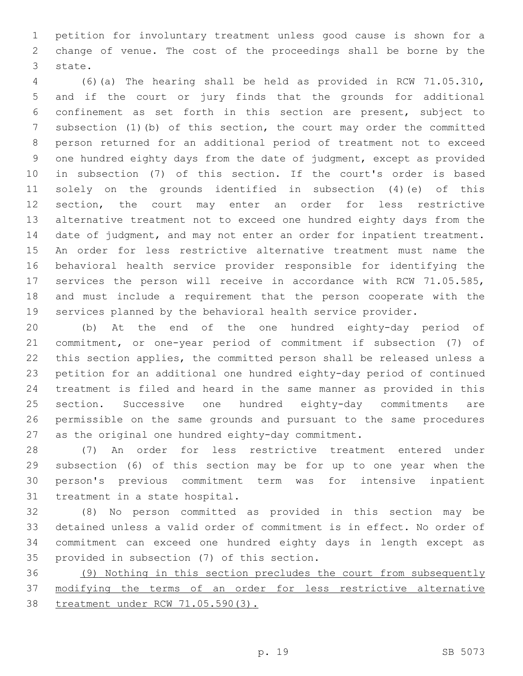petition for involuntary treatment unless good cause is shown for a change of venue. The cost of the proceedings shall be borne by the 3 state.

 (6)(a) The hearing shall be held as provided in RCW 71.05.310, and if the court or jury finds that the grounds for additional confinement as set forth in this section are present, subject to subsection (1)(b) of this section, the court may order the committed person returned for an additional period of treatment not to exceed one hundred eighty days from the date of judgment, except as provided in subsection (7) of this section. If the court's order is based solely on the grounds identified in subsection (4)(e) of this section, the court may enter an order for less restrictive alternative treatment not to exceed one hundred eighty days from the date of judgment, and may not enter an order for inpatient treatment. An order for less restrictive alternative treatment must name the behavioral health service provider responsible for identifying the services the person will receive in accordance with RCW 71.05.585, and must include a requirement that the person cooperate with the services planned by the behavioral health service provider.

 (b) At the end of the one hundred eighty-day period of commitment, or one-year period of commitment if subsection (7) of this section applies, the committed person shall be released unless a petition for an additional one hundred eighty-day period of continued treatment is filed and heard in the same manner as provided in this section. Successive one hundred eighty-day commitments are permissible on the same grounds and pursuant to the same procedures as the original one hundred eighty-day commitment.

 (7) An order for less restrictive treatment entered under subsection (6) of this section may be for up to one year when the person's previous commitment term was for intensive inpatient 31 treatment in a state hospital.

 (8) No person committed as provided in this section may be detained unless a valid order of commitment is in effect. No order of commitment can exceed one hundred eighty days in length except as 35 provided in subsection (7) of this section.

 (9) Nothing in this section precludes the court from subsequently modifying the terms of an order for less restrictive alternative treatment under RCW 71.05.590(3).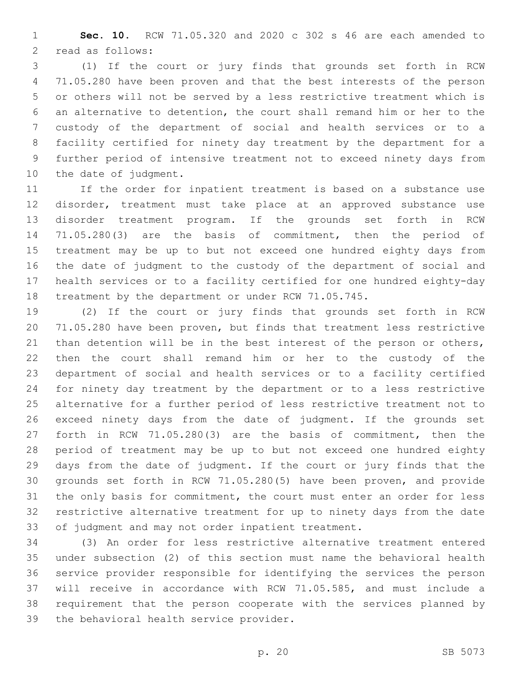**Sec. 10.** RCW 71.05.320 and 2020 c 302 s 46 are each amended to 2 read as follows:

 (1) If the court or jury finds that grounds set forth in RCW 71.05.280 have been proven and that the best interests of the person or others will not be served by a less restrictive treatment which is an alternative to detention, the court shall remand him or her to the custody of the department of social and health services or to a facility certified for ninety day treatment by the department for a further period of intensive treatment not to exceed ninety days from 10 the date of judgment.

 If the order for inpatient treatment is based on a substance use disorder, treatment must take place at an approved substance use disorder treatment program. If the grounds set forth in RCW 71.05.280(3) are the basis of commitment, then the period of treatment may be up to but not exceed one hundred eighty days from the date of judgment to the custody of the department of social and health services or to a facility certified for one hundred eighty-day treatment by the department or under RCW 71.05.745.

 (2) If the court or jury finds that grounds set forth in RCW 71.05.280 have been proven, but finds that treatment less restrictive 21 than detention will be in the best interest of the person or others, then the court shall remand him or her to the custody of the department of social and health services or to a facility certified for ninety day treatment by the department or to a less restrictive alternative for a further period of less restrictive treatment not to exceed ninety days from the date of judgment. If the grounds set forth in RCW 71.05.280(3) are the basis of commitment, then the period of treatment may be up to but not exceed one hundred eighty days from the date of judgment. If the court or jury finds that the grounds set forth in RCW 71.05.280(5) have been proven, and provide the only basis for commitment, the court must enter an order for less restrictive alternative treatment for up to ninety days from the date of judgment and may not order inpatient treatment.

 (3) An order for less restrictive alternative treatment entered under subsection (2) of this section must name the behavioral health service provider responsible for identifying the services the person will receive in accordance with RCW 71.05.585, and must include a requirement that the person cooperate with the services planned by 39 the behavioral health service provider.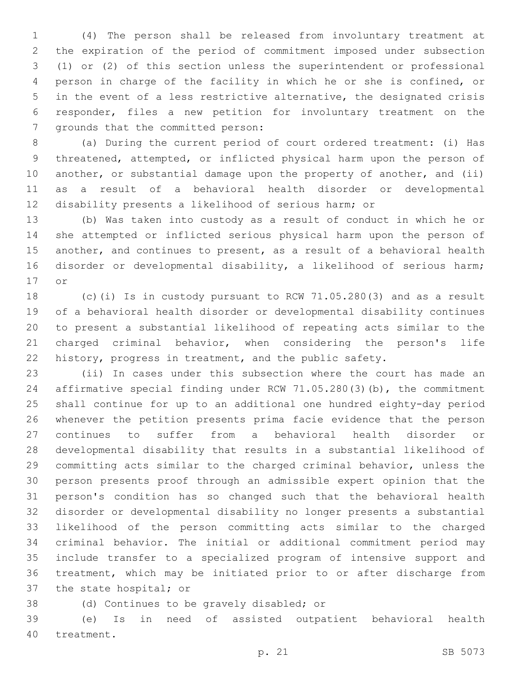(4) The person shall be released from involuntary treatment at the expiration of the period of commitment imposed under subsection (1) or (2) of this section unless the superintendent or professional person in charge of the facility in which he or she is confined, or in the event of a less restrictive alternative, the designated crisis responder, files a new petition for involuntary treatment on the 7 grounds that the committed person:

 (a) During the current period of court ordered treatment: (i) Has threatened, attempted, or inflicted physical harm upon the person of 10 another, or substantial damage upon the property of another, and (ii) as a result of a behavioral health disorder or developmental disability presents a likelihood of serious harm; or

 (b) Was taken into custody as a result of conduct in which he or she attempted or inflicted serious physical harm upon the person of another, and continues to present, as a result of a behavioral health disorder or developmental disability, a likelihood of serious harm; 17 or

 (c)(i) Is in custody pursuant to RCW 71.05.280(3) and as a result of a behavioral health disorder or developmental disability continues to present a substantial likelihood of repeating acts similar to the charged criminal behavior, when considering the person's life history, progress in treatment, and the public safety.

 (ii) In cases under this subsection where the court has made an affirmative special finding under RCW 71.05.280(3)(b), the commitment shall continue for up to an additional one hundred eighty-day period whenever the petition presents prima facie evidence that the person continues to suffer from a behavioral health disorder or developmental disability that results in a substantial likelihood of committing acts similar to the charged criminal behavior, unless the person presents proof through an admissible expert opinion that the person's condition has so changed such that the behavioral health disorder or developmental disability no longer presents a substantial likelihood of the person committing acts similar to the charged criminal behavior. The initial or additional commitment period may include transfer to a specialized program of intensive support and treatment, which may be initiated prior to or after discharge from 37 the state hospital; or

- 
- 38 (d) Continues to be gravely disabled; or

 (e) Is in need of assisted outpatient behavioral health 40 treatment.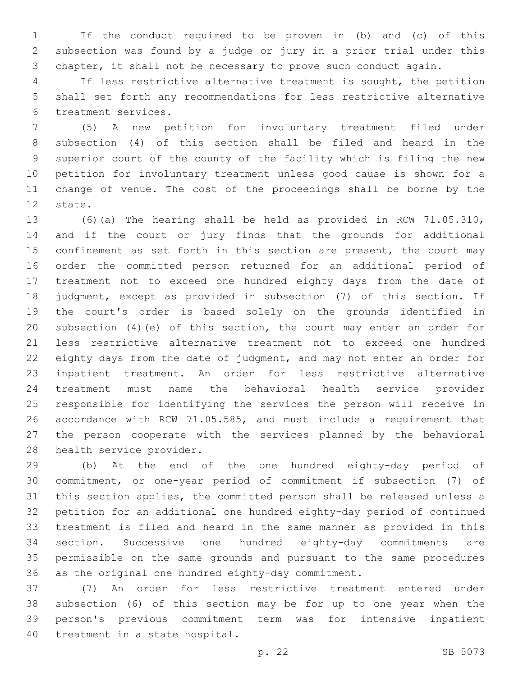If the conduct required to be proven in (b) and (c) of this subsection was found by a judge or jury in a prior trial under this chapter, it shall not be necessary to prove such conduct again.

 If less restrictive alternative treatment is sought, the petition shall set forth any recommendations for less restrictive alternative 6 treatment services.

 (5) A new petition for involuntary treatment filed under subsection (4) of this section shall be filed and heard in the superior court of the county of the facility which is filing the new petition for involuntary treatment unless good cause is shown for a change of venue. The cost of the proceedings shall be borne by the 12 state.

 (6)(a) The hearing shall be held as provided in RCW 71.05.310, and if the court or jury finds that the grounds for additional 15 confinement as set forth in this section are present, the court may order the committed person returned for an additional period of treatment not to exceed one hundred eighty days from the date of judgment, except as provided in subsection (7) of this section. If the court's order is based solely on the grounds identified in subsection (4)(e) of this section, the court may enter an order for less restrictive alternative treatment not to exceed one hundred eighty days from the date of judgment, and may not enter an order for inpatient treatment. An order for less restrictive alternative treatment must name the behavioral health service provider responsible for identifying the services the person will receive in accordance with RCW 71.05.585, and must include a requirement that the person cooperate with the services planned by the behavioral 28 health service provider.

 (b) At the end of the one hundred eighty-day period of commitment, or one-year period of commitment if subsection (7) of this section applies, the committed person shall be released unless a petition for an additional one hundred eighty-day period of continued treatment is filed and heard in the same manner as provided in this section. Successive one hundred eighty-day commitments are permissible on the same grounds and pursuant to the same procedures as the original one hundred eighty-day commitment.

 (7) An order for less restrictive treatment entered under subsection (6) of this section may be for up to one year when the person's previous commitment term was for intensive inpatient 40 treatment in a state hospital.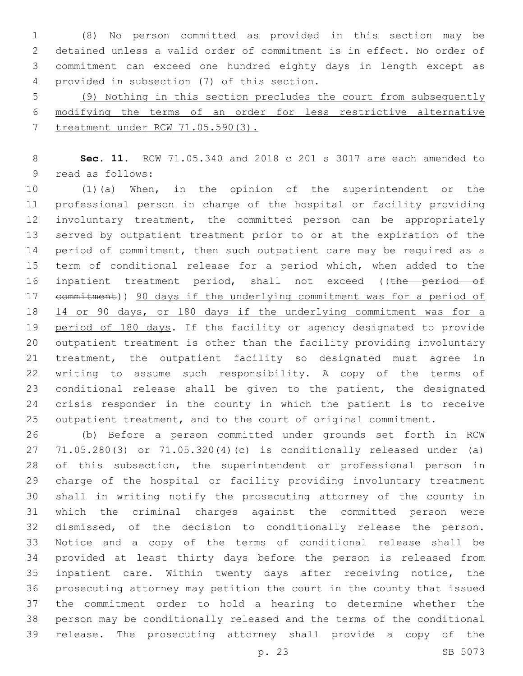(8) No person committed as provided in this section may be detained unless a valid order of commitment is in effect. No order of commitment can exceed one hundred eighty days in length except as 4 provided in subsection (7) of this section.

 (9) Nothing in this section precludes the court from subsequently modifying the terms of an order for less restrictive alternative treatment under RCW 71.05.590(3).

 **Sec. 11.** RCW 71.05.340 and 2018 c 201 s 3017 are each amended to 9 read as follows:

 (1)(a) When, in the opinion of the superintendent or the professional person in charge of the hospital or facility providing involuntary treatment, the committed person can be appropriately served by outpatient treatment prior to or at the expiration of the 14 period of commitment, then such outpatient care may be required as a term of conditional release for a period which, when added to the 16 inpatient treatment period, shall not exceed ((the period of 17 commitment)) 90 days if the underlying commitment was for a period of 14 or 90 days, or 180 days if the underlying commitment was for a period of 180 days. If the facility or agency designated to provide outpatient treatment is other than the facility providing involuntary treatment, the outpatient facility so designated must agree in writing to assume such responsibility. A copy of the terms of conditional release shall be given to the patient, the designated crisis responder in the county in which the patient is to receive outpatient treatment, and to the court of original commitment.

 (b) Before a person committed under grounds set forth in RCW 71.05.280(3) or 71.05.320(4)(c) is conditionally released under (a) of this subsection, the superintendent or professional person in charge of the hospital or facility providing involuntary treatment shall in writing notify the prosecuting attorney of the county in which the criminal charges against the committed person were dismissed, of the decision to conditionally release the person. Notice and a copy of the terms of conditional release shall be provided at least thirty days before the person is released from inpatient care. Within twenty days after receiving notice, the prosecuting attorney may petition the court in the county that issued the commitment order to hold a hearing to determine whether the person may be conditionally released and the terms of the conditional release. The prosecuting attorney shall provide a copy of the

p. 23 SB 5073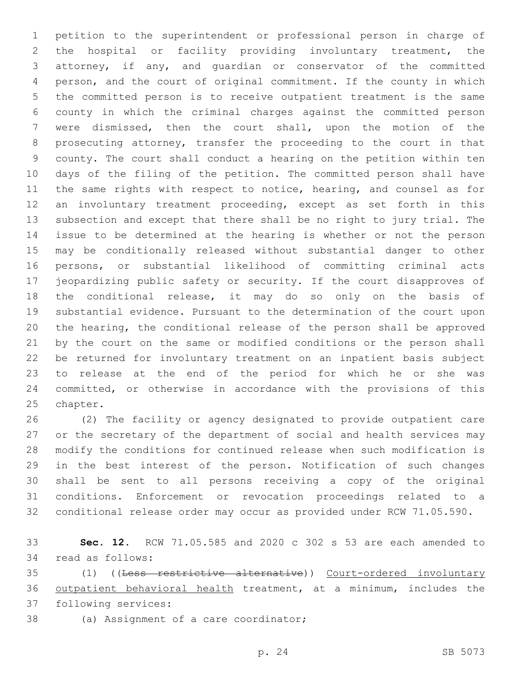petition to the superintendent or professional person in charge of the hospital or facility providing involuntary treatment, the attorney, if any, and guardian or conservator of the committed person, and the court of original commitment. If the county in which the committed person is to receive outpatient treatment is the same county in which the criminal charges against the committed person were dismissed, then the court shall, upon the motion of the prosecuting attorney, transfer the proceeding to the court in that county. The court shall conduct a hearing on the petition within ten days of the filing of the petition. The committed person shall have the same rights with respect to notice, hearing, and counsel as for an involuntary treatment proceeding, except as set forth in this subsection and except that there shall be no right to jury trial. The issue to be determined at the hearing is whether or not the person may be conditionally released without substantial danger to other persons, or substantial likelihood of committing criminal acts jeopardizing public safety or security. If the court disapproves of the conditional release, it may do so only on the basis of substantial evidence. Pursuant to the determination of the court upon the hearing, the conditional release of the person shall be approved by the court on the same or modified conditions or the person shall be returned for involuntary treatment on an inpatient basis subject to release at the end of the period for which he or she was committed, or otherwise in accordance with the provisions of this 25 chapter.

 (2) The facility or agency designated to provide outpatient care or the secretary of the department of social and health services may modify the conditions for continued release when such modification is in the best interest of the person. Notification of such changes shall be sent to all persons receiving a copy of the original conditions. Enforcement or revocation proceedings related to a conditional release order may occur as provided under RCW 71.05.590.

 **Sec. 12.** RCW 71.05.585 and 2020 c 302 s 53 are each amended to 34 read as follows:

 (1) ((Less restrictive alternative)) Court-ordered involuntary outpatient behavioral health treatment, at a minimum, includes the 37 following services:

38 (a) Assignment of a care coordinator;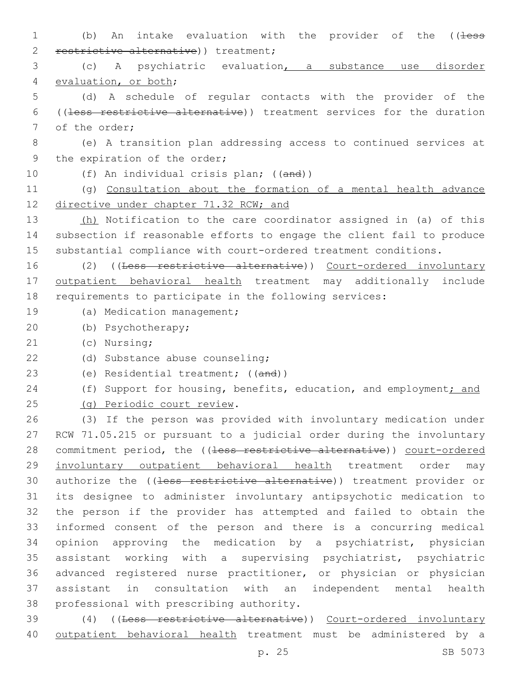1 (b) An intake evaluation with the provider of the ((less 2 restrictive alternative) ) treatment; 3 (c) A psychiatric evaluation, a substance use disorder 4 evaluation, or both; 5 (d) A schedule of regular contacts with the provider of the 6 ((less restrictive alternative)) treatment services for the duration 7 of the order; 8 (e) A transition plan addressing access to continued services at 9 the expiration of the order; 10 (f) An individual crisis plan; ((and)) 11 (g) Consultation about the formation of a mental health advance 12 directive under chapter 71.32 RCW; and 13 (h) Notification to the care coordinator assigned in (a) of this 14 subsection if reasonable efforts to engage the client fail to produce 15 substantial compliance with court-ordered treatment conditions. 16 (2) ((Less restrictive alternative)) Court-ordered involuntary 17 outpatient behavioral health treatment may additionally include 18 requirements to participate in the following services: 19 (a) Medication management; (b) Psychotherapy;20 21 (c) Nursing; 22 (d) Substance abuse counseling; 23 (e) Residential treatment; ((and)) 24 (f) Support for housing, benefits, education, and employment; and (g) Periodic court review.25 26 (3) If the person was provided with involuntary medication under 27 RCW 71.05.215 or pursuant to a judicial order during the involuntary 28 commitment period, the ((less restrictive alternative)) court-ordered 29 involuntary outpatient behavioral health treatment order may 30 authorize the ((less restrictive alternative)) treatment provider or 31 its designee to administer involuntary antipsychotic medication to 32 the person if the provider has attempted and failed to obtain the 33 informed consent of the person and there is a concurring medical 34 opinion approving the medication by a psychiatrist, physician 35 assistant working with a supervising psychiatrist, psychiatric 36 advanced registered nurse practitioner, or physician or physician 37 assistant in consultation with an independent mental health 38 professional with prescribing authority. 39 (4) ((Less restrictive alternative)) Court-ordered involuntary 40 outpatient behavioral health treatment must be administered by a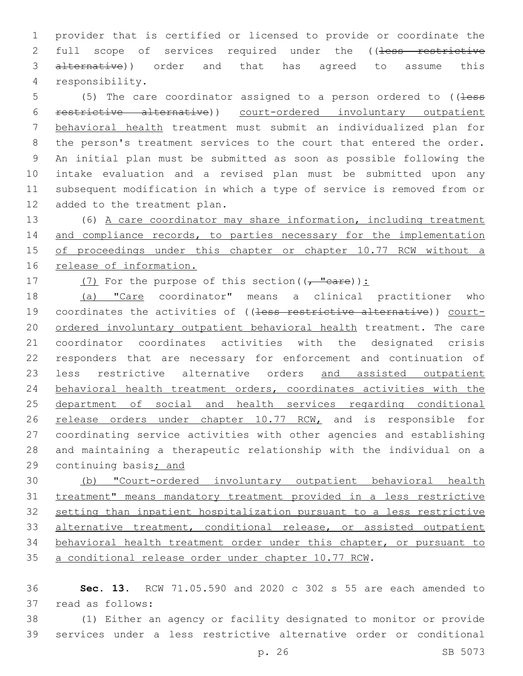provider that is certified or licensed to provide or coordinate the 2 full scope of services required under the ((less restrictive alternative)) order and that has agreed to assume this responsibility.4

5 (5) The care coordinator assigned to a person ordered to ((less restrictive alternative)) court-ordered involuntary outpatient behavioral health treatment must submit an individualized plan for the person's treatment services to the court that entered the order. An initial plan must be submitted as soon as possible following the intake evaluation and a revised plan must be submitted upon any subsequent modification in which a type of service is removed from or 12 added to the treatment plan.

 (6) A care coordinator may share information, including treatment 14 and compliance records, to parties necessary for the implementation of proceedings under this chapter or chapter 10.77 RCW without a 16 release of information.

17  $(7)$  For the purpose of this section( $(-$  "care)):

 (a) "Care coordinator" means a clinical practitioner who 19 coordinates the activities of ((less restrictive alternative)) court- ordered involuntary outpatient behavioral health treatment. The care coordinator coordinates activities with the designated crisis responders that are necessary for enforcement and continuation of 23 less restrictive alternative orders and assisted outpatient behavioral health treatment orders, coordinates activities with the department of social and health services regarding conditional 26 release orders under chapter 10.77 RCW, and is responsible for coordinating service activities with other agencies and establishing and maintaining a therapeutic relationship with the individual on a continuing basis; and

 (b) "Court-ordered involuntary outpatient behavioral health treatment" means mandatory treatment provided in a less restrictive setting than inpatient hospitalization pursuant to a less restrictive 33 alternative treatment, conditional release, or assisted outpatient behavioral health treatment order under this chapter, or pursuant to a conditional release order under chapter 10.77 RCW.

 **Sec. 13.** RCW 71.05.590 and 2020 c 302 s 55 are each amended to 37 read as follows:

 (1) Either an agency or facility designated to monitor or provide services under a less restrictive alternative order or conditional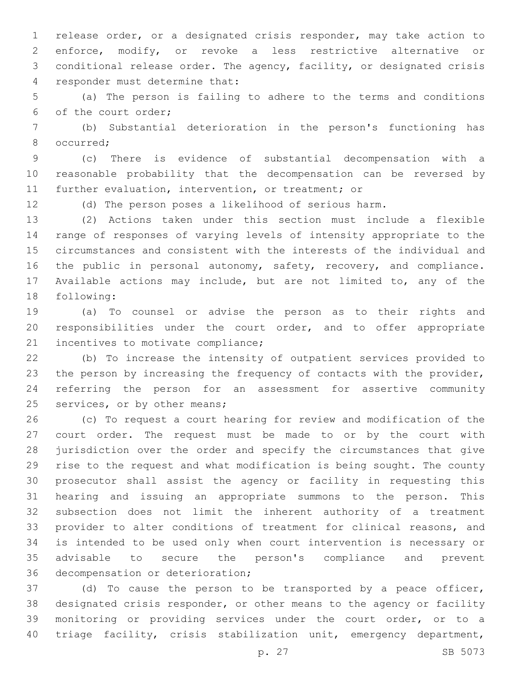release order, or a designated crisis responder, may take action to enforce, modify, or revoke a less restrictive alternative or conditional release order. The agency, facility, or designated crisis 4 responder must determine that:

 (a) The person is failing to adhere to the terms and conditions 6 of the court order;

 (b) Substantial deterioration in the person's functioning has 8 occurred;

 (c) There is evidence of substantial decompensation with a reasonable probability that the decompensation can be reversed by further evaluation, intervention, or treatment; or

(d) The person poses a likelihood of serious harm.

 (2) Actions taken under this section must include a flexible range of responses of varying levels of intensity appropriate to the circumstances and consistent with the interests of the individual and the public in personal autonomy, safety, recovery, and compliance. Available actions may include, but are not limited to, any of the 18 following:

 (a) To counsel or advise the person as to their rights and responsibilities under the court order, and to offer appropriate 21 incentives to motivate compliance;

 (b) To increase the intensity of outpatient services provided to the person by increasing the frequency of contacts with the provider, referring the person for an assessment for assertive community 25 services, or by other means;

 (c) To request a court hearing for review and modification of the court order. The request must be made to or by the court with jurisdiction over the order and specify the circumstances that give rise to the request and what modification is being sought. The county prosecutor shall assist the agency or facility in requesting this hearing and issuing an appropriate summons to the person. This subsection does not limit the inherent authority of a treatment provider to alter conditions of treatment for clinical reasons, and is intended to be used only when court intervention is necessary or advisable to secure the person's compliance and prevent 36 decompensation or deterioration;

 (d) To cause the person to be transported by a peace officer, designated crisis responder, or other means to the agency or facility monitoring or providing services under the court order, or to a triage facility, crisis stabilization unit, emergency department,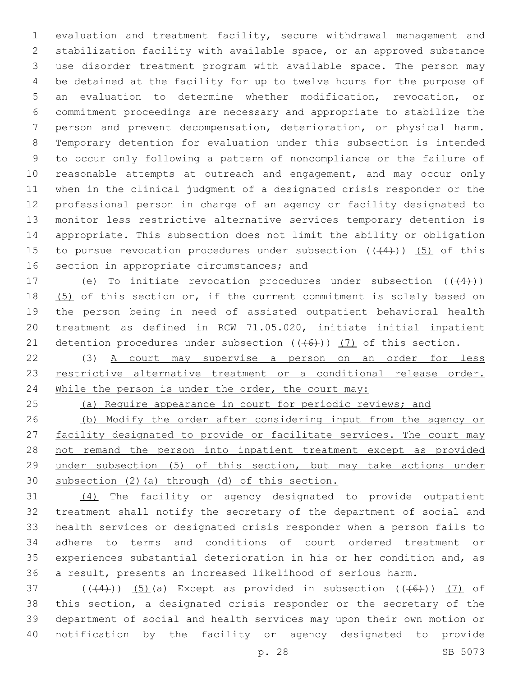evaluation and treatment facility, secure withdrawal management and stabilization facility with available space, or an approved substance use disorder treatment program with available space. The person may be detained at the facility for up to twelve hours for the purpose of an evaluation to determine whether modification, revocation, or commitment proceedings are necessary and appropriate to stabilize the person and prevent decompensation, deterioration, or physical harm. Temporary detention for evaluation under this subsection is intended to occur only following a pattern of noncompliance or the failure of 10 reasonable attempts at outreach and engagement, and may occur only when in the clinical judgment of a designated crisis responder or the professional person in charge of an agency or facility designated to monitor less restrictive alternative services temporary detention is appropriate. This subsection does not limit the ability or obligation 15 to pursue revocation procedures under subsection  $((+4))$  (5) of this 16 section in appropriate circumstances; and

17 (e) To initiate revocation procedures under subsection  $((+4))$ 18 (5) of this section or, if the current commitment is solely based on the person being in need of assisted outpatient behavioral health treatment as defined in RCW 71.05.020, initiate initial inpatient 21 detention procedures under subsection  $((+6))$   $(7)$  of this section.

 (3) A court may supervise a person on an order for less 23 restrictive alternative treatment or a conditional release order. 24 While the person is under the order, the court may:

(a) Require appearance in court for periodic reviews; and

 (b) Modify the order after considering input from the agency or 27 facility designated to provide or facilitate services. The court may 28 not remand the person into inpatient treatment except as provided under subsection (5) of this section, but may take actions under subsection (2)(a) through (d) of this section.

 (4) The facility or agency designated to provide outpatient treatment shall notify the secretary of the department of social and health services or designated crisis responder when a person fails to adhere to terms and conditions of court ordered treatment or experiences substantial deterioration in his or her condition and, as a result, presents an increased likelihood of serious harm.

37 ( $(\frac{4}{4})$ ) (5)(a) Except as provided in subsection  $(\frac{4}{6})$ ) (7) of this section, a designated crisis responder or the secretary of the department of social and health services may upon their own motion or notification by the facility or agency designated to provide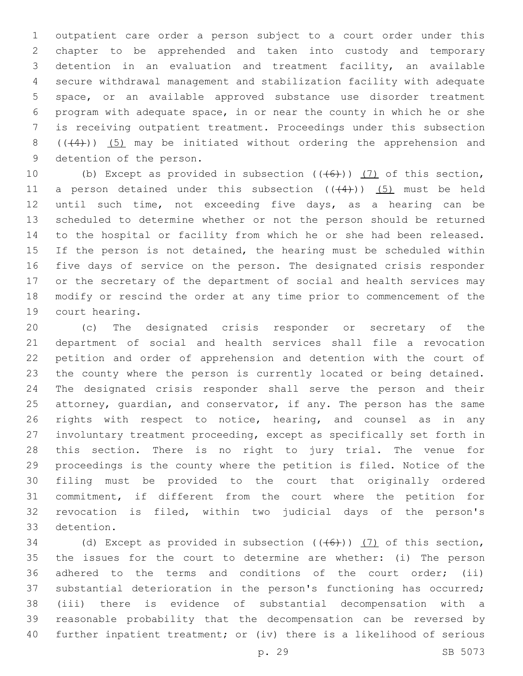outpatient care order a person subject to a court order under this chapter to be apprehended and taken into custody and temporary detention in an evaluation and treatment facility, an available secure withdrawal management and stabilization facility with adequate space, or an available approved substance use disorder treatment program with adequate space, in or near the county in which he or she is receiving outpatient treatment. Proceedings under this subsection  $((+4))$  (5) may be initiated without ordering the apprehension and 9 detention of the person.

10 (b) Except as provided in subsection  $((+6+))$  (7) of this section, 11 a person detained under this subsection  $((+4))$   $(5)$  must be held until such time, not exceeding five days, as a hearing can be scheduled to determine whether or not the person should be returned to the hospital or facility from which he or she had been released. 15 If the person is not detained, the hearing must be scheduled within five days of service on the person. The designated crisis responder or the secretary of the department of social and health services may modify or rescind the order at any time prior to commencement of the 19 court hearing.

 (c) The designated crisis responder or secretary of the department of social and health services shall file a revocation petition and order of apprehension and detention with the court of the county where the person is currently located or being detained. The designated crisis responder shall serve the person and their 25 attorney, quardian, and conservator, if any. The person has the same 26 rights with respect to notice, hearing, and counsel as in any involuntary treatment proceeding, except as specifically set forth in this section. There is no right to jury trial. The venue for proceedings is the county where the petition is filed. Notice of the filing must be provided to the court that originally ordered commitment, if different from the court where the petition for revocation is filed, within two judicial days of the person's 33 detention.

34 (d) Except as provided in subsection  $((+6))$  (7) of this section, the issues for the court to determine are whether: (i) The person adhered to the terms and conditions of the court order; (ii) substantial deterioration in the person's functioning has occurred; (iii) there is evidence of substantial decompensation with a reasonable probability that the decompensation can be reversed by further inpatient treatment; or (iv) there is a likelihood of serious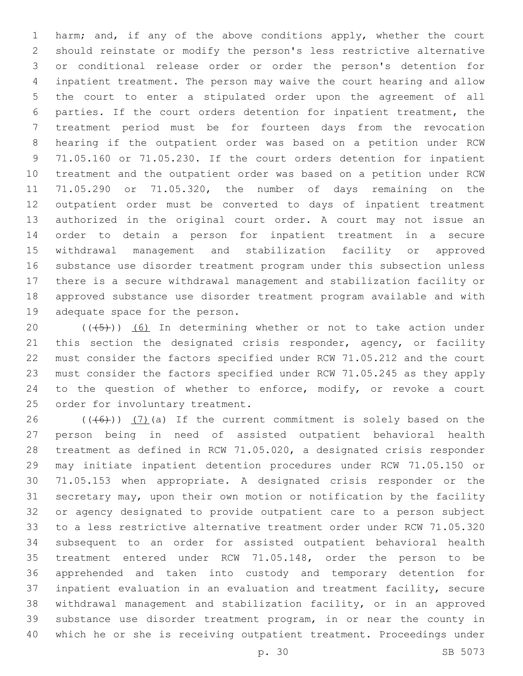harm; and, if any of the above conditions apply, whether the court should reinstate or modify the person's less restrictive alternative or conditional release order or order the person's detention for inpatient treatment. The person may waive the court hearing and allow the court to enter a stipulated order upon the agreement of all parties. If the court orders detention for inpatient treatment, the treatment period must be for fourteen days from the revocation hearing if the outpatient order was based on a petition under RCW 71.05.160 or 71.05.230. If the court orders detention for inpatient treatment and the outpatient order was based on a petition under RCW 71.05.290 or 71.05.320, the number of days remaining on the outpatient order must be converted to days of inpatient treatment authorized in the original court order. A court may not issue an order to detain a person for inpatient treatment in a secure withdrawal management and stabilization facility or approved substance use disorder treatment program under this subsection unless there is a secure withdrawal management and stabilization facility or approved substance use disorder treatment program available and with 19 adequate space for the person.

 $((+5+))$  (6) In determining whether or not to take action under 21 this section the designated crisis responder, agency, or facility must consider the factors specified under RCW 71.05.212 and the court must consider the factors specified under RCW 71.05.245 as they apply to the question of whether to enforce, modify, or revoke a court 25 order for involuntary treatment.

 $((+6+))$   $(7)$  (a) If the current commitment is solely based on the person being in need of assisted outpatient behavioral health treatment as defined in RCW 71.05.020, a designated crisis responder may initiate inpatient detention procedures under RCW 71.05.150 or 71.05.153 when appropriate. A designated crisis responder or the secretary may, upon their own motion or notification by the facility or agency designated to provide outpatient care to a person subject to a less restrictive alternative treatment order under RCW 71.05.320 subsequent to an order for assisted outpatient behavioral health treatment entered under RCW 71.05.148, order the person to be apprehended and taken into custody and temporary detention for inpatient evaluation in an evaluation and treatment facility, secure withdrawal management and stabilization facility, or in an approved substance use disorder treatment program, in or near the county in which he or she is receiving outpatient treatment. Proceedings under

p. 30 SB 5073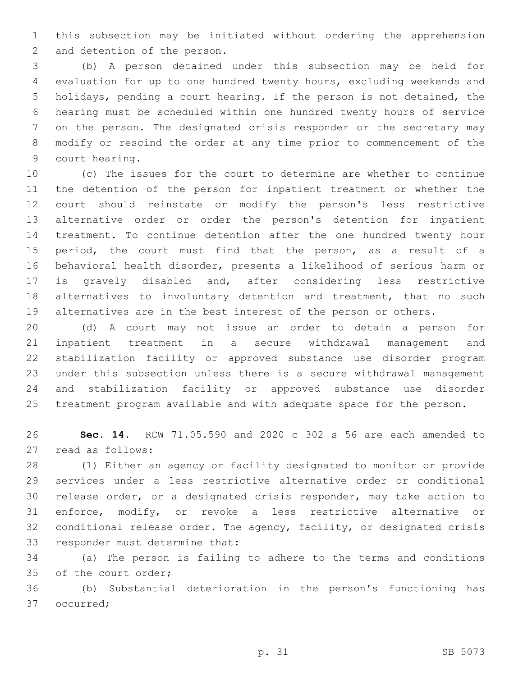this subsection may be initiated without ordering the apprehension 2 and detention of the person.

 (b) A person detained under this subsection may be held for evaluation for up to one hundred twenty hours, excluding weekends and holidays, pending a court hearing. If the person is not detained, the hearing must be scheduled within one hundred twenty hours of service on the person. The designated crisis responder or the secretary may modify or rescind the order at any time prior to commencement of the 9 court hearing.

 (c) The issues for the court to determine are whether to continue the detention of the person for inpatient treatment or whether the court should reinstate or modify the person's less restrictive alternative order or order the person's detention for inpatient treatment. To continue detention after the one hundred twenty hour period, the court must find that the person, as a result of a behavioral health disorder, presents a likelihood of serious harm or is gravely disabled and, after considering less restrictive alternatives to involuntary detention and treatment, that no such alternatives are in the best interest of the person or others.

 (d) A court may not issue an order to detain a person for inpatient treatment in a secure withdrawal management and stabilization facility or approved substance use disorder program under this subsection unless there is a secure withdrawal management and stabilization facility or approved substance use disorder treatment program available and with adequate space for the person.

 **Sec. 14.** RCW 71.05.590 and 2020 c 302 s 56 are each amended to 27 read as follows:

 (1) Either an agency or facility designated to monitor or provide services under a less restrictive alternative order or conditional release order, or a designated crisis responder, may take action to enforce, modify, or revoke a less restrictive alternative or conditional release order. The agency, facility, or designated crisis 33 responder must determine that:

 (a) The person is failing to adhere to the terms and conditions 35 of the court order;

 (b) Substantial deterioration in the person's functioning has 37 occurred;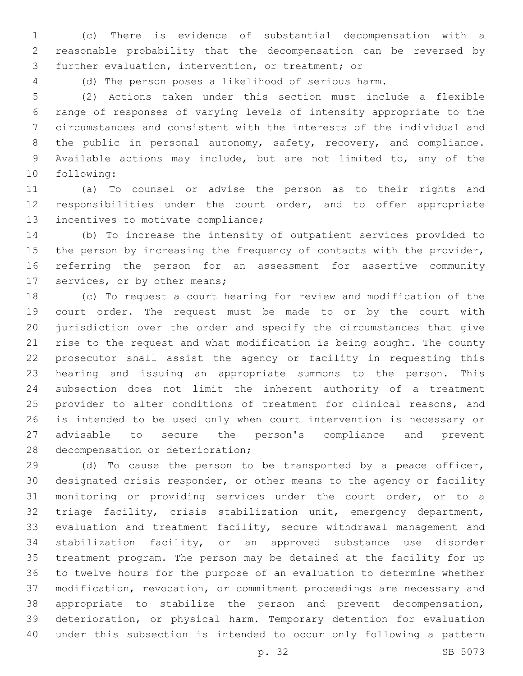(c) There is evidence of substantial decompensation with a reasonable probability that the decompensation can be reversed by 3 further evaluation, intervention, or treatment; or

(d) The person poses a likelihood of serious harm.

 (2) Actions taken under this section must include a flexible range of responses of varying levels of intensity appropriate to the circumstances and consistent with the interests of the individual and 8 the public in personal autonomy, safety, recovery, and compliance. Available actions may include, but are not limited to, any of the 10 following:

 (a) To counsel or advise the person as to their rights and responsibilities under the court order, and to offer appropriate 13 incentives to motivate compliance;

 (b) To increase the intensity of outpatient services provided to 15 the person by increasing the frequency of contacts with the provider, referring the person for an assessment for assertive community 17 services, or by other means;

 (c) To request a court hearing for review and modification of the court order. The request must be made to or by the court with jurisdiction over the order and specify the circumstances that give rise to the request and what modification is being sought. The county prosecutor shall assist the agency or facility in requesting this hearing and issuing an appropriate summons to the person. This subsection does not limit the inherent authority of a treatment 25 provider to alter conditions of treatment for clinical reasons, and is intended to be used only when court intervention is necessary or advisable to secure the person's compliance and prevent 28 decompensation or deterioration;

 (d) To cause the person to be transported by a peace officer, designated crisis responder, or other means to the agency or facility monitoring or providing services under the court order, or to a triage facility, crisis stabilization unit, emergency department, evaluation and treatment facility, secure withdrawal management and stabilization facility, or an approved substance use disorder treatment program. The person may be detained at the facility for up to twelve hours for the purpose of an evaluation to determine whether modification, revocation, or commitment proceedings are necessary and appropriate to stabilize the person and prevent decompensation, deterioration, or physical harm. Temporary detention for evaluation under this subsection is intended to occur only following a pattern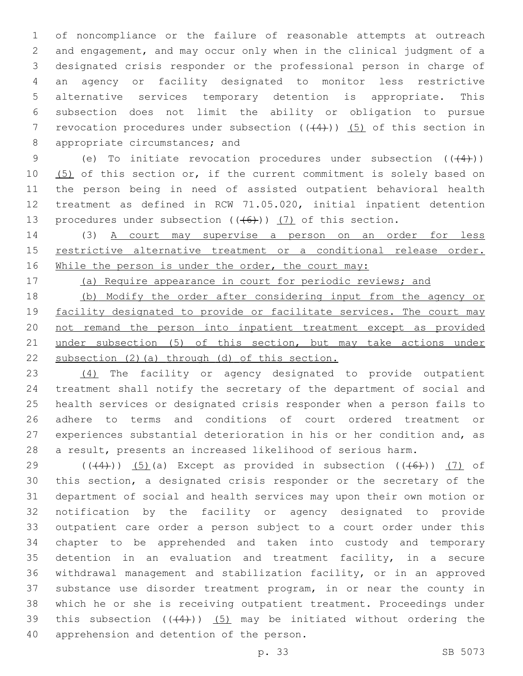of noncompliance or the failure of reasonable attempts at outreach and engagement, and may occur only when in the clinical judgment of a designated crisis responder or the professional person in charge of an agency or facility designated to monitor less restrictive alternative services temporary detention is appropriate. This subsection does not limit the ability or obligation to pursue 7 revocation procedures under subsection  $((+4))$   $(5)$  of this section in 8 appropriate circumstances; and

9 (e) To initiate revocation procedures under subsection  $((+4))$ 10 (5) of this section or, if the current commitment is solely based on the person being in need of assisted outpatient behavioral health treatment as defined in RCW 71.05.020, initial inpatient detention 13 procedures under subsection  $((+6))$   $(7)$  of this section.

14 (3) A court may supervise a person on an order for less 15 restrictive alternative treatment or a conditional release order. 16 While the person is under the order, the court may:

(a) Require appearance in court for periodic reviews; and

 (b) Modify the order after considering input from the agency or 19 facility designated to provide or facilitate services. The court may not remand the person into inpatient treatment except as provided under subsection (5) of this section, but may take actions under subsection (2)(a) through (d) of this section.

 (4) The facility or agency designated to provide outpatient treatment shall notify the secretary of the department of social and health services or designated crisis responder when a person fails to adhere to terms and conditions of court ordered treatment or experiences substantial deterioration in his or her condition and, as a result, presents an increased likelihood of serious harm.

29 ( $((4)$ )) (5)(a) Except as provided in subsection  $((46)$ ) (7) of this section, a designated crisis responder or the secretary of the department of social and health services may upon their own motion or notification by the facility or agency designated to provide outpatient care order a person subject to a court order under this chapter to be apprehended and taken into custody and temporary detention in an evaluation and treatment facility, in a secure withdrawal management and stabilization facility, or in an approved substance use disorder treatment program, in or near the county in which he or she is receiving outpatient treatment. Proceedings under 39 this subsection  $((+4))$   $(5)$  may be initiated without ordering the 40 apprehension and detention of the person.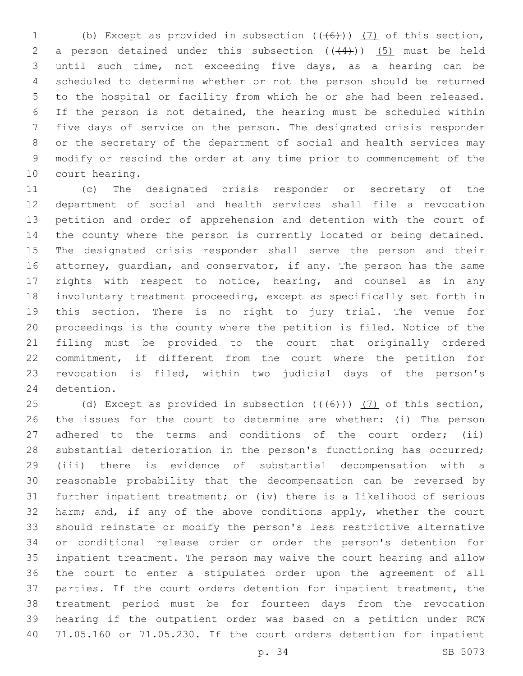1 (b) Except as provided in subsection  $((+6))$  (7) of this section, 2 a person detained under this subsection  $((+4))$   $(5)$  must be held until such time, not exceeding five days, as a hearing can be scheduled to determine whether or not the person should be returned to the hospital or facility from which he or she had been released. If the person is not detained, the hearing must be scheduled within five days of service on the person. The designated crisis responder or the secretary of the department of social and health services may modify or rescind the order at any time prior to commencement of the 10 court hearing.

 (c) The designated crisis responder or secretary of the department of social and health services shall file a revocation petition and order of apprehension and detention with the court of the county where the person is currently located or being detained. The designated crisis responder shall serve the person and their attorney, guardian, and conservator, if any. The person has the same rights with respect to notice, hearing, and counsel as in any involuntary treatment proceeding, except as specifically set forth in this section. There is no right to jury trial. The venue for proceedings is the county where the petition is filed. Notice of the filing must be provided to the court that originally ordered commitment, if different from the court where the petition for revocation is filed, within two judicial days of the person's 24 detention.

25 (d) Except as provided in subsection  $((+6+))$  (7) of this section, the issues for the court to determine are whether: (i) The person 27 adhered to the terms and conditions of the court order; (ii) substantial deterioration in the person's functioning has occurred; (iii) there is evidence of substantial decompensation with a reasonable probability that the decompensation can be reversed by further inpatient treatment; or (iv) there is a likelihood of serious 32 harm; and, if any of the above conditions apply, whether the court should reinstate or modify the person's less restrictive alternative or conditional release order or order the person's detention for inpatient treatment. The person may waive the court hearing and allow the court to enter a stipulated order upon the agreement of all parties. If the court orders detention for inpatient treatment, the treatment period must be for fourteen days from the revocation hearing if the outpatient order was based on a petition under RCW 71.05.160 or 71.05.230. If the court orders detention for inpatient

p. 34 SB 5073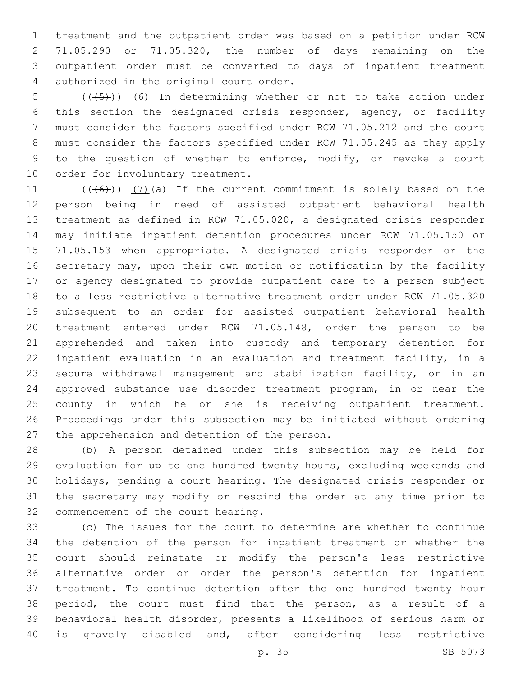treatment and the outpatient order was based on a petition under RCW 71.05.290 or 71.05.320, the number of days remaining on the outpatient order must be converted to days of inpatient treatment 4 authorized in the original court order.

5 (( $(45)$ )) (6) In determining whether or not to take action under this section the designated crisis responder, agency, or facility must consider the factors specified under RCW 71.05.212 and the court must consider the factors specified under RCW 71.05.245 as they apply to the question of whether to enforce, modify, or revoke a court 10 order for involuntary treatment.

 $((\overline{6}))$   $(7)$  (a) If the current commitment is solely based on the person being in need of assisted outpatient behavioral health treatment as defined in RCW 71.05.020, a designated crisis responder may initiate inpatient detention procedures under RCW 71.05.150 or 71.05.153 when appropriate. A designated crisis responder or the secretary may, upon their own motion or notification by the facility or agency designated to provide outpatient care to a person subject to a less restrictive alternative treatment order under RCW 71.05.320 subsequent to an order for assisted outpatient behavioral health treatment entered under RCW 71.05.148, order the person to be apprehended and taken into custody and temporary detention for inpatient evaluation in an evaluation and treatment facility, in a secure withdrawal management and stabilization facility, or in an approved substance use disorder treatment program, in or near the 25 county in which he or she is receiving outpatient treatment. Proceedings under this subsection may be initiated without ordering 27 the apprehension and detention of the person.

 (b) A person detained under this subsection may be held for evaluation for up to one hundred twenty hours, excluding weekends and holidays, pending a court hearing. The designated crisis responder or the secretary may modify or rescind the order at any time prior to 32 commencement of the court hearing.

 (c) The issues for the court to determine are whether to continue the detention of the person for inpatient treatment or whether the court should reinstate or modify the person's less restrictive alternative order or order the person's detention for inpatient treatment. To continue detention after the one hundred twenty hour period, the court must find that the person, as a result of a behavioral health disorder, presents a likelihood of serious harm or is gravely disabled and, after considering less restrictive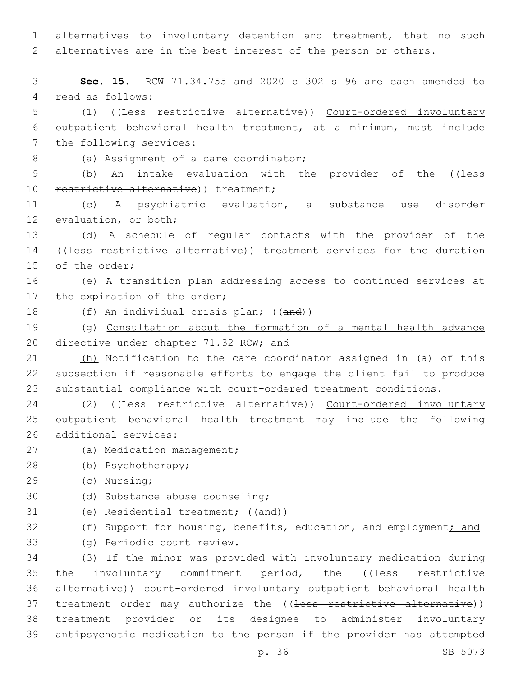1 alternatives to involuntary detention and treatment, that no such 2 alternatives are in the best interest of the person or others.

3 **Sec. 15.** RCW 71.34.755 and 2020 c 302 s 96 are each amended to 4 read as follows: 5 (1) ((Less restrictive alternative)) Court-ordered involuntary 6 outpatient behavioral health treatment, at a minimum, must include 7 the following services: 8 (a) Assignment of a care coordinator; 9 (b) An intake evaluation with the provider of the ((less 10 restrictive alternative)) treatment; 11 (c) A psychiatric evaluation, a substance use disorder 12 evaluation, or both; 13 (d) A schedule of regular contacts with the provider of the 14 ((less restrictive alternative)) treatment services for the duration 15 of the order; 16 (e) A transition plan addressing access to continued services at 17 the expiration of the order; 18 (f) An individual crisis plan; ((and)) 19 (g) Consultation about the formation of a mental health advance 20 directive under chapter 71.32 RCW; and 21 (h) Notification to the care coordinator assigned in (a) of this 22 subsection if reasonable efforts to engage the client fail to produce 23 substantial compliance with court-ordered treatment conditions. 24 (2) ((Less restrictive alternative)) Court-ordered involuntary 25 outpatient behavioral health treatment may include the following 26 additional services: 27 (a) Medication management; (b) Psychotherapy;28 (c) Nursing;29 30 (d) Substance abuse counseling; 31 (e) Residential treatment; ((and)) 32 (f) Support for housing, benefits, education, and employment<u>; and</u> (g) Periodic court review.33 34 (3) If the minor was provided with involuntary medication during 35 the involuntary commitment period, the ((less restrictive 36 alternative)) court-ordered involuntary outpatient behavioral health 37 treatment order may authorize the ((less restrictive alternative)) 38 treatment provider or its designee to administer involuntary

39 antipsychotic medication to the person if the provider has attempted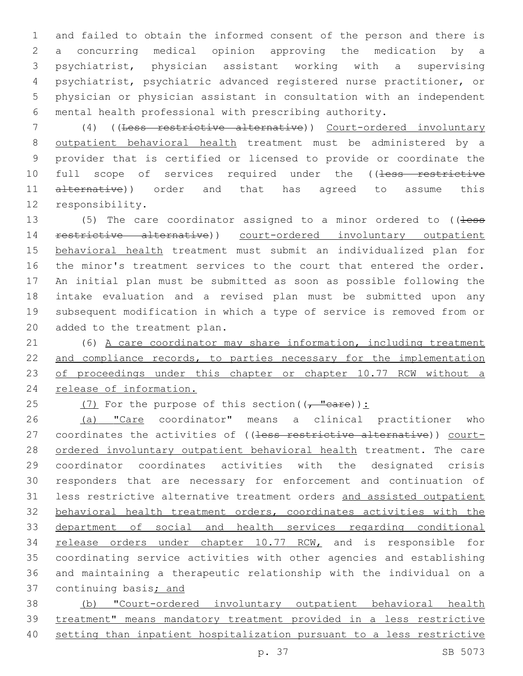and failed to obtain the informed consent of the person and there is a concurring medical opinion approving the medication by a psychiatrist, physician assistant working with a supervising psychiatrist, psychiatric advanced registered nurse practitioner, or physician or physician assistant in consultation with an independent mental health professional with prescribing authority.

 (4) ((Less restrictive alternative)) Court-ordered involuntary outpatient behavioral health treatment must be administered by a provider that is certified or licensed to provide or coordinate the 10 full scope of services required under the ((less restrictive 11 alternative)) order and that has agreed to assume this 12 responsibility.

13 (5) The care coordinator assigned to a minor ordered to ((less 14 restrictive alternative)) court-ordered involuntary outpatient 15 behavioral health treatment must submit an individualized plan for the minor's treatment services to the court that entered the order. An initial plan must be submitted as soon as possible following the intake evaluation and a revised plan must be submitted upon any subsequent modification in which a type of service is removed from or 20 added to the treatment plan.

 (6) A care coordinator may share information, including treatment 22 and compliance records, to parties necessary for the implementation 23 of proceedings under this chapter or chapter 10.77 RCW without a release of information.

25 (7) For the purpose of this section( $(\tau$  "care)):

26 (a) "Care coordinator" means a clinical practitioner who 27 coordinates the activities of ((less restrictive alternative)) court-28 ordered involuntary outpatient behavioral health treatment. The care coordinator coordinates activities with the designated crisis responders that are necessary for enforcement and continuation of less restrictive alternative treatment orders and assisted outpatient behavioral health treatment orders, coordinates activities with the department of social and health services regarding conditional 34 release orders under chapter 10.77 RCW, and is responsible for coordinating service activities with other agencies and establishing and maintaining a therapeutic relationship with the individual on a 37 continuing basis; and

 (b) "Court-ordered involuntary outpatient behavioral health treatment" means mandatory treatment provided in a less restrictive setting than inpatient hospitalization pursuant to a less restrictive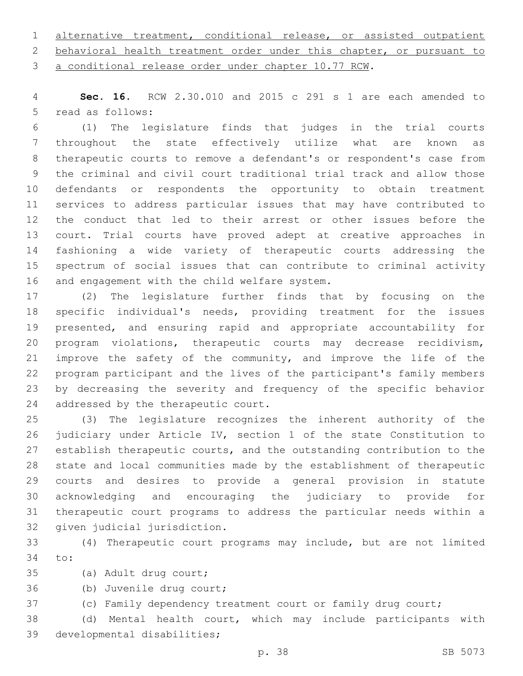alternative treatment, conditional release, or assisted outpatient behavioral health treatment order under this chapter, or pursuant to

a conditional release order under chapter 10.77 RCW.

 **Sec. 16.** RCW 2.30.010 and 2015 c 291 s 1 are each amended to 5 read as follows:

 (1) The legislature finds that judges in the trial courts throughout the state effectively utilize what are known as therapeutic courts to remove a defendant's or respondent's case from the criminal and civil court traditional trial track and allow those defendants or respondents the opportunity to obtain treatment services to address particular issues that may have contributed to the conduct that led to their arrest or other issues before the court. Trial courts have proved adept at creative approaches in fashioning a wide variety of therapeutic courts addressing the spectrum of social issues that can contribute to criminal activity 16 and engagement with the child welfare system.

 (2) The legislature further finds that by focusing on the specific individual's needs, providing treatment for the issues presented, and ensuring rapid and appropriate accountability for program violations, therapeutic courts may decrease recidivism, improve the safety of the community, and improve the life of the program participant and the lives of the participant's family members by decreasing the severity and frequency of the specific behavior 24 addressed by the therapeutic court.

 (3) The legislature recognizes the inherent authority of the judiciary under Article IV, section 1 of the state Constitution to establish therapeutic courts, and the outstanding contribution to the state and local communities made by the establishment of therapeutic courts and desires to provide a general provision in statute acknowledging and encouraging the judiciary to provide for therapeutic court programs to address the particular needs within a 32 given judicial jurisdiction.

 (4) Therapeutic court programs may include, but are not limited 34 to:

35 (a) Adult drug court;

36 (b) Juvenile drug court;

(c) Family dependency treatment court or family drug court;

 (d) Mental health court, which may include participants with 39 developmental disabilities;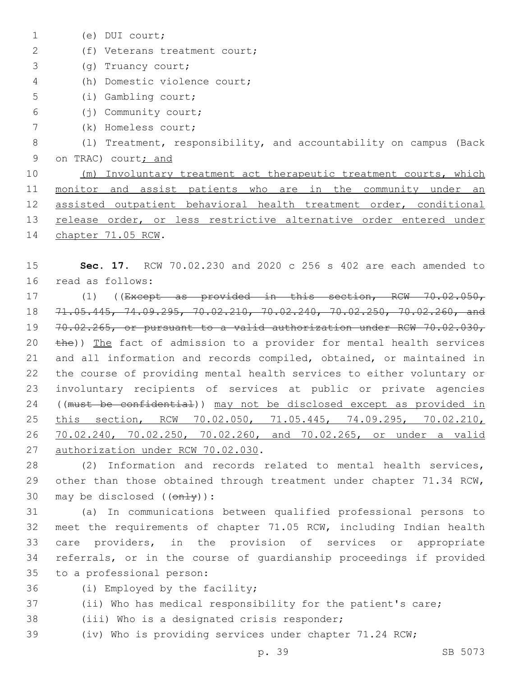(e) DUI court;1 2 (f) Veterans treatment court; (g) Truancy court;3 (h) Domestic violence court;4 (i) Gambling court;5 (j) Community court;6 (k) Homeless court;7 8 (l) Treatment, responsibility, and accountability on campus (Back 9 on TRAC) court; and 10 (m) Involuntary treatment act therapeutic treatment courts, which 11 monitor and assist patients who are in the community under an 12 assisted outpatient behavioral health treatment order, conditional 13 release order, or less restrictive alternative order entered under 14 chapter 71.05 RCW.

15 **Sec. 17.** RCW 70.02.230 and 2020 c 256 s 402 are each amended to 16 read as follows:

 (1) ((Except as provided in this section, RCW 70.02.050, 71.05.445, 74.09.295, 70.02.210, 70.02.240, 70.02.250, 70.02.260, and 70.02.265, or pursuant to a valid authorization under RCW 70.02.030, 20 the)) The fact of admission to a provider for mental health services and all information and records compiled, obtained, or maintained in the course of providing mental health services to either voluntary or involuntary recipients of services at public or private agencies ((must be confidential)) may not be disclosed except as provided in this section, RCW 70.02.050, 71.05.445, 74.09.295, 70.02.210, 70.02.240, 70.02.250, 70.02.260, and 70.02.265, or under a valid 27 authorization under RCW 70.02.030.

28 (2) Information and records related to mental health services, 29 other than those obtained through treatment under chapter 71.34 RCW, 30 may be disclosed  $((on+y))$ :

 (a) In communications between qualified professional persons to meet the requirements of chapter 71.05 RCW, including Indian health care providers, in the provision of services or appropriate referrals, or in the course of guardianship proceedings if provided 35 to a professional person:

36 (i) Employed by the facility;

37 (ii) Who has medical responsibility for the patient's care;

38 (iii) Who is a designated crisis responder;

39 (iv) Who is providing services under chapter 71.24 RCW;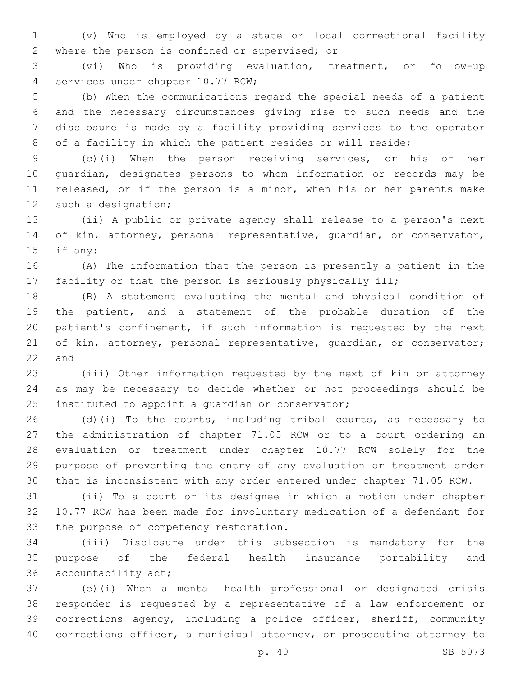(v) Who is employed by a state or local correctional facility 2 where the person is confined or supervised; or

 (vi) Who is providing evaluation, treatment, or follow-up 4 services under chapter 10.77 RCW;

 (b) When the communications regard the special needs of a patient and the necessary circumstances giving rise to such needs and the disclosure is made by a facility providing services to the operator 8 of a facility in which the patient resides or will reside;

 (c)(i) When the person receiving services, or his or her guardian, designates persons to whom information or records may be released, or if the person is a minor, when his or her parents make 12 such a designation;

 (ii) A public or private agency shall release to a person's next of kin, attorney, personal representative, guardian, or conservator, 15 if any:

 (A) The information that the person is presently a patient in the facility or that the person is seriously physically ill;

 (B) A statement evaluating the mental and physical condition of the patient, and a statement of the probable duration of the patient's confinement, if such information is requested by the next 21 of kin, attorney, personal representative, quardian, or conservator; and

 (iii) Other information requested by the next of kin or attorney as may be necessary to decide whether or not proceedings should be 25 instituted to appoint a quardian or conservator;

 (d)(i) To the courts, including tribal courts, as necessary to the administration of chapter 71.05 RCW or to a court ordering an evaluation or treatment under chapter 10.77 RCW solely for the purpose of preventing the entry of any evaluation or treatment order that is inconsistent with any order entered under chapter 71.05 RCW.

 (ii) To a court or its designee in which a motion under chapter 10.77 RCW has been made for involuntary medication of a defendant for 33 the purpose of competency restoration.

 (iii) Disclosure under this subsection is mandatory for the purpose of the federal health insurance portability and 36 accountability act;

 (e)(i) When a mental health professional or designated crisis responder is requested by a representative of a law enforcement or corrections agency, including a police officer, sheriff, community corrections officer, a municipal attorney, or prosecuting attorney to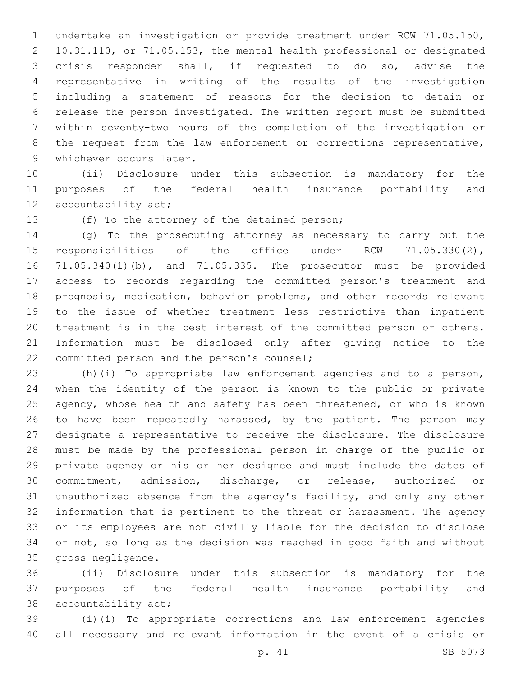undertake an investigation or provide treatment under RCW 71.05.150, 10.31.110, or 71.05.153, the mental health professional or designated crisis responder shall, if requested to do so, advise the representative in writing of the results of the investigation including a statement of reasons for the decision to detain or release the person investigated. The written report must be submitted within seventy-two hours of the completion of the investigation or 8 the request from the law enforcement or corrections representative, 9 whichever occurs later.

 (ii) Disclosure under this subsection is mandatory for the purposes of the federal health insurance portability and 12 accountability act;

13 (f) To the attorney of the detained person;

 (g) To the prosecuting attorney as necessary to carry out the responsibilities of the office under RCW 71.05.330(2), 71.05.340(1)(b), and 71.05.335. The prosecutor must be provided access to records regarding the committed person's treatment and prognosis, medication, behavior problems, and other records relevant to the issue of whether treatment less restrictive than inpatient treatment is in the best interest of the committed person or others. Information must be disclosed only after giving notice to the 22 committed person and the person's counsel;

 (h)(i) To appropriate law enforcement agencies and to a person, when the identity of the person is known to the public or private agency, whose health and safety has been threatened, or who is known to have been repeatedly harassed, by the patient. The person may designate a representative to receive the disclosure. The disclosure must be made by the professional person in charge of the public or private agency or his or her designee and must include the dates of commitment, admission, discharge, or release, authorized or unauthorized absence from the agency's facility, and only any other information that is pertinent to the threat or harassment. The agency or its employees are not civilly liable for the decision to disclose or not, so long as the decision was reached in good faith and without 35 gross negligence.

 (ii) Disclosure under this subsection is mandatory for the purposes of the federal health insurance portability and 38 accountability act;

 (i)(i) To appropriate corrections and law enforcement agencies all necessary and relevant information in the event of a crisis or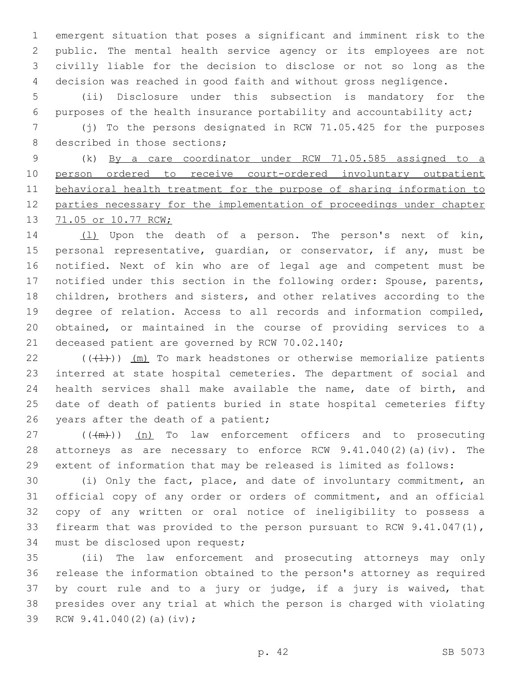emergent situation that poses a significant and imminent risk to the public. The mental health service agency or its employees are not civilly liable for the decision to disclose or not so long as the decision was reached in good faith and without gross negligence.

 (ii) Disclosure under this subsection is mandatory for the purposes of the health insurance portability and accountability act;

 (j) To the persons designated in RCW 71.05.425 for the purposes 8 described in those sections;

 (k) By a care coordinator under RCW 71.05.585 assigned to a person ordered to receive court-ordered involuntary outpatient behavioral health treatment for the purpose of sharing information to parties necessary for the implementation of proceedings under chapter 71.05 or 10.77 RCW;

14 (1) Upon the death of a person. The person's next of kin, 15 personal representative, quardian, or conservator, if any, must be notified. Next of kin who are of legal age and competent must be notified under this section in the following order: Spouse, parents, children, brothers and sisters, and other relatives according to the degree of relation. Access to all records and information compiled, obtained, or maintained in the course of providing services to a 21 deceased patient are governed by RCW 70.02.140;

 $((\langle 1 \rangle)^2)$  (m) To mark headstones or otherwise memorialize patients interred at state hospital cemeteries. The department of social and health services shall make available the name, date of birth, and date of death of patients buried in state hospital cemeteries fifty 26 years after the death of a patient;

 ( $(\frac{+m}{2})$ ) (n) To law enforcement officers and to prosecuting attorneys as are necessary to enforce RCW 9.41.040(2)(a)(iv). The extent of information that may be released is limited as follows:

 (i) Only the fact, place, and date of involuntary commitment, an official copy of any order or orders of commitment, and an official copy of any written or oral notice of ineligibility to possess a firearm that was provided to the person pursuant to RCW 9.41.047(1), 34 must be disclosed upon request;

 (ii) The law enforcement and prosecuting attorneys may only release the information obtained to the person's attorney as required by court rule and to a jury or judge, if a jury is waived, that presides over any trial at which the person is charged with violating 39 RCW 9.41.040(2)(a)(iv);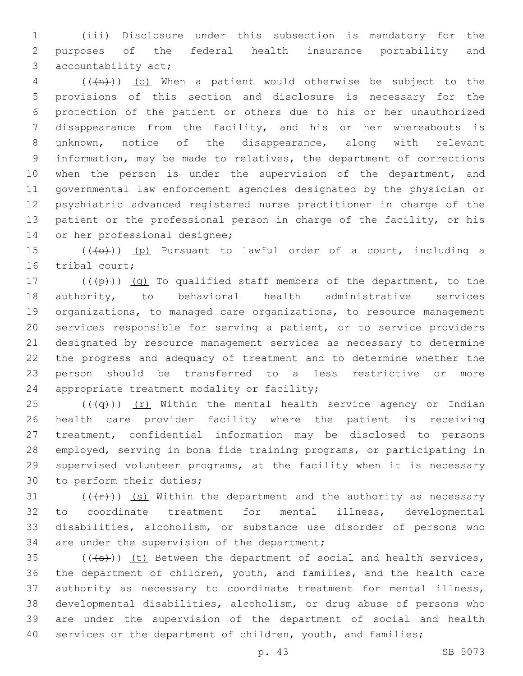(iii) Disclosure under this subsection is mandatory for the purposes of the federal health insurance portability and 3 accountability act;

 ( $(\overline{+n})$ ) (o) When a patient would otherwise be subject to the provisions of this section and disclosure is necessary for the protection of the patient or others due to his or her unauthorized disappearance from the facility, and his or her whereabouts is unknown, notice of the disappearance, along with relevant information, may be made to relatives, the department of corrections 10 when the person is under the supervision of the department, and governmental law enforcement agencies designated by the physician or psychiatric advanced registered nurse practitioner in charge of the patient or the professional person in charge of the facility, or his 14 or her professional designee;

15  $((+e+))$  (p) Pursuant to lawful order of a court, including a 16 tribal court;

 $((+p))$   $(q)$  To qualified staff members of the department, to the authority, to behavioral health administrative services organizations, to managed care organizations, to resource management services responsible for serving a patient, or to service providers designated by resource management services as necessary to determine the progress and adequacy of treatment and to determine whether the person should be transferred to a less restrictive or more 24 appropriate treatment modality or facility;

25 ( $(\overline{q})$ ) (r) Within the mental health service agency or Indian health care provider facility where the patient is receiving treatment, confidential information may be disclosed to persons employed, serving in bona fide training programs, or participating in supervised volunteer programs, at the facility when it is necessary 30 to perform their duties;

 $((+r))$  (s) Within the department and the authority as necessary to coordinate treatment for mental illness, developmental disabilities, alcoholism, or substance use disorder of persons who 34 are under the supervision of the department;

 $(1+35)$  ( $(1+3)$ ) (t) Between the department of social and health services, the department of children, youth, and families, and the health care authority as necessary to coordinate treatment for mental illness, developmental disabilities, alcoholism, or drug abuse of persons who are under the supervision of the department of social and health 40 services or the department of children, youth, and families;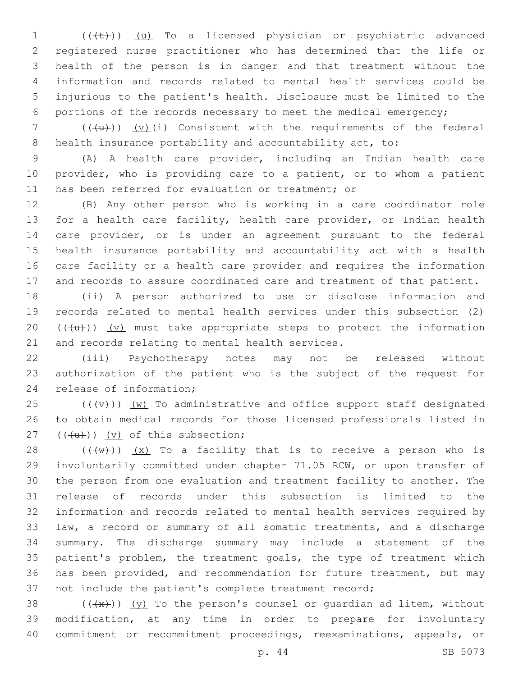1 (((+)) (u) To a licensed physician or psychiatric advanced registered nurse practitioner who has determined that the life or health of the person is in danger and that treatment without the information and records related to mental health services could be injurious to the patient's health. Disclosure must be limited to the portions of the records necessary to meet the medical emergency;

 ( $(\overline{u})$ ) (v)(i) Consistent with the requirements of the federal 8 health insurance portability and accountability act, to:

 (A) A health care provider, including an Indian health care provider, who is providing care to a patient, or to whom a patient 11 has been referred for evaluation or treatment; or

 (B) Any other person who is working in a care coordinator role for a health care facility, health care provider, or Indian health care provider, or is under an agreement pursuant to the federal health insurance portability and accountability act with a health care facility or a health care provider and requires the information and records to assure coordinated care and treatment of that patient.

 (ii) A person authorized to use or disclose information and records related to mental health services under this subsection (2)  $((+u))$   $(v)$  must take appropriate steps to protect the information 21 and records relating to mental health services.

 (iii) Psychotherapy notes may not be released without authorization of the patient who is the subject of the request for 24 release of information;

 (( $\overline{\text{+v}}$ )) (w) To administrative and office support staff designated to obtain medical records for those licensed professionals listed in  $((\{u\}) \ (v)$  of this subsection;

 $((+w))$   $(x)$  To a facility that is to receive a person who is involuntarily committed under chapter 71.05 RCW, or upon transfer of the person from one evaluation and treatment facility to another. The release of records under this subsection is limited to the information and records related to mental health services required by law, a record or summary of all somatic treatments, and a discharge summary. The discharge summary may include a statement of the 35 patient's problem, the treatment goals, the type of treatment which has been provided, and recommendation for future treatment, but may not include the patient's complete treatment record;

38  $((+x))$   $(y)$  To the person's counsel or quardian ad litem, without modification, at any time in order to prepare for involuntary commitment or recommitment proceedings, reexaminations, appeals, or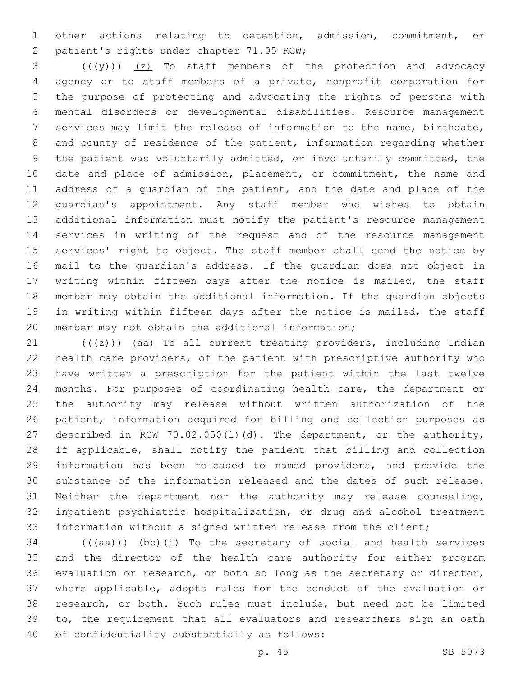other actions relating to detention, admission, commitment, or 2 patient's rights under chapter 71.05 RCW;

 ( $(\frac{4}{3})$ )  $(2)$  To staff members of the protection and advocacy agency or to staff members of a private, nonprofit corporation for the purpose of protecting and advocating the rights of persons with mental disorders or developmental disabilities. Resource management services may limit the release of information to the name, birthdate, and county of residence of the patient, information regarding whether the patient was voluntarily admitted, or involuntarily committed, the date and place of admission, placement, or commitment, the name and address of a guardian of the patient, and the date and place of the guardian's appointment. Any staff member who wishes to obtain additional information must notify the patient's resource management services in writing of the request and of the resource management services' right to object. The staff member shall send the notice by mail to the guardian's address. If the guardian does not object in writing within fifteen days after the notice is mailed, the staff member may obtain the additional information. If the guardian objects in writing within fifteen days after the notice is mailed, the staff 20 member may not obtain the additional information;

 $((+z))$  (aa) To all current treating providers, including Indian health care providers, of the patient with prescriptive authority who have written a prescription for the patient within the last twelve months. For purposes of coordinating health care, the department or the authority may release without written authorization of the patient, information acquired for billing and collection purposes as described in RCW 70.02.050(1)(d). The department, or the authority, if applicable, shall notify the patient that billing and collection information has been released to named providers, and provide the substance of the information released and the dates of such release. Neither the department nor the authority may release counseling, inpatient psychiatric hospitalization, or drug and alcohol treatment information without a signed written release from the client;

 (( $(a^2 + b^2)$ ) (bb)(i) To the secretary of social and health services and the director of the health care authority for either program evaluation or research, or both so long as the secretary or director, where applicable, adopts rules for the conduct of the evaluation or research, or both. Such rules must include, but need not be limited to, the requirement that all evaluators and researchers sign an oath 40 of confidentiality substantially as follows: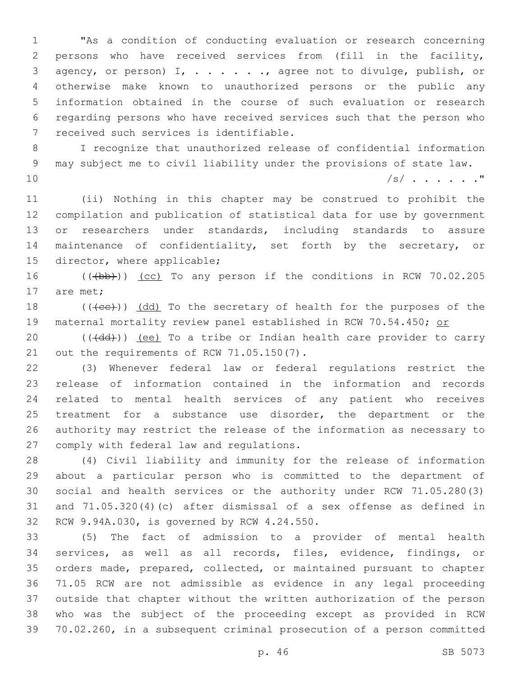"As a condition of conducting evaluation or research concerning persons who have received services from (fill in the facility, agency, or person) I, . . . . . ., agree not to divulge, publish, or otherwise make known to unauthorized persons or the public any information obtained in the course of such evaluation or research regarding persons who have received services such that the person who 7 received such services is identifiable.

 I recognize that unauthorized release of confidential information may subject me to civil liability under the provisions of state law. /s/ . . . . . ."

 (ii) Nothing in this chapter may be construed to prohibit the compilation and publication of statistical data for use by government 13 or researchers under standards, including standards to assure maintenance of confidentiality, set forth by the secretary, or 15 director, where applicable;

16 (((b))) (cc) To any person if the conditions in RCW 70.02.205 17 are met:

18 (((ee))) (dd) To the secretary of health for the purposes of the 19 maternal mortality review panel established in RCW 70.54.450; or

20 (((dd))) (ee) To a tribe or Indian health care provider to carry 21 out the requirements of RCW 71.05.150(7).

 (3) Whenever federal law or federal regulations restrict the release of information contained in the information and records related to mental health services of any patient who receives 25 treatment for a substance use disorder, the department or the authority may restrict the release of the information as necessary to 27 comply with federal law and regulations.

 (4) Civil liability and immunity for the release of information about a particular person who is committed to the department of social and health services or the authority under RCW 71.05.280(3) and 71.05.320(4)(c) after dismissal of a sex offense as defined in 32 RCW 9.94A.030, is governed by RCW 4.24.550.

 (5) The fact of admission to a provider of mental health services, as well as all records, files, evidence, findings, or orders made, prepared, collected, or maintained pursuant to chapter 71.05 RCW are not admissible as evidence in any legal proceeding outside that chapter without the written authorization of the person who was the subject of the proceeding except as provided in RCW 70.02.260, in a subsequent criminal prosecution of a person committed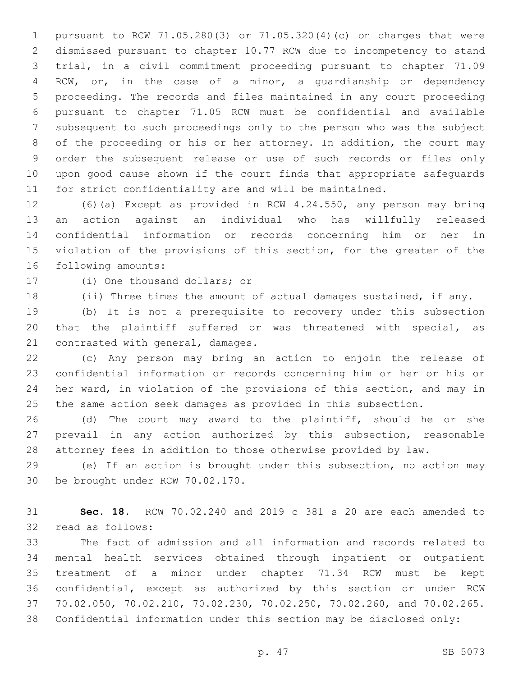pursuant to RCW 71.05.280(3) or 71.05.320(4)(c) on charges that were dismissed pursuant to chapter 10.77 RCW due to incompetency to stand trial, in a civil commitment proceeding pursuant to chapter 71.09 RCW, or, in the case of a minor, a guardianship or dependency proceeding. The records and files maintained in any court proceeding pursuant to chapter 71.05 RCW must be confidential and available subsequent to such proceedings only to the person who was the subject of the proceeding or his or her attorney. In addition, the court may order the subsequent release or use of such records or files only upon good cause shown if the court finds that appropriate safeguards for strict confidentiality are and will be maintained.

 (6)(a) Except as provided in RCW 4.24.550, any person may bring an action against an individual who has willfully released confidential information or records concerning him or her in violation of the provisions of this section, for the greater of the 16 following amounts:

17 (i) One thousand dollars; or

(ii) Three times the amount of actual damages sustained, if any.

 (b) It is not a prerequisite to recovery under this subsection that the plaintiff suffered or was threatened with special, as 21 contrasted with general, damages.

 (c) Any person may bring an action to enjoin the release of confidential information or records concerning him or her or his or her ward, in violation of the provisions of this section, and may in the same action seek damages as provided in this subsection.

 (d) The court may award to the plaintiff, should he or she prevail in any action authorized by this subsection, reasonable attorney fees in addition to those otherwise provided by law.

 (e) If an action is brought under this subsection, no action may 30 be brought under RCW 70.02.170.

 **Sec. 18.** RCW 70.02.240 and 2019 c 381 s 20 are each amended to 32 read as follows:

 The fact of admission and all information and records related to mental health services obtained through inpatient or outpatient treatment of a minor under chapter 71.34 RCW must be kept confidential, except as authorized by this section or under RCW 70.02.050, 70.02.210, 70.02.230, 70.02.250, 70.02.260, and 70.02.265. Confidential information under this section may be disclosed only: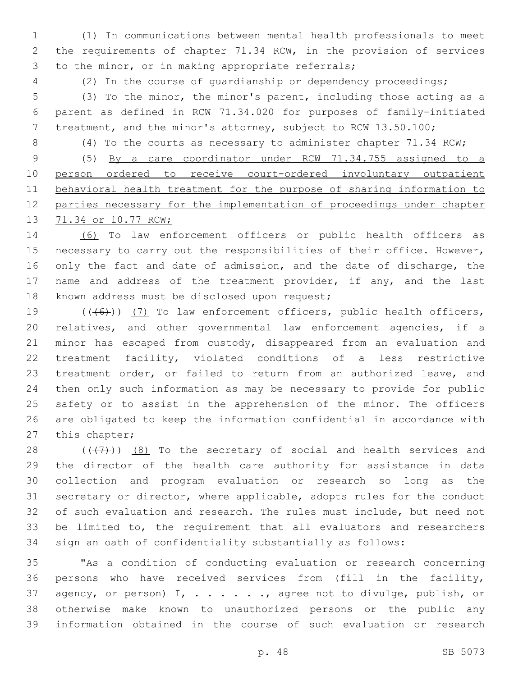(1) In communications between mental health professionals to meet the requirements of chapter 71.34 RCW, in the provision of services 3 to the minor, or in making appropriate referrals;

(2) In the course of guardianship or dependency proceedings;

 (3) To the minor, the minor's parent, including those acting as a parent as defined in RCW 71.34.020 for purposes of family-initiated treatment, and the minor's attorney, subject to RCW 13.50.100;

(4) To the courts as necessary to administer chapter 71.34 RCW;

 (5) By a care coordinator under RCW 71.34.755 assigned to a person ordered to receive court-ordered involuntary outpatient behavioral health treatment for the purpose of sharing information to parties necessary for the implementation of proceedings under chapter 71.34 or 10.77 RCW;

 (6) To law enforcement officers or public health officers as 15 necessary to carry out the responsibilities of their office. However, 16 only the fact and date of admission, and the date of discharge, the 17 name and address of the treatment provider, if any, and the last 18 known address must be disclosed upon request;

19 (((6)) (7) To law enforcement officers, public health officers, relatives, and other governmental law enforcement agencies, if a minor has escaped from custody, disappeared from an evaluation and treatment facility, violated conditions of a less restrictive treatment order, or failed to return from an authorized leave, and then only such information as may be necessary to provide for public safety or to assist in the apprehension of the minor. The officers are obligated to keep the information confidential in accordance with 27 this chapter;

 $((+7+))$   $(8)$  To the secretary of social and health services and the director of the health care authority for assistance in data collection and program evaluation or research so long as the secretary or director, where applicable, adopts rules for the conduct of such evaluation and research. The rules must include, but need not be limited to, the requirement that all evaluators and researchers sign an oath of confidentiality substantially as follows:

 "As a condition of conducting evaluation or research concerning persons who have received services from (fill in the facility, 37 agency, or person) I, . . . . . . , agree not to divulge, publish, or otherwise make known to unauthorized persons or the public any information obtained in the course of such evaluation or research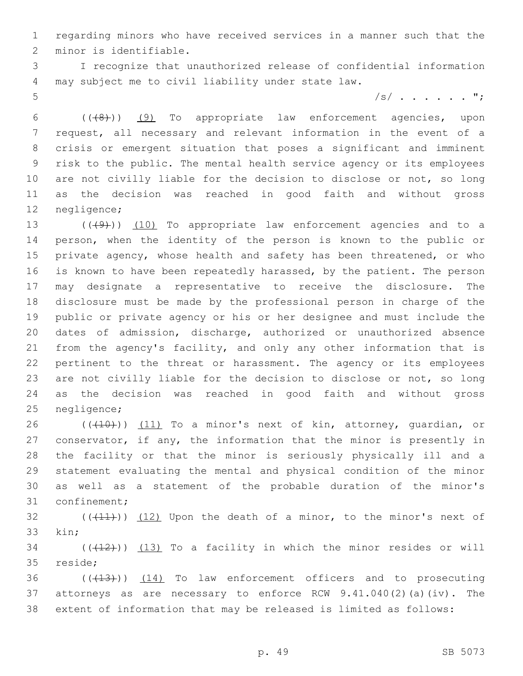regarding minors who have received services in a manner such that the 2 minor is identifiable.

 I recognize that unauthorized release of confidential information may subject me to civil liability under state law.4

/s/ . . . . . . ";

 (((8))) (9) To appropriate law enforcement agencies, upon request, all necessary and relevant information in the event of a crisis or emergent situation that poses a significant and imminent risk to the public. The mental health service agency or its employees 10 are not civilly liable for the decision to disclose or not, so long as the decision was reached in good faith and without gross 12 negligence;

13 (((49))) (10) To appropriate law enforcement agencies and to a person, when the identity of the person is known to the public or private agency, whose health and safety has been threatened, or who is known to have been repeatedly harassed, by the patient. The person may designate a representative to receive the disclosure. The disclosure must be made by the professional person in charge of the public or private agency or his or her designee and must include the dates of admission, discharge, authorized or unauthorized absence from the agency's facility, and only any other information that is pertinent to the threat or harassment. The agency or its employees 23 are not civilly liable for the decision to disclose or not, so long as the decision was reached in good faith and without gross 25 negligence;

26 (((10))) (11) To a minor's next of kin, attorney, quardian, or conservator, if any, the information that the minor is presently in the facility or that the minor is seriously physically ill and a statement evaluating the mental and physical condition of the minor as well as a statement of the probable duration of the minor's 31 confinement;

32  $((+11))$   $(12)$  Upon the death of a minor, to the minor's next of 33 kin:

 $(1, 2)$  (( $(1, 1, 2)$ ) To a facility in which the minor resides or will 35 reside;

36 (( $(13)$ )) (14) To law enforcement officers and to prosecuting attorneys as are necessary to enforce RCW 9.41.040(2)(a)(iv). The extent of information that may be released is limited as follows: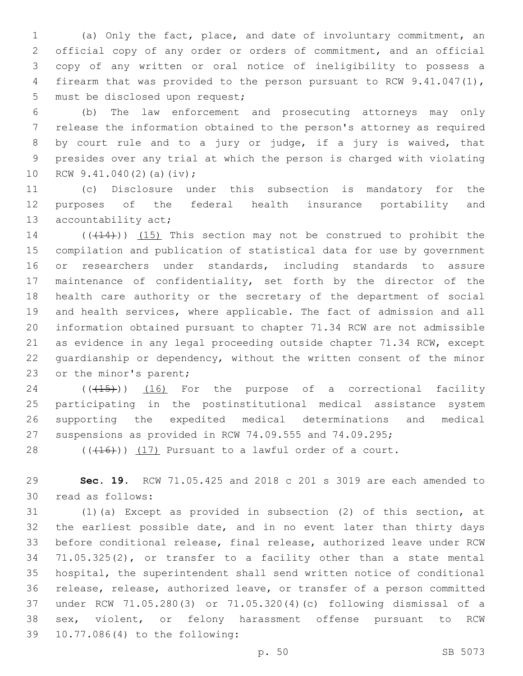(a) Only the fact, place, and date of involuntary commitment, an official copy of any order or orders of commitment, and an official copy of any written or oral notice of ineligibility to possess a firearm that was provided to the person pursuant to RCW 9.41.047(1), 5 must be disclosed upon request;

 (b) The law enforcement and prosecuting attorneys may only release the information obtained to the person's attorney as required by court rule and to a jury or judge, if a jury is waived, that presides over any trial at which the person is charged with violating 10 RCW  $9.41.040(2)$  (a)(iv);

 (c) Disclosure under this subsection is mandatory for the purposes of the federal health insurance portability and 13 accountability act;

14 (( $(414)$ )) (15) This section may not be construed to prohibit the compilation and publication of statistical data for use by government or researchers under standards, including standards to assure maintenance of confidentiality, set forth by the director of the health care authority or the secretary of the department of social and health services, where applicable. The fact of admission and all information obtained pursuant to chapter 71.34 RCW are not admissible as evidence in any legal proceeding outside chapter 71.34 RCW, except guardianship or dependency, without the written consent of the minor 23 or the minor's parent;

24 (( $(45)$ )) (16) For the purpose of a correctional facility participating in the postinstitutional medical assistance system supporting the expedited medical determinations and medical suspensions as provided in RCW 74.09.555 and 74.09.295;

28  $((+16))$   $(17)$  Pursuant to a lawful order of a court.

 **Sec. 19.** RCW 71.05.425 and 2018 c 201 s 3019 are each amended to read as follows:30

 (1)(a) Except as provided in subsection (2) of this section, at the earliest possible date, and in no event later than thirty days before conditional release, final release, authorized leave under RCW 71.05.325(2), or transfer to a facility other than a state mental hospital, the superintendent shall send written notice of conditional release, release, authorized leave, or transfer of a person committed under RCW 71.05.280(3) or 71.05.320(4)(c) following dismissal of a sex, violent, or felony harassment offense pursuant to RCW 10.77.086(4) to the following:39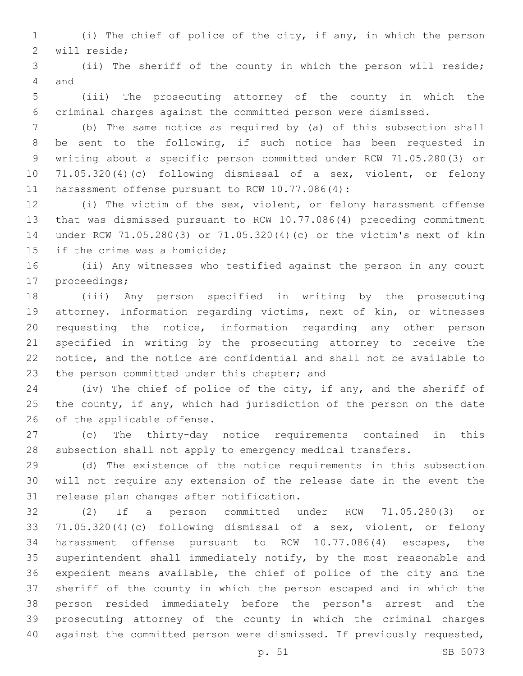- (i) The chief of police of the city, if any, in which the person 2 will reside;
- (ii) The sheriff of the county in which the person will reside; 4 and
- (iii) The prosecuting attorney of the county in which the criminal charges against the committed person were dismissed.
- (b) The same notice as required by (a) of this subsection shall be sent to the following, if such notice has been requested in writing about a specific person committed under RCW 71.05.280(3) or 71.05.320(4)(c) following dismissal of a sex, violent, or felony 11 harassment offense pursuant to RCW 10.77.086(4):
- (i) The victim of the sex, violent, or felony harassment offense that was dismissed pursuant to RCW 10.77.086(4) preceding commitment under RCW 71.05.280(3) or 71.05.320(4)(c) or the victim's next of kin 15 if the crime was a homicide;
- (ii) Any witnesses who testified against the person in any court 17 proceedings;
- (iii) Any person specified in writing by the prosecuting attorney. Information regarding victims, next of kin, or witnesses requesting the notice, information regarding any other person specified in writing by the prosecuting attorney to receive the notice, and the notice are confidential and shall not be available to 23 the person committed under this chapter; and
- (iv) The chief of police of the city, if any, and the sheriff of the county, if any, which had jurisdiction of the person on the date 26 of the applicable offense.
- (c) The thirty-day notice requirements contained in this subsection shall not apply to emergency medical transfers.
- (d) The existence of the notice requirements in this subsection will not require any extension of the release date in the event the 31 release plan changes after notification.
- (2) If a person committed under RCW 71.05.280(3) or 71.05.320(4)(c) following dismissal of a sex, violent, or felony harassment offense pursuant to RCW 10.77.086(4) escapes, the superintendent shall immediately notify, by the most reasonable and expedient means available, the chief of police of the city and the sheriff of the county in which the person escaped and in which the person resided immediately before the person's arrest and the prosecuting attorney of the county in which the criminal charges against the committed person were dismissed. If previously requested,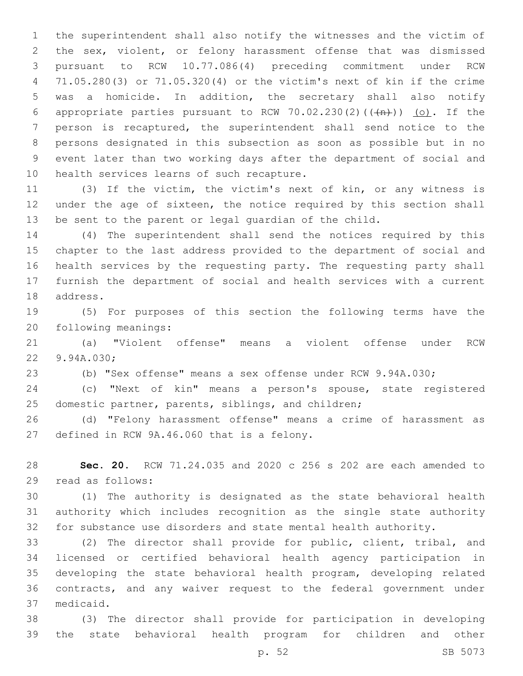the superintendent shall also notify the witnesses and the victim of the sex, violent, or felony harassment offense that was dismissed pursuant to RCW 10.77.086(4) preceding commitment under RCW 71.05.280(3) or 71.05.320(4) or the victim's next of kin if the crime was a homicide. In addition, the secretary shall also notify 6 appropriate parties pursuant to RCW 70.02.230(2)( $(\overrightarrow{m})$ ) (o). If the person is recaptured, the superintendent shall send notice to the persons designated in this subsection as soon as possible but in no event later than two working days after the department of social and 10 health services learns of such recapture.

 (3) If the victim, the victim's next of kin, or any witness is under the age of sixteen, the notice required by this section shall be sent to the parent or legal guardian of the child.

 (4) The superintendent shall send the notices required by this chapter to the last address provided to the department of social and health services by the requesting party. The requesting party shall furnish the department of social and health services with a current 18 address.

 (5) For purposes of this section the following terms have the 20 following meanings:

 (a) "Violent offense" means a violent offense under RCW 22 9.94A.030;

(b) "Sex offense" means a sex offense under RCW 9.94A.030;

 (c) "Next of kin" means a person's spouse, state registered domestic partner, parents, siblings, and children;

 (d) "Felony harassment offense" means a crime of harassment as 27 defined in RCW 9A.46.060 that is a felony.

 **Sec. 20.** RCW 71.24.035 and 2020 c 256 s 202 are each amended to 29 read as follows:

 (1) The authority is designated as the state behavioral health authority which includes recognition as the single state authority for substance use disorders and state mental health authority.

 (2) The director shall provide for public, client, tribal, and licensed or certified behavioral health agency participation in developing the state behavioral health program, developing related contracts, and any waiver request to the federal government under medicaid.37

 (3) The director shall provide for participation in developing the state behavioral health program for children and other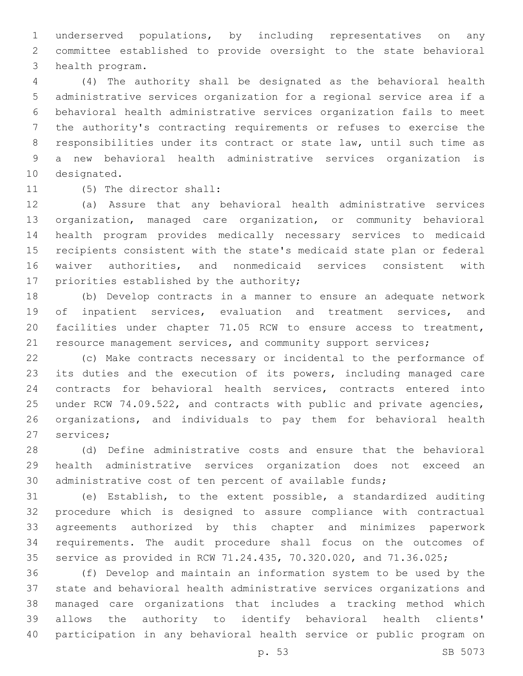underserved populations, by including representatives on any committee established to provide oversight to the state behavioral 3 health program.

 (4) The authority shall be designated as the behavioral health administrative services organization for a regional service area if a behavioral health administrative services organization fails to meet the authority's contracting requirements or refuses to exercise the responsibilities under its contract or state law, until such time as a new behavioral health administrative services organization is 10 designated.

11 (5) The director shall:

 (a) Assure that any behavioral health administrative services organization, managed care organization, or community behavioral health program provides medically necessary services to medicaid recipients consistent with the state's medicaid state plan or federal waiver authorities, and nonmedicaid services consistent with 17 priorities established by the authority;

 (b) Develop contracts in a manner to ensure an adequate network of inpatient services, evaluation and treatment services, and facilities under chapter 71.05 RCW to ensure access to treatment, 21 resource management services, and community support services;

 (c) Make contracts necessary or incidental to the performance of its duties and the execution of its powers, including managed care contracts for behavioral health services, contracts entered into under RCW 74.09.522, and contracts with public and private agencies, organizations, and individuals to pay them for behavioral health 27 services;

 (d) Define administrative costs and ensure that the behavioral health administrative services organization does not exceed an administrative cost of ten percent of available funds;

 (e) Establish, to the extent possible, a standardized auditing procedure which is designed to assure compliance with contractual agreements authorized by this chapter and minimizes paperwork requirements. The audit procedure shall focus on the outcomes of service as provided in RCW 71.24.435, 70.320.020, and 71.36.025;

 (f) Develop and maintain an information system to be used by the state and behavioral health administrative services organizations and managed care organizations that includes a tracking method which allows the authority to identify behavioral health clients' participation in any behavioral health service or public program on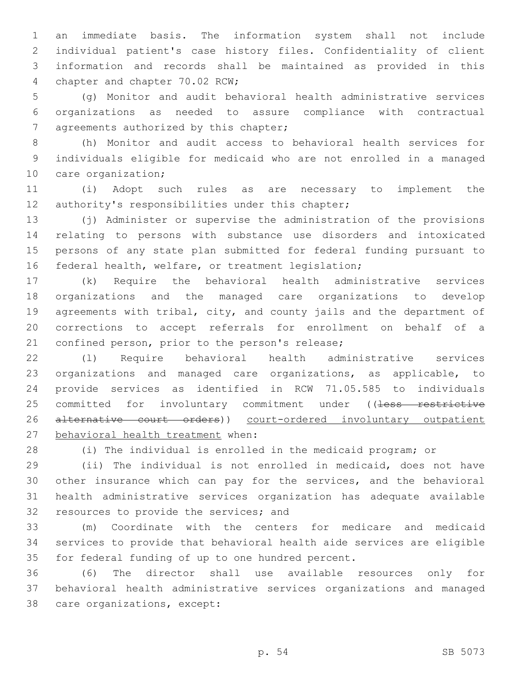an immediate basis. The information system shall not include individual patient's case history files. Confidentiality of client information and records shall be maintained as provided in this 4 chapter and chapter 70.02 RCW;

 (g) Monitor and audit behavioral health administrative services organizations as needed to assure compliance with contractual 7 agreements authorized by this chapter;

 (h) Monitor and audit access to behavioral health services for individuals eligible for medicaid who are not enrolled in a managed 10 care organization;

 (i) Adopt such rules as are necessary to implement the 12 authority's responsibilities under this chapter;

 (j) Administer or supervise the administration of the provisions relating to persons with substance use disorders and intoxicated persons of any state plan submitted for federal funding pursuant to federal health, welfare, or treatment legislation;

 (k) Require the behavioral health administrative services organizations and the managed care organizations to develop agreements with tribal, city, and county jails and the department of corrections to accept referrals for enrollment on behalf of a 21 confined person, prior to the person's release;

 (l) Require behavioral health administrative services organizations and managed care organizations, as applicable, to provide services as identified in RCW 71.05.585 to individuals 25 committed for involuntary commitment under ((less restrictive 26 alternative court orders)) court-ordered involuntary outpatient 27 behavioral health treatment when:

(i) The individual is enrolled in the medicaid program; or

 (ii) The individual is not enrolled in medicaid, does not have other insurance which can pay for the services, and the behavioral health administrative services organization has adequate available 32 resources to provide the services; and

 (m) Coordinate with the centers for medicare and medicaid services to provide that behavioral health aide services are eligible 35 for federal funding of up to one hundred percent.

 (6) The director shall use available resources only for behavioral health administrative services organizations and managed 38 care organizations, except: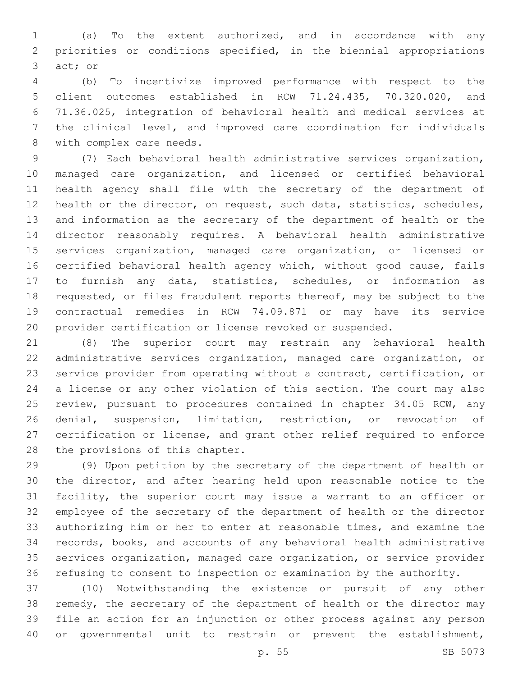(a) To the extent authorized, and in accordance with any priorities or conditions specified, in the biennial appropriations 3 act; or

 (b) To incentivize improved performance with respect to the client outcomes established in RCW 71.24.435, 70.320.020, and 71.36.025, integration of behavioral health and medical services at the clinical level, and improved care coordination for individuals 8 with complex care needs.

 (7) Each behavioral health administrative services organization, managed care organization, and licensed or certified behavioral health agency shall file with the secretary of the department of health or the director, on request, such data, statistics, schedules, and information as the secretary of the department of health or the director reasonably requires. A behavioral health administrative services organization, managed care organization, or licensed or certified behavioral health agency which, without good cause, fails to furnish any data, statistics, schedules, or information as requested, or files fraudulent reports thereof, may be subject to the contractual remedies in RCW 74.09.871 or may have its service provider certification or license revoked or suspended.

 (8) The superior court may restrain any behavioral health administrative services organization, managed care organization, or service provider from operating without a contract, certification, or a license or any other violation of this section. The court may also 25 review, pursuant to procedures contained in chapter 34.05 RCW, any denial, suspension, limitation, restriction, or revocation of certification or license, and grant other relief required to enforce 28 the provisions of this chapter.

 (9) Upon petition by the secretary of the department of health or the director, and after hearing held upon reasonable notice to the facility, the superior court may issue a warrant to an officer or employee of the secretary of the department of health or the director authorizing him or her to enter at reasonable times, and examine the records, books, and accounts of any behavioral health administrative services organization, managed care organization, or service provider refusing to consent to inspection or examination by the authority.

 (10) Notwithstanding the existence or pursuit of any other remedy, the secretary of the department of health or the director may file an action for an injunction or other process against any person or governmental unit to restrain or prevent the establishment,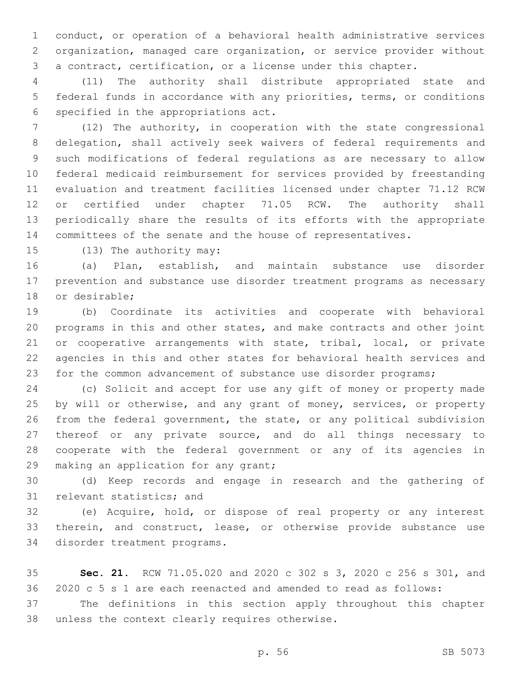conduct, or operation of a behavioral health administrative services organization, managed care organization, or service provider without a contract, certification, or a license under this chapter.

 (11) The authority shall distribute appropriated state and federal funds in accordance with any priorities, terms, or conditions 6 specified in the appropriations act.

 (12) The authority, in cooperation with the state congressional delegation, shall actively seek waivers of federal requirements and such modifications of federal regulations as are necessary to allow federal medicaid reimbursement for services provided by freestanding evaluation and treatment facilities licensed under chapter 71.12 RCW or certified under chapter 71.05 RCW. The authority shall periodically share the results of its efforts with the appropriate committees of the senate and the house of representatives.

15 (13) The authority may:

 (a) Plan, establish, and maintain substance use disorder prevention and substance use disorder treatment programs as necessary 18 or desirable;

 (b) Coordinate its activities and cooperate with behavioral programs in this and other states, and make contracts and other joint 21 or cooperative arrangements with state, tribal, local, or private agencies in this and other states for behavioral health services and for the common advancement of substance use disorder programs;

 (c) Solicit and accept for use any gift of money or property made 25 by will or otherwise, and any grant of money, services, or property from the federal government, the state, or any political subdivision thereof or any private source, and do all things necessary to cooperate with the federal government or any of its agencies in 29 making an application for any grant;

 (d) Keep records and engage in research and the gathering of 31 relevant statistics; and

 (e) Acquire, hold, or dispose of real property or any interest therein, and construct, lease, or otherwise provide substance use 34 disorder treatment programs.

 **Sec. 21.** RCW 71.05.020 and 2020 c 302 s 3, 2020 c 256 s 301, and 2020 c 5 s 1 are each reenacted and amended to read as follows:

 The definitions in this section apply throughout this chapter 38 unless the context clearly requires otherwise.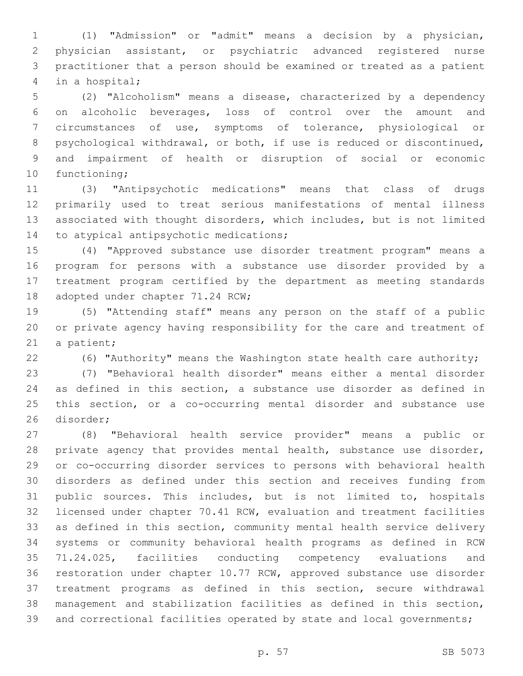(1) "Admission" or "admit" means a decision by a physician, physician assistant, or psychiatric advanced registered nurse practitioner that a person should be examined or treated as a patient 4 in a hospital;

 (2) "Alcoholism" means a disease, characterized by a dependency on alcoholic beverages, loss of control over the amount and circumstances of use, symptoms of tolerance, physiological or psychological withdrawal, or both, if use is reduced or discontinued, and impairment of health or disruption of social or economic 10 functioning;

 (3) "Antipsychotic medications" means that class of drugs primarily used to treat serious manifestations of mental illness associated with thought disorders, which includes, but is not limited 14 to atypical antipsychotic medications;

 (4) "Approved substance use disorder treatment program" means a program for persons with a substance use disorder provided by a treatment program certified by the department as meeting standards 18 adopted under chapter 71.24 RCW;

 (5) "Attending staff" means any person on the staff of a public or private agency having responsibility for the care and treatment of 21 a patient;

(6) "Authority" means the Washington state health care authority;

 (7) "Behavioral health disorder" means either a mental disorder as defined in this section, a substance use disorder as defined in this section, or a co-occurring mental disorder and substance use 26 disorder;

 (8) "Behavioral health service provider" means a public or private agency that provides mental health, substance use disorder, or co-occurring disorder services to persons with behavioral health disorders as defined under this section and receives funding from public sources. This includes, but is not limited to, hospitals licensed under chapter 70.41 RCW, evaluation and treatment facilities as defined in this section, community mental health service delivery systems or community behavioral health programs as defined in RCW 71.24.025, facilities conducting competency evaluations and restoration under chapter 10.77 RCW, approved substance use disorder treatment programs as defined in this section, secure withdrawal management and stabilization facilities as defined in this section, 39 and correctional facilities operated by state and local governments;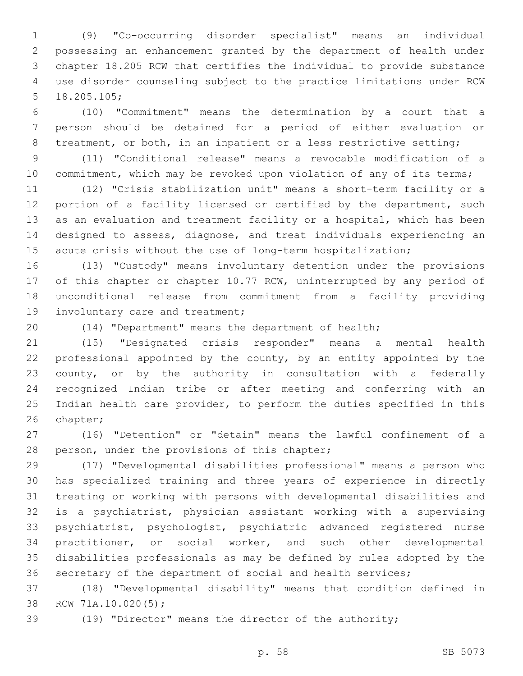(9) "Co-occurring disorder specialist" means an individual possessing an enhancement granted by the department of health under chapter 18.205 RCW that certifies the individual to provide substance use disorder counseling subject to the practice limitations under RCW 5 18.205.105;

 (10) "Commitment" means the determination by a court that a person should be detained for a period of either evaluation or 8 treatment, or both, in an inpatient or a less restrictive setting;

 (11) "Conditional release" means a revocable modification of a 10 commitment, which may be revoked upon violation of any of its terms;

 (12) "Crisis stabilization unit" means a short-term facility or a 12 portion of a facility licensed or certified by the department, such as an evaluation and treatment facility or a hospital, which has been designed to assess, diagnose, and treat individuals experiencing an acute crisis without the use of long-term hospitalization;

 (13) "Custody" means involuntary detention under the provisions 17 of this chapter or chapter 10.77 RCW, uninterrupted by any period of unconditional release from commitment from a facility providing 19 involuntary care and treatment;

(14) "Department" means the department of health;

 (15) "Designated crisis responder" means a mental health professional appointed by the county, by an entity appointed by the county, or by the authority in consultation with a federally recognized Indian tribe or after meeting and conferring with an Indian health care provider, to perform the duties specified in this 26 chapter;

 (16) "Detention" or "detain" means the lawful confinement of a 28 person, under the provisions of this chapter;

 (17) "Developmental disabilities professional" means a person who has specialized training and three years of experience in directly treating or working with persons with developmental disabilities and is a psychiatrist, physician assistant working with a supervising psychiatrist, psychologist, psychiatric advanced registered nurse practitioner, or social worker, and such other developmental disabilities professionals as may be defined by rules adopted by the secretary of the department of social and health services;

 (18) "Developmental disability" means that condition defined in 38 RCW 71A.10.020(5);

(19) "Director" means the director of the authority;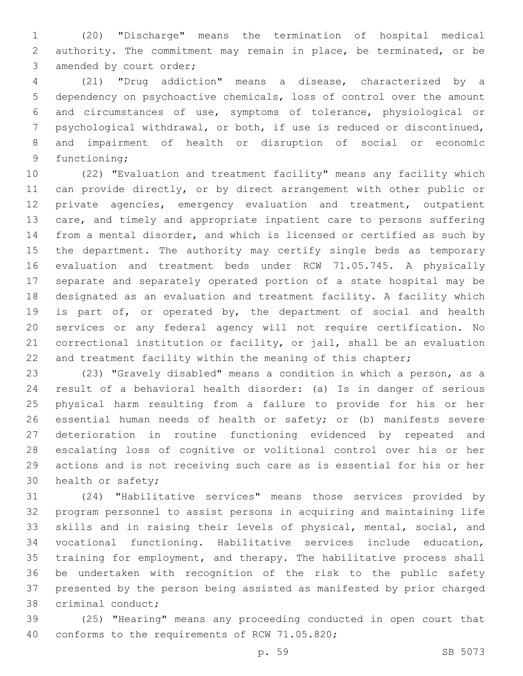(20) "Discharge" means the termination of hospital medical authority. The commitment may remain in place, be terminated, or be 3 amended by court order;

 (21) "Drug addiction" means a disease, characterized by a dependency on psychoactive chemicals, loss of control over the amount and circumstances of use, symptoms of tolerance, physiological or psychological withdrawal, or both, if use is reduced or discontinued, and impairment of health or disruption of social or economic 9 functioning;

 (22) "Evaluation and treatment facility" means any facility which can provide directly, or by direct arrangement with other public or private agencies, emergency evaluation and treatment, outpatient care, and timely and appropriate inpatient care to persons suffering from a mental disorder, and which is licensed or certified as such by the department. The authority may certify single beds as temporary evaluation and treatment beds under RCW 71.05.745. A physically separate and separately operated portion of a state hospital may be designated as an evaluation and treatment facility. A facility which is part of, or operated by, the department of social and health services or any federal agency will not require certification. No correctional institution or facility, or jail, shall be an evaluation 22 and treatment facility within the meaning of this chapter;

 (23) "Gravely disabled" means a condition in which a person, as a result of a behavioral health disorder: (a) Is in danger of serious physical harm resulting from a failure to provide for his or her essential human needs of health or safety; or (b) manifests severe deterioration in routine functioning evidenced by repeated and escalating loss of cognitive or volitional control over his or her actions and is not receiving such care as is essential for his or her 30 health or safety;

 (24) "Habilitative services" means those services provided by program personnel to assist persons in acquiring and maintaining life skills and in raising their levels of physical, mental, social, and vocational functioning. Habilitative services include education, training for employment, and therapy. The habilitative process shall be undertaken with recognition of the risk to the public safety presented by the person being assisted as manifested by prior charged 38 criminal conduct;

 (25) "Hearing" means any proceeding conducted in open court that 40 conforms to the requirements of RCW 71.05.820;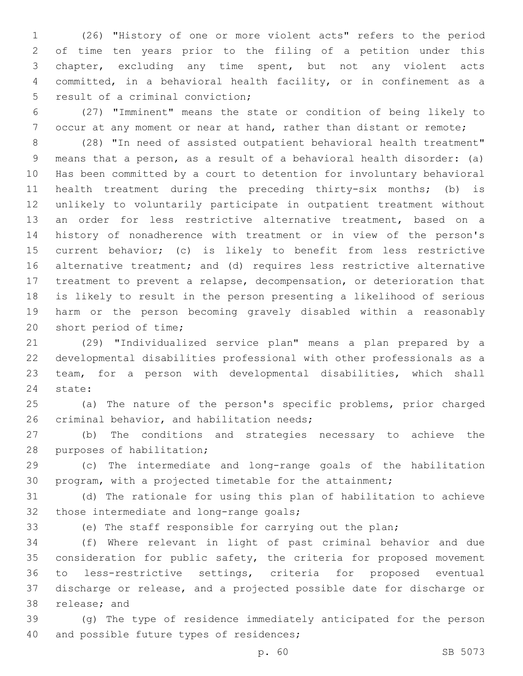(26) "History of one or more violent acts" refers to the period of time ten years prior to the filing of a petition under this chapter, excluding any time spent, but not any violent acts committed, in a behavioral health facility, or in confinement as a 5 result of a criminal conviction;

 (27) "Imminent" means the state or condition of being likely to 7 occur at any moment or near at hand, rather than distant or remote;

 (28) "In need of assisted outpatient behavioral health treatment" means that a person, as a result of a behavioral health disorder: (a) Has been committed by a court to detention for involuntary behavioral health treatment during the preceding thirty-six months; (b) is unlikely to voluntarily participate in outpatient treatment without an order for less restrictive alternative treatment, based on a history of nonadherence with treatment or in view of the person's current behavior; (c) is likely to benefit from less restrictive alternative treatment; and (d) requires less restrictive alternative treatment to prevent a relapse, decompensation, or deterioration that is likely to result in the person presenting a likelihood of serious harm or the person becoming gravely disabled within a reasonably 20 short period of time;

 (29) "Individualized service plan" means a plan prepared by a developmental disabilities professional with other professionals as a team, for a person with developmental disabilities, which shall 24 state:

 (a) The nature of the person's specific problems, prior charged 26 criminal behavior, and habilitation needs;

 (b) The conditions and strategies necessary to achieve the 28 purposes of habilitation;

 (c) The intermediate and long-range goals of the habilitation program, with a projected timetable for the attainment;

 (d) The rationale for using this plan of habilitation to achieve 32 those intermediate and long-range goals;

(e) The staff responsible for carrying out the plan;

 (f) Where relevant in light of past criminal behavior and due consideration for public safety, the criteria for proposed movement to less-restrictive settings, criteria for proposed eventual discharge or release, and a projected possible date for discharge or 38 release; and

 (g) The type of residence immediately anticipated for the person 40 and possible future types of residences;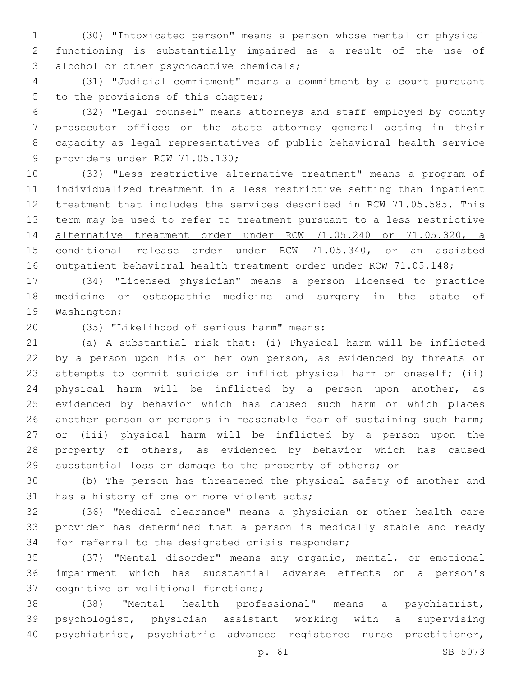(30) "Intoxicated person" means a person whose mental or physical functioning is substantially impaired as a result of the use of 3 alcohol or other psychoactive chemicals;

 (31) "Judicial commitment" means a commitment by a court pursuant 5 to the provisions of this chapter;

 (32) "Legal counsel" means attorneys and staff employed by county prosecutor offices or the state attorney general acting in their capacity as legal representatives of public behavioral health service 9 providers under RCW 71.05.130;

 (33) "Less restrictive alternative treatment" means a program of individualized treatment in a less restrictive setting than inpatient 12 treatment that includes the services described in RCW 71.05.585. This term may be used to refer to treatment pursuant to a less restrictive alternative treatment order under RCW 71.05.240 or 71.05.320, a conditional release order under RCW 71.05.340, or an assisted 16 outpatient behavioral health treatment order under RCW 71.05.148;

 (34) "Licensed physician" means a person licensed to practice medicine or osteopathic medicine and surgery in the state of 19 Washington;

(35) "Likelihood of serious harm" means:20

 (a) A substantial risk that: (i) Physical harm will be inflicted 22 by a person upon his or her own person, as evidenced by threats or attempts to commit suicide or inflict physical harm on oneself; (ii) physical harm will be inflicted by a person upon another, as evidenced by behavior which has caused such harm or which places 26 another person or persons in reasonable fear of sustaining such harm; or (iii) physical harm will be inflicted by a person upon the property of others, as evidenced by behavior which has caused substantial loss or damage to the property of others; or

 (b) The person has threatened the physical safety of another and 31 has a history of one or more violent acts;

 (36) "Medical clearance" means a physician or other health care provider has determined that a person is medically stable and ready 34 for referral to the designated crisis responder;

 (37) "Mental disorder" means any organic, mental, or emotional impairment which has substantial adverse effects on a person's 37 cognitive or volitional functions;

 (38) "Mental health professional" means a psychiatrist, psychologist, physician assistant working with a supervising psychiatrist, psychiatric advanced registered nurse practitioner,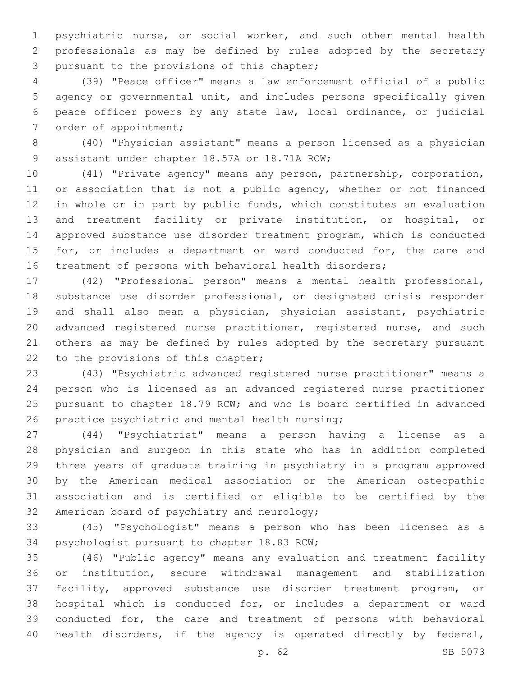psychiatric nurse, or social worker, and such other mental health professionals as may be defined by rules adopted by the secretary 3 pursuant to the provisions of this chapter;

 (39) "Peace officer" means a law enforcement official of a public agency or governmental unit, and includes persons specifically given peace officer powers by any state law, local ordinance, or judicial 7 order of appointment;

 (40) "Physician assistant" means a person licensed as a physician 9 assistant under chapter 18.57A or 18.71A RCW;

 (41) "Private agency" means any person, partnership, corporation, 11 or association that is not a public agency, whether or not financed in whole or in part by public funds, which constitutes an evaluation and treatment facility or private institution, or hospital, or approved substance use disorder treatment program, which is conducted 15 for, or includes a department or ward conducted for, the care and treatment of persons with behavioral health disorders;

 (42) "Professional person" means a mental health professional, substance use disorder professional, or designated crisis responder and shall also mean a physician, physician assistant, psychiatric advanced registered nurse practitioner, registered nurse, and such others as may be defined by rules adopted by the secretary pursuant 22 to the provisions of this chapter;

 (43) "Psychiatric advanced registered nurse practitioner" means a person who is licensed as an advanced registered nurse practitioner pursuant to chapter 18.79 RCW; and who is board certified in advanced 26 practice psychiatric and mental health nursing;

 (44) "Psychiatrist" means a person having a license as a physician and surgeon in this state who has in addition completed three years of graduate training in psychiatry in a program approved by the American medical association or the American osteopathic association and is certified or eligible to be certified by the 32 American board of psychiatry and neurology;

 (45) "Psychologist" means a person who has been licensed as a 34 psychologist pursuant to chapter 18.83 RCW;

 (46) "Public agency" means any evaluation and treatment facility or institution, secure withdrawal management and stabilization facility, approved substance use disorder treatment program, or hospital which is conducted for, or includes a department or ward conducted for, the care and treatment of persons with behavioral health disorders, if the agency is operated directly by federal,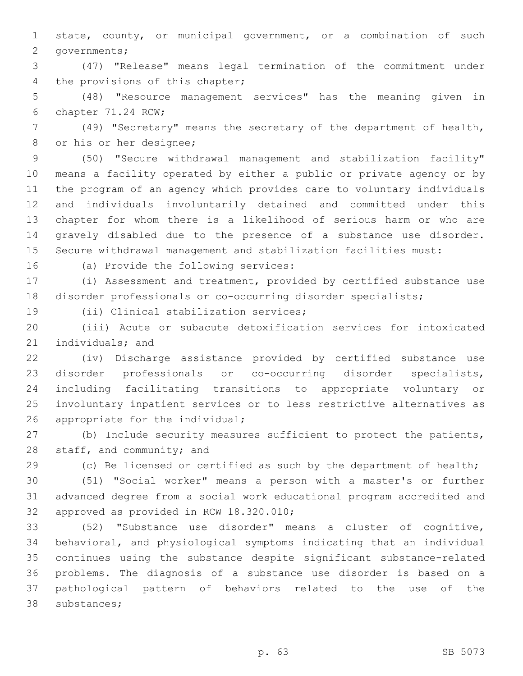state, county, or municipal government, or a combination of such 2 governments;

 (47) "Release" means legal termination of the commitment under 4 the provisions of this chapter;

 (48) "Resource management services" has the meaning given in 6 chapter 71.24 RCW;

 (49) "Secretary" means the secretary of the department of health, 8 or his or her designee;

 (50) "Secure withdrawal management and stabilization facility" means a facility operated by either a public or private agency or by the program of an agency which provides care to voluntary individuals and individuals involuntarily detained and committed under this chapter for whom there is a likelihood of serious harm or who are gravely disabled due to the presence of a substance use disorder. Secure withdrawal management and stabilization facilities must:

16 (a) Provide the following services:

 (i) Assessment and treatment, provided by certified substance use disorder professionals or co-occurring disorder specialists;

19 (ii) Clinical stabilization services;

 (iii) Acute or subacute detoxification services for intoxicated 21 individuals; and

 (iv) Discharge assistance provided by certified substance use disorder professionals or co-occurring disorder specialists, including facilitating transitions to appropriate voluntary or involuntary inpatient services or to less restrictive alternatives as 26 appropriate for the individual;

 (b) Include security measures sufficient to protect the patients, 28 staff, and community; and

(c) Be licensed or certified as such by the department of health;

 (51) "Social worker" means a person with a master's or further advanced degree from a social work educational program accredited and 32 approved as provided in RCW 18.320.010;

 (52) "Substance use disorder" means a cluster of cognitive, behavioral, and physiological symptoms indicating that an individual continues using the substance despite significant substance-related problems. The diagnosis of a substance use disorder is based on a pathological pattern of behaviors related to the use of the 38 substances;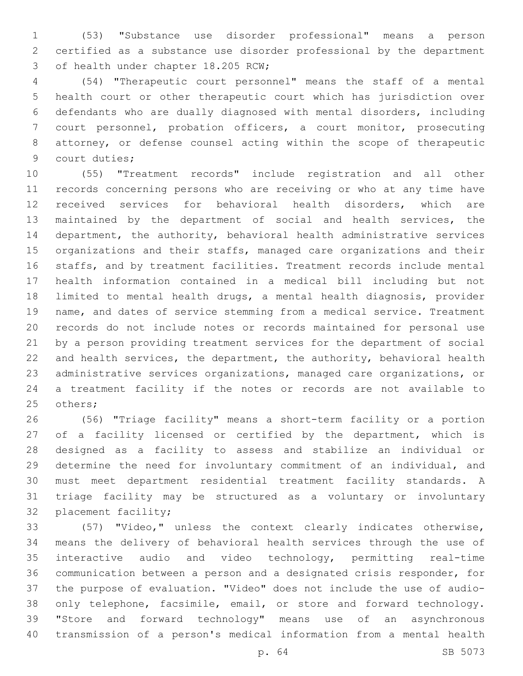(53) "Substance use disorder professional" means a person certified as a substance use disorder professional by the department 3 of health under chapter 18.205 RCW;

 (54) "Therapeutic court personnel" means the staff of a mental health court or other therapeutic court which has jurisdiction over defendants who are dually diagnosed with mental disorders, including court personnel, probation officers, a court monitor, prosecuting attorney, or defense counsel acting within the scope of therapeutic 9 court duties;

 (55) "Treatment records" include registration and all other records concerning persons who are receiving or who at any time have received services for behavioral health disorders, which are maintained by the department of social and health services, the department, the authority, behavioral health administrative services organizations and their staffs, managed care organizations and their staffs, and by treatment facilities. Treatment records include mental health information contained in a medical bill including but not limited to mental health drugs, a mental health diagnosis, provider name, and dates of service stemming from a medical service. Treatment records do not include notes or records maintained for personal use by a person providing treatment services for the department of social and health services, the department, the authority, behavioral health administrative services organizations, managed care organizations, or a treatment facility if the notes or records are not available to 25 others;

 (56) "Triage facility" means a short-term facility or a portion 27 of a facility licensed or certified by the department, which is designed as a facility to assess and stabilize an individual or determine the need for involuntary commitment of an individual, and must meet department residential treatment facility standards. A triage facility may be structured as a voluntary or involuntary 32 placement facility;

 (57) "Video," unless the context clearly indicates otherwise, means the delivery of behavioral health services through the use of interactive audio and video technology, permitting real-time communication between a person and a designated crisis responder, for the purpose of evaluation. "Video" does not include the use of audio- only telephone, facsimile, email, or store and forward technology. "Store and forward technology" means use of an asynchronous transmission of a person's medical information from a mental health

p. 64 SB 5073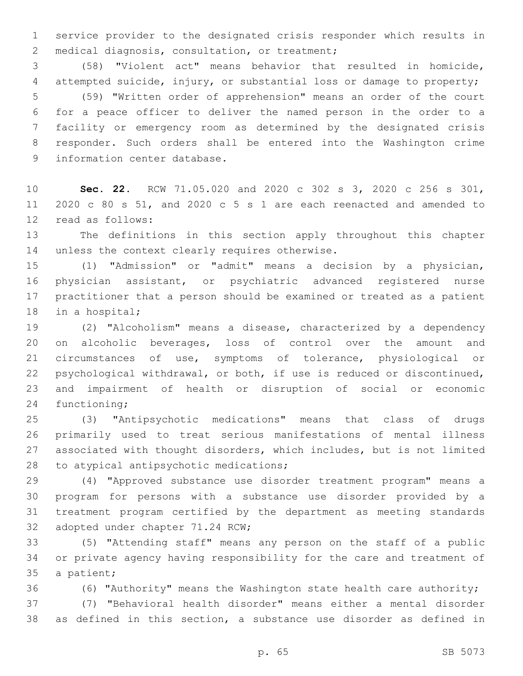service provider to the designated crisis responder which results in 2 medical diagnosis, consultation, or treatment;

 (58) "Violent act" means behavior that resulted in homicide, attempted suicide, injury, or substantial loss or damage to property; (59) "Written order of apprehension" means an order of the court for a peace officer to deliver the named person in the order to a facility or emergency room as determined by the designated crisis responder. Such orders shall be entered into the Washington crime 9 information center database.

 **Sec. 22.** RCW 71.05.020 and 2020 c 302 s 3, 2020 c 256 s 301, 2020 c 80 s 51, and 2020 c 5 s 1 are each reenacted and amended to 12 read as follows:

 The definitions in this section apply throughout this chapter 14 unless the context clearly requires otherwise.

 (1) "Admission" or "admit" means a decision by a physician, physician assistant, or psychiatric advanced registered nurse practitioner that a person should be examined or treated as a patient 18 in a hospital;

 (2) "Alcoholism" means a disease, characterized by a dependency on alcoholic beverages, loss of control over the amount and circumstances of use, symptoms of tolerance, physiological or psychological withdrawal, or both, if use is reduced or discontinued, and impairment of health or disruption of social or economic 24 functioning;

 (3) "Antipsychotic medications" means that class of drugs primarily used to treat serious manifestations of mental illness associated with thought disorders, which includes, but is not limited 28 to atypical antipsychotic medications;

 (4) "Approved substance use disorder treatment program" means a program for persons with a substance use disorder provided by a treatment program certified by the department as meeting standards 32 adopted under chapter 71.24 RCW;

 (5) "Attending staff" means any person on the staff of a public or private agency having responsibility for the care and treatment of 35 a patient;

(6) "Authority" means the Washington state health care authority;

 (7) "Behavioral health disorder" means either a mental disorder as defined in this section, a substance use disorder as defined in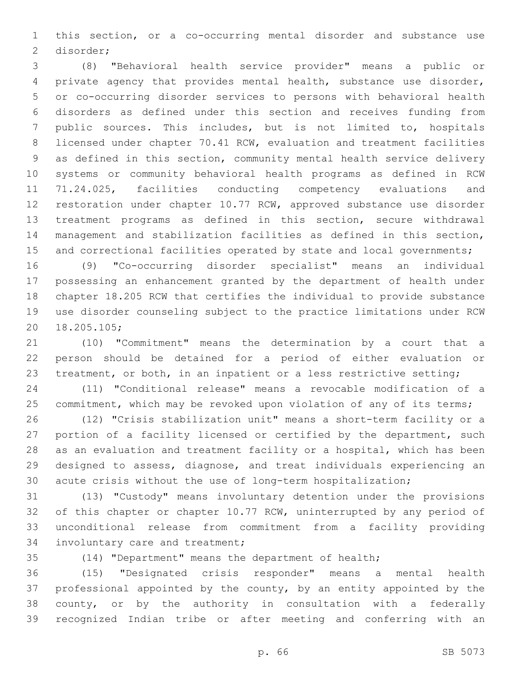this section, or a co-occurring mental disorder and substance use 2 disorder;

 (8) "Behavioral health service provider" means a public or private agency that provides mental health, substance use disorder, or co-occurring disorder services to persons with behavioral health disorders as defined under this section and receives funding from public sources. This includes, but is not limited to, hospitals licensed under chapter 70.41 RCW, evaluation and treatment facilities as defined in this section, community mental health service delivery systems or community behavioral health programs as defined in RCW 71.24.025, facilities conducting competency evaluations and restoration under chapter 10.77 RCW, approved substance use disorder treatment programs as defined in this section, secure withdrawal management and stabilization facilities as defined in this section, 15 and correctional facilities operated by state and local governments;

 (9) "Co-occurring disorder specialist" means an individual possessing an enhancement granted by the department of health under chapter 18.205 RCW that certifies the individual to provide substance use disorder counseling subject to the practice limitations under RCW 18.205.105;20

 (10) "Commitment" means the determination by a court that a person should be detained for a period of either evaluation or 23 treatment, or both, in an inpatient or a less restrictive setting;

 (11) "Conditional release" means a revocable modification of a 25 commitment, which may be revoked upon violation of any of its terms;

 (12) "Crisis stabilization unit" means a short-term facility or a 27 portion of a facility licensed or certified by the department, such as an evaluation and treatment facility or a hospital, which has been designed to assess, diagnose, and treat individuals experiencing an acute crisis without the use of long-term hospitalization;

 (13) "Custody" means involuntary detention under the provisions of this chapter or chapter 10.77 RCW, uninterrupted by any period of unconditional release from commitment from a facility providing 34 involuntary care and treatment;

(14) "Department" means the department of health;

 (15) "Designated crisis responder" means a mental health professional appointed by the county, by an entity appointed by the county, or by the authority in consultation with a federally recognized Indian tribe or after meeting and conferring with an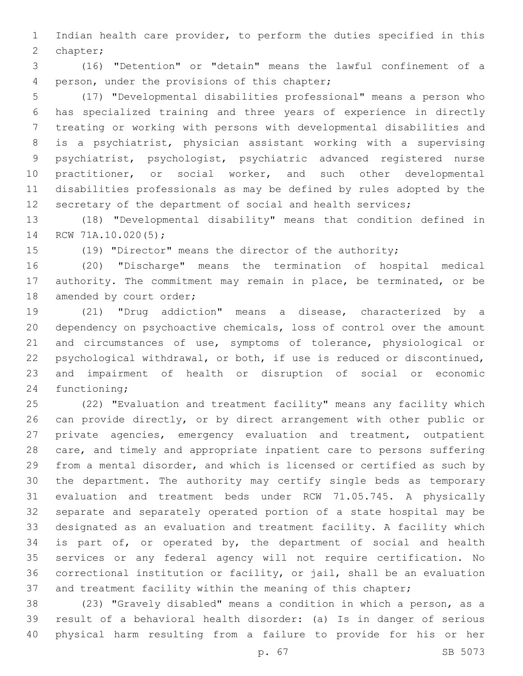Indian health care provider, to perform the duties specified in this 2 chapter;

 (16) "Detention" or "detain" means the lawful confinement of a 4 person, under the provisions of this chapter;

 (17) "Developmental disabilities professional" means a person who has specialized training and three years of experience in directly treating or working with persons with developmental disabilities and is a psychiatrist, physician assistant working with a supervising psychiatrist, psychologist, psychiatric advanced registered nurse 10 practitioner, or social worker, and such other developmental disabilities professionals as may be defined by rules adopted by the 12 secretary of the department of social and health services;

 (18) "Developmental disability" means that condition defined in 14 RCW 71A.10.020(5);

(19) "Director" means the director of the authority;

 (20) "Discharge" means the termination of hospital medical authority. The commitment may remain in place, be terminated, or be 18 amended by court order;

 (21) "Drug addiction" means a disease, characterized by a dependency on psychoactive chemicals, loss of control over the amount and circumstances of use, symptoms of tolerance, physiological or psychological withdrawal, or both, if use is reduced or discontinued, and impairment of health or disruption of social or economic 24 functioning;

 (22) "Evaluation and treatment facility" means any facility which can provide directly, or by direct arrangement with other public or private agencies, emergency evaluation and treatment, outpatient care, and timely and appropriate inpatient care to persons suffering from a mental disorder, and which is licensed or certified as such by the department. The authority may certify single beds as temporary evaluation and treatment beds under RCW 71.05.745. A physically separate and separately operated portion of a state hospital may be designated as an evaluation and treatment facility. A facility which 34 is part of, or operated by, the department of social and health services or any federal agency will not require certification. No correctional institution or facility, or jail, shall be an evaluation 37 and treatment facility within the meaning of this chapter;

 (23) "Gravely disabled" means a condition in which a person, as a result of a behavioral health disorder: (a) Is in danger of serious physical harm resulting from a failure to provide for his or her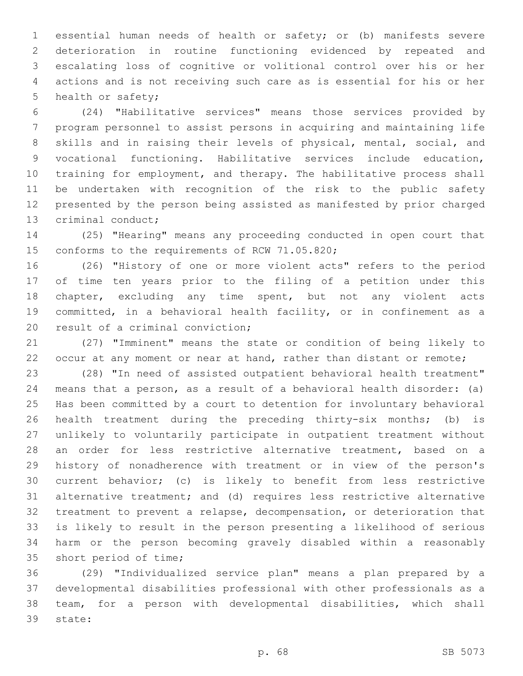essential human needs of health or safety; or (b) manifests severe deterioration in routine functioning evidenced by repeated and escalating loss of cognitive or volitional control over his or her actions and is not receiving such care as is essential for his or her 5 health or safety;

 (24) "Habilitative services" means those services provided by program personnel to assist persons in acquiring and maintaining life skills and in raising their levels of physical, mental, social, and vocational functioning. Habilitative services include education, training for employment, and therapy. The habilitative process shall be undertaken with recognition of the risk to the public safety presented by the person being assisted as manifested by prior charged 13 criminal conduct;

 (25) "Hearing" means any proceeding conducted in open court that 15 conforms to the requirements of RCW 71.05.820;

 (26) "History of one or more violent acts" refers to the period of time ten years prior to the filing of a petition under this chapter, excluding any time spent, but not any violent acts committed, in a behavioral health facility, or in confinement as a 20 result of a criminal conviction;

 (27) "Imminent" means the state or condition of being likely to 22 occur at any moment or near at hand, rather than distant or remote;

 (28) "In need of assisted outpatient behavioral health treatment" means that a person, as a result of a behavioral health disorder: (a) Has been committed by a court to detention for involuntary behavioral health treatment during the preceding thirty-six months; (b) is unlikely to voluntarily participate in outpatient treatment without an order for less restrictive alternative treatment, based on a history of nonadherence with treatment or in view of the person's current behavior; (c) is likely to benefit from less restrictive alternative treatment; and (d) requires less restrictive alternative treatment to prevent a relapse, decompensation, or deterioration that is likely to result in the person presenting a likelihood of serious harm or the person becoming gravely disabled within a reasonably 35 short period of time;

 (29) "Individualized service plan" means a plan prepared by a developmental disabilities professional with other professionals as a team, for a person with developmental disabilities, which shall 39 state: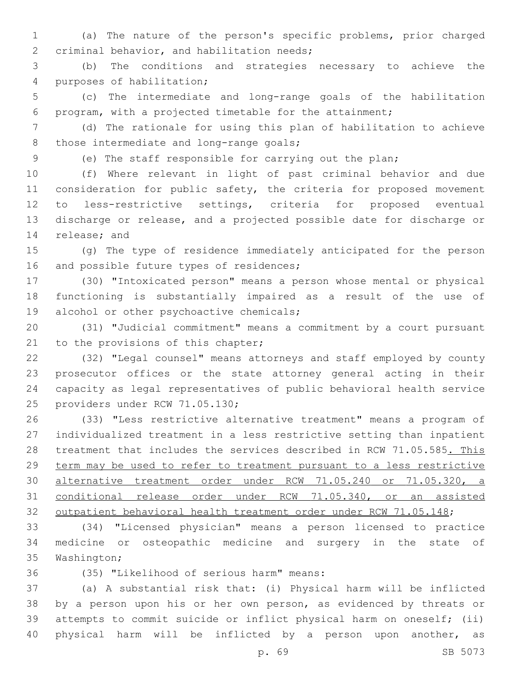(a) The nature of the person's specific problems, prior charged 2 criminal behavior, and habilitation needs;

 (b) The conditions and strategies necessary to achieve the 4 purposes of habilitation;

 (c) The intermediate and long-range goals of the habilitation program, with a projected timetable for the attainment;

 (d) The rationale for using this plan of habilitation to achieve 8 those intermediate and long-range goals;

(e) The staff responsible for carrying out the plan;

 (f) Where relevant in light of past criminal behavior and due 11 consideration for public safety, the criteria for proposed movement to less-restrictive settings, criteria for proposed eventual discharge or release, and a projected possible date for discharge or 14 release; and

 (g) The type of residence immediately anticipated for the person 16 and possible future types of residences;

 (30) "Intoxicated person" means a person whose mental or physical functioning is substantially impaired as a result of the use of 19 alcohol or other psychoactive chemicals;

 (31) "Judicial commitment" means a commitment by a court pursuant 21 to the provisions of this chapter;

 (32) "Legal counsel" means attorneys and staff employed by county prosecutor offices or the state attorney general acting in their capacity as legal representatives of public behavioral health service 25 providers under RCW 71.05.130;

 (33) "Less restrictive alternative treatment" means a program of individualized treatment in a less restrictive setting than inpatient 28 treatment that includes the services described in RCW 71.05.585. This 29 term may be used to refer to treatment pursuant to a less restrictive alternative treatment order under RCW 71.05.240 or 71.05.320, a conditional release order under RCW 71.05.340, or an assisted 32 outpatient behavioral health treatment order under RCW 71.05.148;

 (34) "Licensed physician" means a person licensed to practice medicine or osteopathic medicine and surgery in the state of 35 Washington;

(35) "Likelihood of serious harm" means:36

 (a) A substantial risk that: (i) Physical harm will be inflicted by a person upon his or her own person, as evidenced by threats or attempts to commit suicide or inflict physical harm on oneself; (ii) physical harm will be inflicted by a person upon another, as

p. 69 SB 5073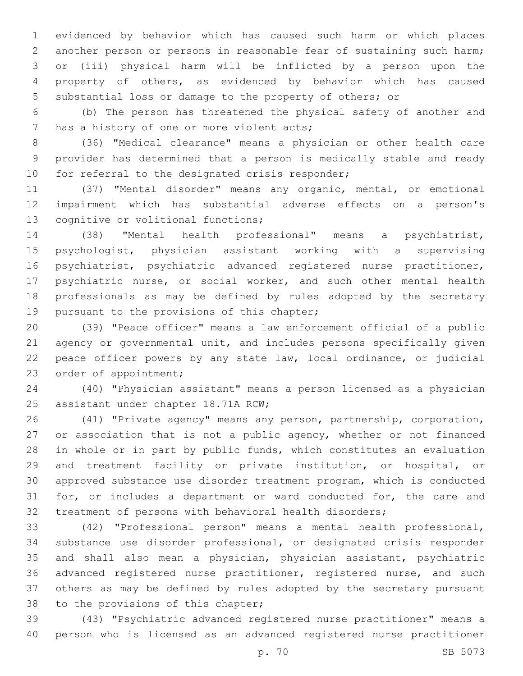evidenced by behavior which has caused such harm or which places another person or persons in reasonable fear of sustaining such harm; or (iii) physical harm will be inflicted by a person upon the property of others, as evidenced by behavior which has caused substantial loss or damage to the property of others; or

 (b) The person has threatened the physical safety of another and 7 has a history of one or more violent acts;

 (36) "Medical clearance" means a physician or other health care provider has determined that a person is medically stable and ready 10 for referral to the designated crisis responder;

 (37) "Mental disorder" means any organic, mental, or emotional impairment which has substantial adverse effects on a person's 13 cognitive or volitional functions;

 (38) "Mental health professional" means a psychiatrist, psychologist, physician assistant working with a supervising psychiatrist, psychiatric advanced registered nurse practitioner, psychiatric nurse, or social worker, and such other mental health professionals as may be defined by rules adopted by the secretary 19 pursuant to the provisions of this chapter;

 (39) "Peace officer" means a law enforcement official of a public agency or governmental unit, and includes persons specifically given peace officer powers by any state law, local ordinance, or judicial 23 order of appointment;

 (40) "Physician assistant" means a person licensed as a physician 25 assistant under chapter 18.71A RCW;

 (41) "Private agency" means any person, partnership, corporation, 27 or association that is not a public agency, whether or not financed in whole or in part by public funds, which constitutes an evaluation and treatment facility or private institution, or hospital, or approved substance use disorder treatment program, which is conducted for, or includes a department or ward conducted for, the care and treatment of persons with behavioral health disorders;

 (42) "Professional person" means a mental health professional, substance use disorder professional, or designated crisis responder and shall also mean a physician, physician assistant, psychiatric advanced registered nurse practitioner, registered nurse, and such others as may be defined by rules adopted by the secretary pursuant 38 to the provisions of this chapter;

 (43) "Psychiatric advanced registered nurse practitioner" means a person who is licensed as an advanced registered nurse practitioner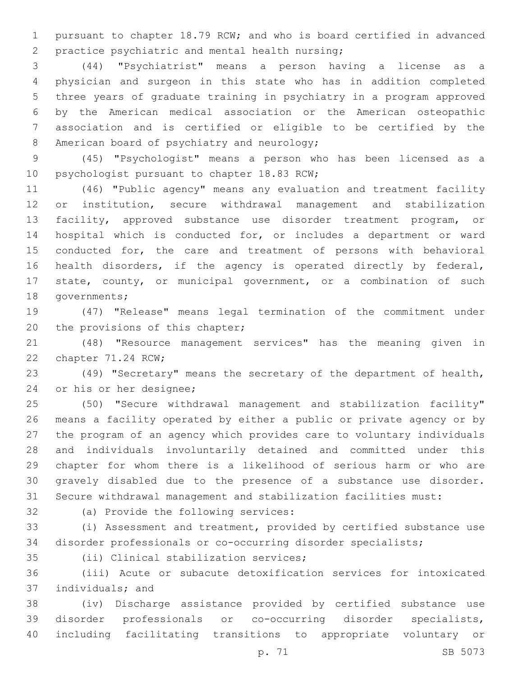pursuant to chapter 18.79 RCW; and who is board certified in advanced 2 practice psychiatric and mental health nursing;

 (44) "Psychiatrist" means a person having a license as a physician and surgeon in this state who has in addition completed three years of graduate training in psychiatry in a program approved by the American medical association or the American osteopathic association and is certified or eligible to be certified by the 8 American board of psychiatry and neurology;

 (45) "Psychologist" means a person who has been licensed as a 10 psychologist pursuant to chapter 18.83 RCW;

 (46) "Public agency" means any evaluation and treatment facility or institution, secure withdrawal management and stabilization facility, approved substance use disorder treatment program, or hospital which is conducted for, or includes a department or ward conducted for, the care and treatment of persons with behavioral health disorders, if the agency is operated directly by federal, state, county, or municipal government, or a combination of such 18 governments;

 (47) "Release" means legal termination of the commitment under 20 the provisions of this chapter;

 (48) "Resource management services" has the meaning given in 22 chapter 71.24 RCW;

 (49) "Secretary" means the secretary of the department of health, 24 or his or her designee;

 (50) "Secure withdrawal management and stabilization facility" means a facility operated by either a public or private agency or by the program of an agency which provides care to voluntary individuals and individuals involuntarily detained and committed under this chapter for whom there is a likelihood of serious harm or who are gravely disabled due to the presence of a substance use disorder. Secure withdrawal management and stabilization facilities must:

32 (a) Provide the following services:

 (i) Assessment and treatment, provided by certified substance use disorder professionals or co-occurring disorder specialists;

35 (ii) Clinical stabilization services;

 (iii) Acute or subacute detoxification services for intoxicated 37 individuals; and

 (iv) Discharge assistance provided by certified substance use disorder professionals or co-occurring disorder specialists, including facilitating transitions to appropriate voluntary or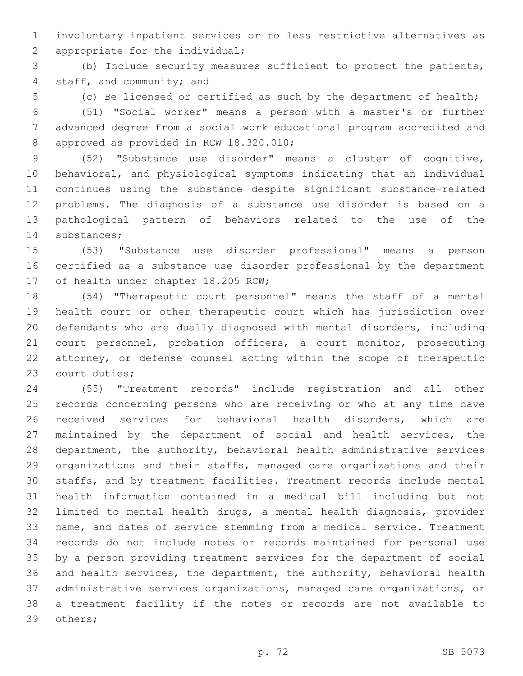involuntary inpatient services or to less restrictive alternatives as 2 appropriate for the individual;

 (b) Include security measures sufficient to protect the patients, 4 staff, and community; and

(c) Be licensed or certified as such by the department of health;

 (51) "Social worker" means a person with a master's or further advanced degree from a social work educational program accredited and 8 approved as provided in RCW 18.320.010;

 (52) "Substance use disorder" means a cluster of cognitive, behavioral, and physiological symptoms indicating that an individual continues using the substance despite significant substance-related problems. The diagnosis of a substance use disorder is based on a pathological pattern of behaviors related to the use of the 14 substances;

 (53) "Substance use disorder professional" means a person certified as a substance use disorder professional by the department 17 of health under chapter 18.205 RCW;

 (54) "Therapeutic court personnel" means the staff of a mental health court or other therapeutic court which has jurisdiction over defendants who are dually diagnosed with mental disorders, including 21 court personnel, probation officers, a court monitor, prosecuting attorney, or defense counsel acting within the scope of therapeutic 23 court duties;

 (55) "Treatment records" include registration and all other records concerning persons who are receiving or who at any time have received services for behavioral health disorders, which are maintained by the department of social and health services, the department, the authority, behavioral health administrative services organizations and their staffs, managed care organizations and their staffs, and by treatment facilities. Treatment records include mental health information contained in a medical bill including but not limited to mental health drugs, a mental health diagnosis, provider name, and dates of service stemming from a medical service. Treatment records do not include notes or records maintained for personal use by a person providing treatment services for the department of social and health services, the department, the authority, behavioral health administrative services organizations, managed care organizations, or a treatment facility if the notes or records are not available to 39 others;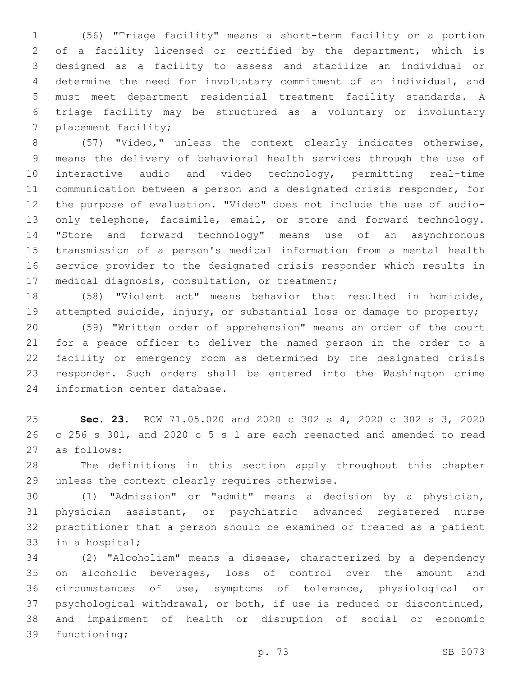(56) "Triage facility" means a short-term facility or a portion of a facility licensed or certified by the department, which is designed as a facility to assess and stabilize an individual or determine the need for involuntary commitment of an individual, and must meet department residential treatment facility standards. A triage facility may be structured as a voluntary or involuntary 7 placement facility;

 (57) "Video," unless the context clearly indicates otherwise, means the delivery of behavioral health services through the use of interactive audio and video technology, permitting real-time communication between a person and a designated crisis responder, for the purpose of evaluation. "Video" does not include the use of audio-13 only telephone, facsimile, email, or store and forward technology. "Store and forward technology" means use of an asynchronous transmission of a person's medical information from a mental health service provider to the designated crisis responder which results in 17 medical diagnosis, consultation, or treatment;

 (58) "Violent act" means behavior that resulted in homicide, attempted suicide, injury, or substantial loss or damage to property; (59) "Written order of apprehension" means an order of the court for a peace officer to deliver the named person in the order to a facility or emergency room as determined by the designated crisis

 responder. Such orders shall be entered into the Washington crime 24 information center database.

 **Sec. 23.** RCW 71.05.020 and 2020 c 302 s 4, 2020 c 302 s 3, 2020 c 256 s 301, and 2020 c 5 s 1 are each reenacted and amended to read as follows:27

 The definitions in this section apply throughout this chapter 29 unless the context clearly requires otherwise.

 (1) "Admission" or "admit" means a decision by a physician, physician assistant, or psychiatric advanced registered nurse practitioner that a person should be examined or treated as a patient 33 in a hospital;

 (2) "Alcoholism" means a disease, characterized by a dependency on alcoholic beverages, loss of control over the amount and circumstances of use, symptoms of tolerance, physiological or psychological withdrawal, or both, if use is reduced or discontinued, and impairment of health or disruption of social or economic 39 functioning;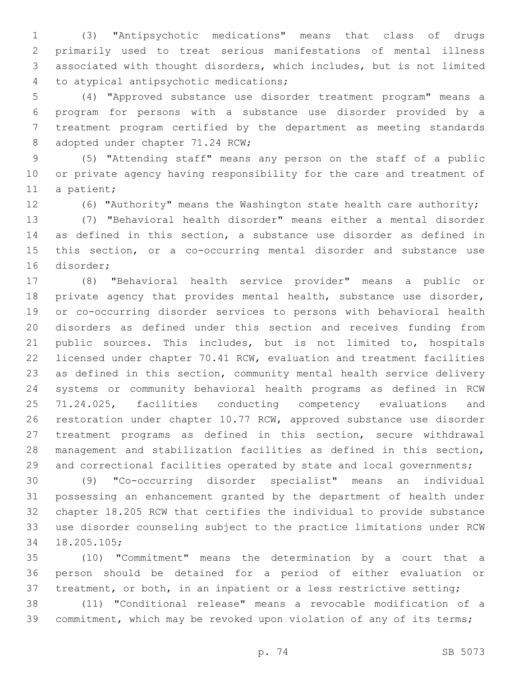(3) "Antipsychotic medications" means that class of drugs primarily used to treat serious manifestations of mental illness associated with thought disorders, which includes, but is not limited 4 to atypical antipsychotic medications;

 (4) "Approved substance use disorder treatment program" means a program for persons with a substance use disorder provided by a treatment program certified by the department as meeting standards 8 adopted under chapter 71.24 RCW;

 (5) "Attending staff" means any person on the staff of a public or private agency having responsibility for the care and treatment of 11 a patient;

(6) "Authority" means the Washington state health care authority;

 (7) "Behavioral health disorder" means either a mental disorder as defined in this section, a substance use disorder as defined in this section, or a co-occurring mental disorder and substance use 16 disorder:

 (8) "Behavioral health service provider" means a public or 18 private agency that provides mental health, substance use disorder, or co-occurring disorder services to persons with behavioral health disorders as defined under this section and receives funding from public sources. This includes, but is not limited to, hospitals licensed under chapter 70.41 RCW, evaluation and treatment facilities as defined in this section, community mental health service delivery systems or community behavioral health programs as defined in RCW 71.24.025, facilities conducting competency evaluations and restoration under chapter 10.77 RCW, approved substance use disorder treatment programs as defined in this section, secure withdrawal management and stabilization facilities as defined in this section, 29 and correctional facilities operated by state and local governments;

 (9) "Co-occurring disorder specialist" means an individual possessing an enhancement granted by the department of health under chapter 18.205 RCW that certifies the individual to provide substance use disorder counseling subject to the practice limitations under RCW 18.205.105;34

 (10) "Commitment" means the determination by a court that a person should be detained for a period of either evaluation or 37 treatment, or both, in an inpatient or a less restrictive setting;

 (11) "Conditional release" means a revocable modification of a commitment, which may be revoked upon violation of any of its terms;

p. 74 SB 5073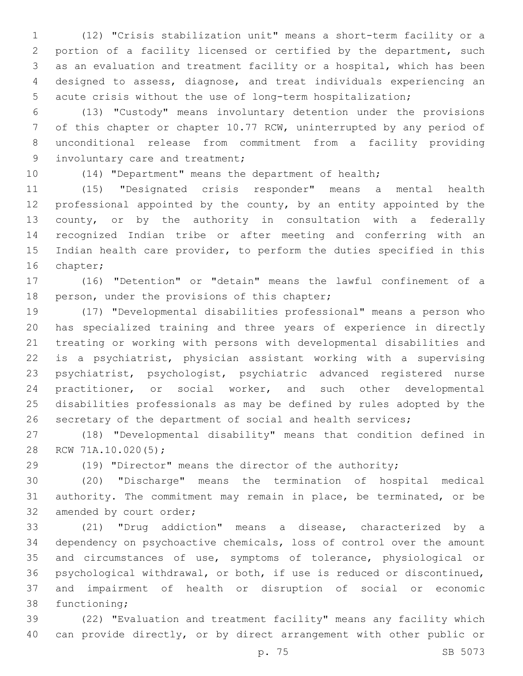(12) "Crisis stabilization unit" means a short-term facility or a portion of a facility licensed or certified by the department, such as an evaluation and treatment facility or a hospital, which has been designed to assess, diagnose, and treat individuals experiencing an acute crisis without the use of long-term hospitalization;

 (13) "Custody" means involuntary detention under the provisions of this chapter or chapter 10.77 RCW, uninterrupted by any period of unconditional release from commitment from a facility providing 9 involuntary care and treatment;

(14) "Department" means the department of health;

 (15) "Designated crisis responder" means a mental health professional appointed by the county, by an entity appointed by the county, or by the authority in consultation with a federally recognized Indian tribe or after meeting and conferring with an Indian health care provider, to perform the duties specified in this 16 chapter;

 (16) "Detention" or "detain" means the lawful confinement of a 18 person, under the provisions of this chapter;

 (17) "Developmental disabilities professional" means a person who has specialized training and three years of experience in directly treating or working with persons with developmental disabilities and is a psychiatrist, physician assistant working with a supervising psychiatrist, psychologist, psychiatric advanced registered nurse practitioner, or social worker, and such other developmental disabilities professionals as may be defined by rules adopted by the 26 secretary of the department of social and health services;

 (18) "Developmental disability" means that condition defined in 28 RCW 71A.10.020(5);

(19) "Director" means the director of the authority;

 (20) "Discharge" means the termination of hospital medical authority. The commitment may remain in place, be terminated, or be 32 amended by court order;

 (21) "Drug addiction" means a disease, characterized by a dependency on psychoactive chemicals, loss of control over the amount and circumstances of use, symptoms of tolerance, physiological or psychological withdrawal, or both, if use is reduced or discontinued, and impairment of health or disruption of social or economic 38 functioning;

 (22) "Evaluation and treatment facility" means any facility which can provide directly, or by direct arrangement with other public or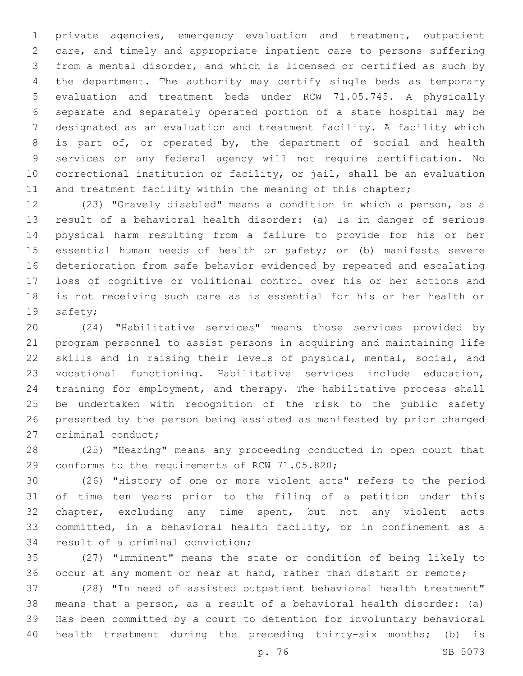private agencies, emergency evaluation and treatment, outpatient care, and timely and appropriate inpatient care to persons suffering from a mental disorder, and which is licensed or certified as such by the department. The authority may certify single beds as temporary evaluation and treatment beds under RCW 71.05.745. A physically separate and separately operated portion of a state hospital may be designated as an evaluation and treatment facility. A facility which is part of, or operated by, the department of social and health services or any federal agency will not require certification. No correctional institution or facility, or jail, shall be an evaluation 11 and treatment facility within the meaning of this chapter;

 (23) "Gravely disabled" means a condition in which a person, as a result of a behavioral health disorder: (a) Is in danger of serious physical harm resulting from a failure to provide for his or her essential human needs of health or safety; or (b) manifests severe deterioration from safe behavior evidenced by repeated and escalating loss of cognitive or volitional control over his or her actions and is not receiving such care as is essential for his or her health or 19 safety;

 (24) "Habilitative services" means those services provided by program personnel to assist persons in acquiring and maintaining life skills and in raising their levels of physical, mental, social, and vocational functioning. Habilitative services include education, training for employment, and therapy. The habilitative process shall be undertaken with recognition of the risk to the public safety presented by the person being assisted as manifested by prior charged 27 criminal conduct;

 (25) "Hearing" means any proceeding conducted in open court that 29 conforms to the requirements of RCW 71.05.820;

 (26) "History of one or more violent acts" refers to the period of time ten years prior to the filing of a petition under this chapter, excluding any time spent, but not any violent acts committed, in a behavioral health facility, or in confinement as a 34 result of a criminal conviction;

 (27) "Imminent" means the state or condition of being likely to 36 occur at any moment or near at hand, rather than distant or remote;

 (28) "In need of assisted outpatient behavioral health treatment" means that a person, as a result of a behavioral health disorder: (a) Has been committed by a court to detention for involuntary behavioral health treatment during the preceding thirty-six months; (b) is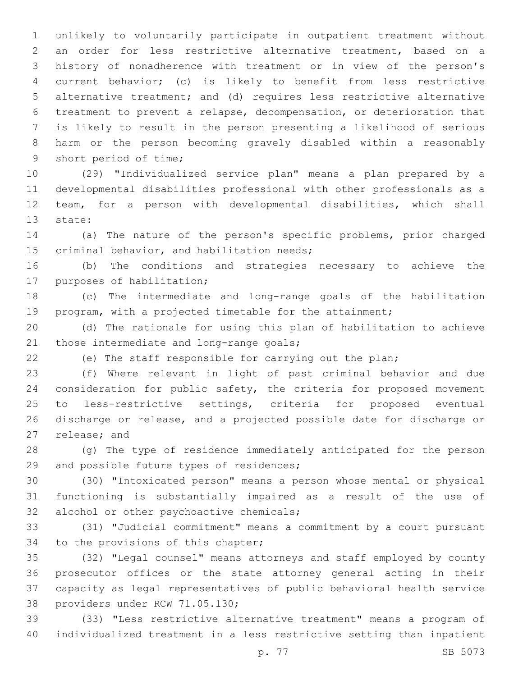unlikely to voluntarily participate in outpatient treatment without an order for less restrictive alternative treatment, based on a history of nonadherence with treatment or in view of the person's current behavior; (c) is likely to benefit from less restrictive alternative treatment; and (d) requires less restrictive alternative treatment to prevent a relapse, decompensation, or deterioration that is likely to result in the person presenting a likelihood of serious harm or the person becoming gravely disabled within a reasonably 9 short period of time;

 (29) "Individualized service plan" means a plan prepared by a developmental disabilities professional with other professionals as a team, for a person with developmental disabilities, which shall 13 state:

 (a) The nature of the person's specific problems, prior charged 15 criminal behavior, and habilitation needs;

 (b) The conditions and strategies necessary to achieve the 17 purposes of habilitation;

 (c) The intermediate and long-range goals of the habilitation program, with a projected timetable for the attainment;

 (d) The rationale for using this plan of habilitation to achieve 21 those intermediate and long-range goals;

(e) The staff responsible for carrying out the plan;

 (f) Where relevant in light of past criminal behavior and due consideration for public safety, the criteria for proposed movement to less-restrictive settings, criteria for proposed eventual discharge or release, and a projected possible date for discharge or 27 release; and

 (g) The type of residence immediately anticipated for the person 29 and possible future types of residences;

 (30) "Intoxicated person" means a person whose mental or physical functioning is substantially impaired as a result of the use of 32 alcohol or other psychoactive chemicals;

 (31) "Judicial commitment" means a commitment by a court pursuant 34 to the provisions of this chapter;

 (32) "Legal counsel" means attorneys and staff employed by county prosecutor offices or the state attorney general acting in their capacity as legal representatives of public behavioral health service 38 providers under RCW 71.05.130;

 (33) "Less restrictive alternative treatment" means a program of individualized treatment in a less restrictive setting than inpatient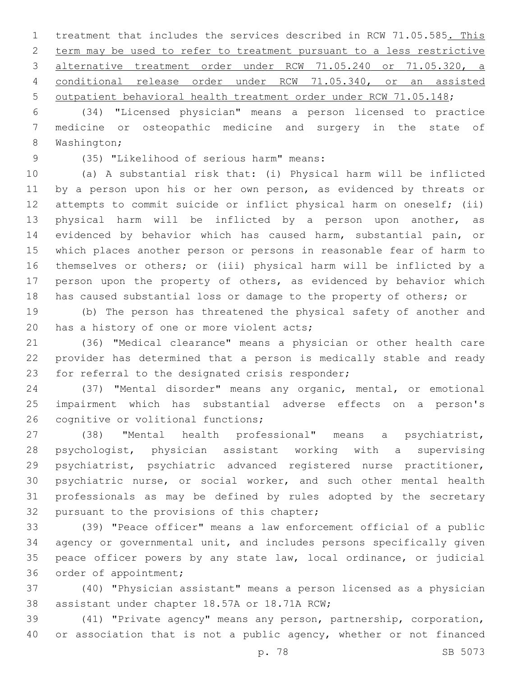1 treatment that includes the services described in RCW 71.05.585. This term may be used to refer to treatment pursuant to a less restrictive alternative treatment order under RCW 71.05.240 or 71.05.320, a conditional release order under RCW 71.05.340, or an assisted outpatient behavioral health treatment order under RCW 71.05.148;

 (34) "Licensed physician" means a person licensed to practice medicine or osteopathic medicine and surgery in the state of 8 Washington;

(35) "Likelihood of serious harm" means:9

 (a) A substantial risk that: (i) Physical harm will be inflicted 11 by a person upon his or her own person, as evidenced by threats or attempts to commit suicide or inflict physical harm on oneself; (ii) physical harm will be inflicted by a person upon another, as evidenced by behavior which has caused harm, substantial pain, or which places another person or persons in reasonable fear of harm to themselves or others; or (iii) physical harm will be inflicted by a person upon the property of others, as evidenced by behavior which has caused substantial loss or damage to the property of others; or

 (b) The person has threatened the physical safety of another and 20 has a history of one or more violent acts;

 (36) "Medical clearance" means a physician or other health care provider has determined that a person is medically stable and ready 23 for referral to the designated crisis responder;

 (37) "Mental disorder" means any organic, mental, or emotional impairment which has substantial adverse effects on a person's 26 cognitive or volitional functions;

 (38) "Mental health professional" means a psychiatrist, psychologist, physician assistant working with a supervising psychiatrist, psychiatric advanced registered nurse practitioner, psychiatric nurse, or social worker, and such other mental health professionals as may be defined by rules adopted by the secretary 32 pursuant to the provisions of this chapter;

 (39) "Peace officer" means a law enforcement official of a public agency or governmental unit, and includes persons specifically given peace officer powers by any state law, local ordinance, or judicial 36 order of appointment;

 (40) "Physician assistant" means a person licensed as a physician 38 assistant under chapter 18.57A or 18.71A RCW;

 (41) "Private agency" means any person, partnership, corporation, 40 or association that is not a public agency, whether or not financed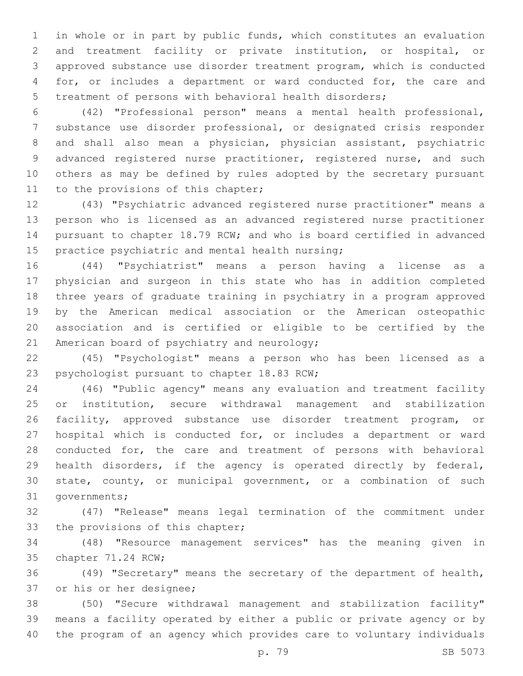in whole or in part by public funds, which constitutes an evaluation and treatment facility or private institution, or hospital, or approved substance use disorder treatment program, which is conducted for, or includes a department or ward conducted for, the care and treatment of persons with behavioral health disorders;

 (42) "Professional person" means a mental health professional, substance use disorder professional, or designated crisis responder and shall also mean a physician, physician assistant, psychiatric advanced registered nurse practitioner, registered nurse, and such others as may be defined by rules adopted by the secretary pursuant 11 to the provisions of this chapter;

 (43) "Psychiatric advanced registered nurse practitioner" means a person who is licensed as an advanced registered nurse practitioner pursuant to chapter 18.79 RCW; and who is board certified in advanced 15 practice psychiatric and mental health nursing;

 (44) "Psychiatrist" means a person having a license as a physician and surgeon in this state who has in addition completed three years of graduate training in psychiatry in a program approved by the American medical association or the American osteopathic association and is certified or eligible to be certified by the 21 American board of psychiatry and neurology;

 (45) "Psychologist" means a person who has been licensed as a 23 psychologist pursuant to chapter 18.83 RCW;

 (46) "Public agency" means any evaluation and treatment facility or institution, secure withdrawal management and stabilization facility, approved substance use disorder treatment program, or hospital which is conducted for, or includes a department or ward conducted for, the care and treatment of persons with behavioral health disorders, if the agency is operated directly by federal, state, county, or municipal government, or a combination of such 31 governments;

 (47) "Release" means legal termination of the commitment under 33 the provisions of this chapter;

 (48) "Resource management services" has the meaning given in 35 chapter 71.24 RCW;

 (49) "Secretary" means the secretary of the department of health, 37 or his or her designee;

 (50) "Secure withdrawal management and stabilization facility" means a facility operated by either a public or private agency or by the program of an agency which provides care to voluntary individuals

p. 79 SB 5073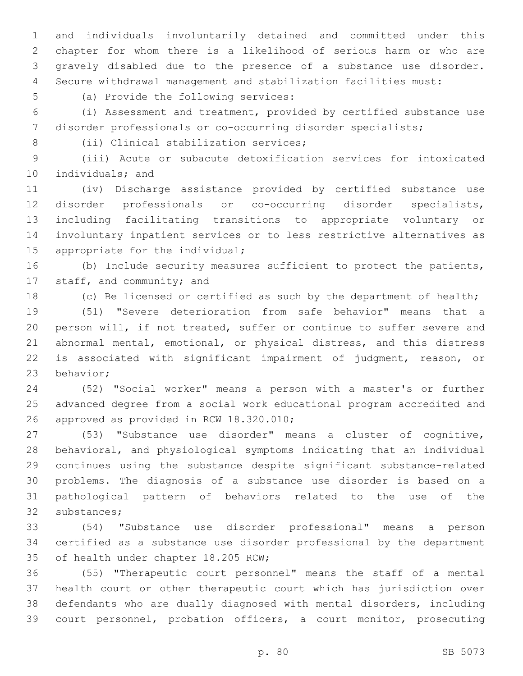and individuals involuntarily detained and committed under this chapter for whom there is a likelihood of serious harm or who are gravely disabled due to the presence of a substance use disorder. Secure withdrawal management and stabilization facilities must:

5 (a) Provide the following services:

 (i) Assessment and treatment, provided by certified substance use disorder professionals or co-occurring disorder specialists;

8 (ii) Clinical stabilization services;

 (iii) Acute or subacute detoxification services for intoxicated 10 individuals; and

 (iv) Discharge assistance provided by certified substance use disorder professionals or co-occurring disorder specialists, including facilitating transitions to appropriate voluntary or involuntary inpatient services or to less restrictive alternatives as 15 appropriate for the individual;

 (b) Include security measures sufficient to protect the patients, 17 staff, and community; and

(c) Be licensed or certified as such by the department of health;

 (51) "Severe deterioration from safe behavior" means that a person will, if not treated, suffer or continue to suffer severe and abnormal mental, emotional, or physical distress, and this distress is associated with significant impairment of judgment, reason, or 23 behavior;

 (52) "Social worker" means a person with a master's or further advanced degree from a social work educational program accredited and 26 approved as provided in RCW 18.320.010;

 (53) "Substance use disorder" means a cluster of cognitive, behavioral, and physiological symptoms indicating that an individual continues using the substance despite significant substance-related problems. The diagnosis of a substance use disorder is based on a pathological pattern of behaviors related to the use of the 32 substances;

 (54) "Substance use disorder professional" means a person certified as a substance use disorder professional by the department 35 of health under chapter 18.205 RCW;

 (55) "Therapeutic court personnel" means the staff of a mental health court or other therapeutic court which has jurisdiction over defendants who are dually diagnosed with mental disorders, including court personnel, probation officers, a court monitor, prosecuting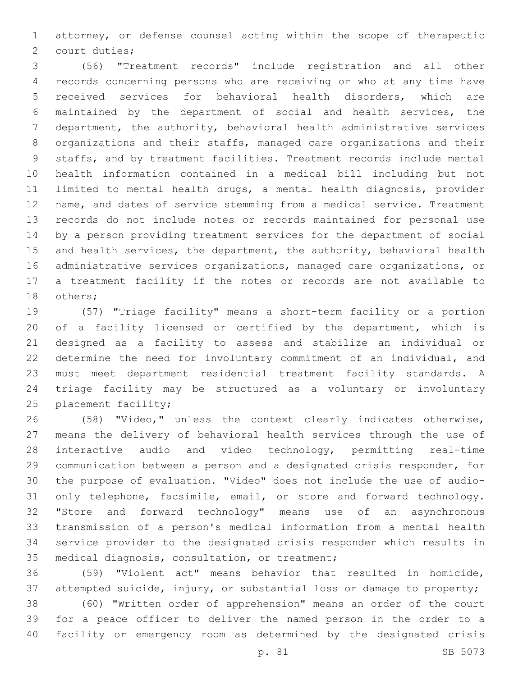attorney, or defense counsel acting within the scope of therapeutic 2 court duties;

 (56) "Treatment records" include registration and all other records concerning persons who are receiving or who at any time have received services for behavioral health disorders, which are maintained by the department of social and health services, the department, the authority, behavioral health administrative services organizations and their staffs, managed care organizations and their staffs, and by treatment facilities. Treatment records include mental health information contained in a medical bill including but not limited to mental health drugs, a mental health diagnosis, provider name, and dates of service stemming from a medical service. Treatment records do not include notes or records maintained for personal use by a person providing treatment services for the department of social 15 and health services, the department, the authority, behavioral health administrative services organizations, managed care organizations, or a treatment facility if the notes or records are not available to 18 others;

 (57) "Triage facility" means a short-term facility or a portion of a facility licensed or certified by the department, which is designed as a facility to assess and stabilize an individual or determine the need for involuntary commitment of an individual, and must meet department residential treatment facility standards. A triage facility may be structured as a voluntary or involuntary 25 placement facility;

 (58) "Video," unless the context clearly indicates otherwise, means the delivery of behavioral health services through the use of interactive audio and video technology, permitting real-time communication between a person and a designated crisis responder, for the purpose of evaluation. "Video" does not include the use of audio- only telephone, facsimile, email, or store and forward technology. "Store and forward technology" means use of an asynchronous transmission of a person's medical information from a mental health service provider to the designated crisis responder which results in 35 medical diagnosis, consultation, or treatment;

 (59) "Violent act" means behavior that resulted in homicide, attempted suicide, injury, or substantial loss or damage to property;

 (60) "Written order of apprehension" means an order of the court for a peace officer to deliver the named person in the order to a facility or emergency room as determined by the designated crisis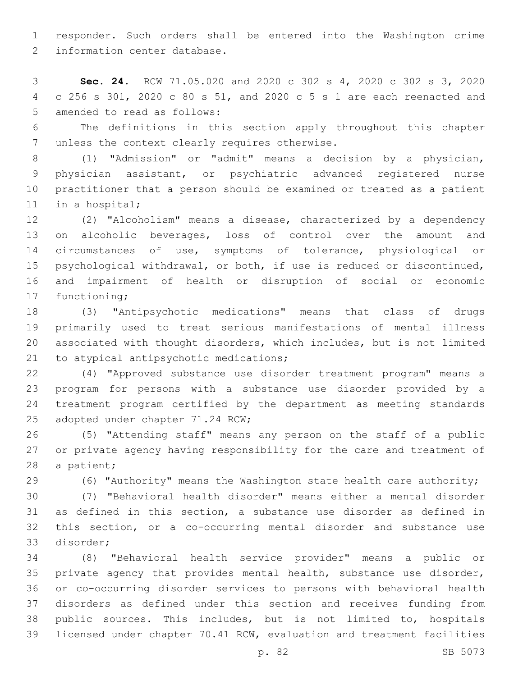responder. Such orders shall be entered into the Washington crime 2 information center database.

 **Sec. 24.** RCW 71.05.020 and 2020 c 302 s 4, 2020 c 302 s 3, 2020 c 256 s 301, 2020 c 80 s 51, and 2020 c 5 s 1 are each reenacted and 5 amended to read as follows:

 The definitions in this section apply throughout this chapter 7 unless the context clearly requires otherwise.

 (1) "Admission" or "admit" means a decision by a physician, physician assistant, or psychiatric advanced registered nurse practitioner that a person should be examined or treated as a patient 11 in a hospital;

 (2) "Alcoholism" means a disease, characterized by a dependency on alcoholic beverages, loss of control over the amount and circumstances of use, symptoms of tolerance, physiological or psychological withdrawal, or both, if use is reduced or discontinued, and impairment of health or disruption of social or economic 17 functioning;

 (3) "Antipsychotic medications" means that class of drugs primarily used to treat serious manifestations of mental illness associated with thought disorders, which includes, but is not limited 21 to atypical antipsychotic medications;

 (4) "Approved substance use disorder treatment program" means a program for persons with a substance use disorder provided by a treatment program certified by the department as meeting standards 25 adopted under chapter 71.24 RCW;

 (5) "Attending staff" means any person on the staff of a public or private agency having responsibility for the care and treatment of 28 a patient;

(6) "Authority" means the Washington state health care authority;

 (7) "Behavioral health disorder" means either a mental disorder as defined in this section, a substance use disorder as defined in this section, or a co-occurring mental disorder and substance use disorder;33

 (8) "Behavioral health service provider" means a public or 35 private agency that provides mental health, substance use disorder, or co-occurring disorder services to persons with behavioral health disorders as defined under this section and receives funding from public sources. This includes, but is not limited to, hospitals licensed under chapter 70.41 RCW, evaluation and treatment facilities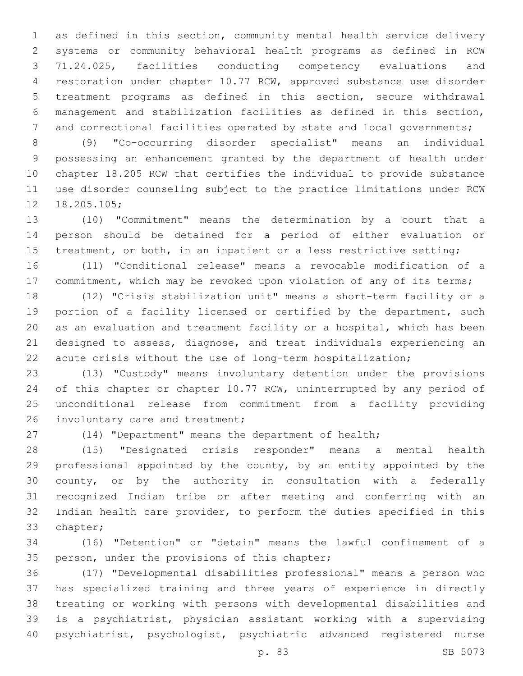as defined in this section, community mental health service delivery systems or community behavioral health programs as defined in RCW 71.24.025, facilities conducting competency evaluations and restoration under chapter 10.77 RCW, approved substance use disorder treatment programs as defined in this section, secure withdrawal management and stabilization facilities as defined in this section, and correctional facilities operated by state and local governments;

 (9) "Co-occurring disorder specialist" means an individual possessing an enhancement granted by the department of health under chapter 18.205 RCW that certifies the individual to provide substance use disorder counseling subject to the practice limitations under RCW 12 18.205.105;

 (10) "Commitment" means the determination by a court that a person should be detained for a period of either evaluation or 15 treatment, or both, in an inpatient or a less restrictive setting;

 (11) "Conditional release" means a revocable modification of a 17 commitment, which may be revoked upon violation of any of its terms;

 (12) "Crisis stabilization unit" means a short-term facility or a portion of a facility licensed or certified by the department, such as an evaluation and treatment facility or a hospital, which has been designed to assess, diagnose, and treat individuals experiencing an acute crisis without the use of long-term hospitalization;

 (13) "Custody" means involuntary detention under the provisions 24 of this chapter or chapter 10.77 RCW, uninterrupted by any period of unconditional release from commitment from a facility providing 26 involuntary care and treatment;

(14) "Department" means the department of health;

 (15) "Designated crisis responder" means a mental health professional appointed by the county, by an entity appointed by the county, or by the authority in consultation with a federally recognized Indian tribe or after meeting and conferring with an Indian health care provider, to perform the duties specified in this 33 chapter;

 (16) "Detention" or "detain" means the lawful confinement of a 35 person, under the provisions of this chapter;

 (17) "Developmental disabilities professional" means a person who has specialized training and three years of experience in directly treating or working with persons with developmental disabilities and is a psychiatrist, physician assistant working with a supervising psychiatrist, psychologist, psychiatric advanced registered nurse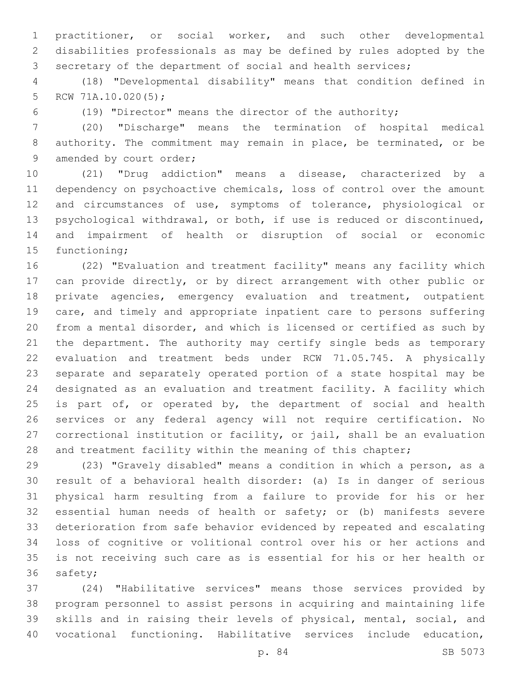practitioner, or social worker, and such other developmental disabilities professionals as may be defined by rules adopted by the secretary of the department of social and health services;

 (18) "Developmental disability" means that condition defined in 5 RCW  $71A.10.020(5)$ ;

(19) "Director" means the director of the authority;

 (20) "Discharge" means the termination of hospital medical authority. The commitment may remain in place, be terminated, or be 9 amended by court order;

 (21) "Drug addiction" means a disease, characterized by a dependency on psychoactive chemicals, loss of control over the amount and circumstances of use, symptoms of tolerance, physiological or psychological withdrawal, or both, if use is reduced or discontinued, and impairment of health or disruption of social or economic 15 functioning;

 (22) "Evaluation and treatment facility" means any facility which can provide directly, or by direct arrangement with other public or private agencies, emergency evaluation and treatment, outpatient care, and timely and appropriate inpatient care to persons suffering from a mental disorder, and which is licensed or certified as such by the department. The authority may certify single beds as temporary evaluation and treatment beds under RCW 71.05.745. A physically separate and separately operated portion of a state hospital may be designated as an evaluation and treatment facility. A facility which 25 is part of, or operated by, the department of social and health services or any federal agency will not require certification. No correctional institution or facility, or jail, shall be an evaluation 28 and treatment facility within the meaning of this chapter;

 (23) "Gravely disabled" means a condition in which a person, as a result of a behavioral health disorder: (a) Is in danger of serious physical harm resulting from a failure to provide for his or her essential human needs of health or safety; or (b) manifests severe deterioration from safe behavior evidenced by repeated and escalating loss of cognitive or volitional control over his or her actions and is not receiving such care as is essential for his or her health or 36 safety;

 (24) "Habilitative services" means those services provided by program personnel to assist persons in acquiring and maintaining life skills and in raising their levels of physical, mental, social, and vocational functioning. Habilitative services include education,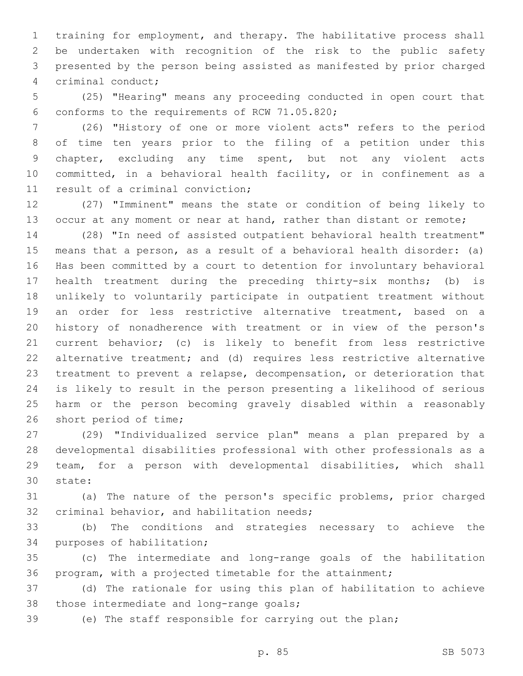training for employment, and therapy. The habilitative process shall be undertaken with recognition of the risk to the public safety presented by the person being assisted as manifested by prior charged 4 criminal conduct;

 (25) "Hearing" means any proceeding conducted in open court that 6 conforms to the requirements of RCW 71.05.820;

 (26) "History of one or more violent acts" refers to the period of time ten years prior to the filing of a petition under this chapter, excluding any time spent, but not any violent acts committed, in a behavioral health facility, or in confinement as a 11 result of a criminal conviction;

 (27) "Imminent" means the state or condition of being likely to 13 occur at any moment or near at hand, rather than distant or remote;

 (28) "In need of assisted outpatient behavioral health treatment" means that a person, as a result of a behavioral health disorder: (a) Has been committed by a court to detention for involuntary behavioral health treatment during the preceding thirty-six months; (b) is unlikely to voluntarily participate in outpatient treatment without an order for less restrictive alternative treatment, based on a history of nonadherence with treatment or in view of the person's current behavior; (c) is likely to benefit from less restrictive alternative treatment; and (d) requires less restrictive alternative treatment to prevent a relapse, decompensation, or deterioration that is likely to result in the person presenting a likelihood of serious harm or the person becoming gravely disabled within a reasonably 26 short period of time;

 (29) "Individualized service plan" means a plan prepared by a developmental disabilities professional with other professionals as a team, for a person with developmental disabilities, which shall state:30

 (a) The nature of the person's specific problems, prior charged 32 criminal behavior, and habilitation needs;

 (b) The conditions and strategies necessary to achieve the 34 purposes of habilitation;

 (c) The intermediate and long-range goals of the habilitation program, with a projected timetable for the attainment;

 (d) The rationale for using this plan of habilitation to achieve 38 those intermediate and long-range goals;

(e) The staff responsible for carrying out the plan;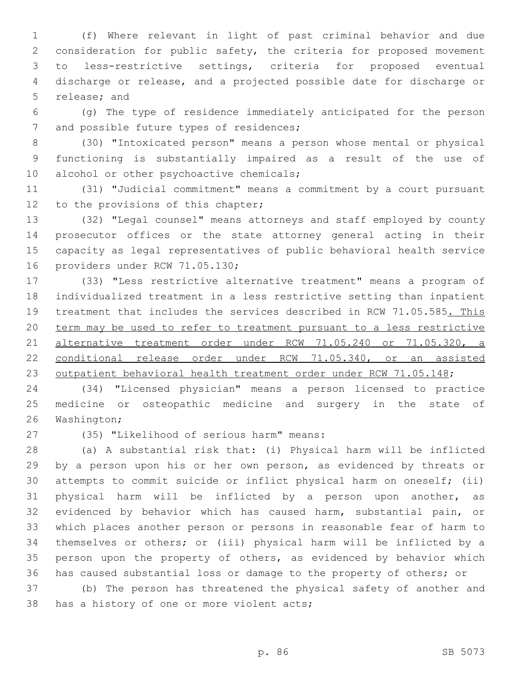(f) Where relevant in light of past criminal behavior and due consideration for public safety, the criteria for proposed movement to less-restrictive settings, criteria for proposed eventual discharge or release, and a projected possible date for discharge or 5 release; and

 (g) The type of residence immediately anticipated for the person 7 and possible future types of residences;

 (30) "Intoxicated person" means a person whose mental or physical functioning is substantially impaired as a result of the use of 10 alcohol or other psychoactive chemicals;

 (31) "Judicial commitment" means a commitment by a court pursuant 12 to the provisions of this chapter;

 (32) "Legal counsel" means attorneys and staff employed by county prosecutor offices or the state attorney general acting in their capacity as legal representatives of public behavioral health service 16 providers under RCW 71.05.130;

 (33) "Less restrictive alternative treatment" means a program of individualized treatment in a less restrictive setting than inpatient 19 treatment that includes the services described in RCW 71.05.585. This term may be used to refer to treatment pursuant to a less restrictive alternative treatment order under RCW 71.05.240 or 71.05.320, a conditional release order under RCW 71.05.340, or an assisted 23 outpatient behavioral health treatment order under RCW 71.05.148;

 (34) "Licensed physician" means a person licensed to practice medicine or osteopathic medicine and surgery in the state of 26 Washington;

(35) "Likelihood of serious harm" means:27

 (a) A substantial risk that: (i) Physical harm will be inflicted 29 by a person upon his or her own person, as evidenced by threats or attempts to commit suicide or inflict physical harm on oneself; (ii) physical harm will be inflicted by a person upon another, as evidenced by behavior which has caused harm, substantial pain, or which places another person or persons in reasonable fear of harm to themselves or others; or (iii) physical harm will be inflicted by a person upon the property of others, as evidenced by behavior which has caused substantial loss or damage to the property of others; or

 (b) The person has threatened the physical safety of another and 38 has a history of one or more violent acts;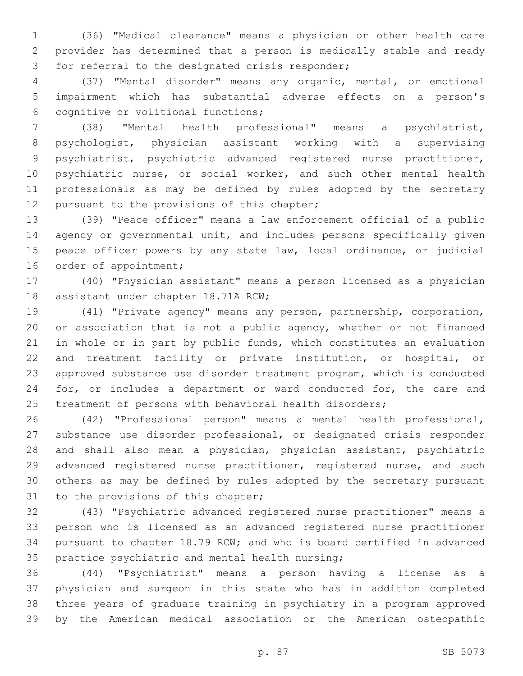(36) "Medical clearance" means a physician or other health care provider has determined that a person is medically stable and ready 3 for referral to the designated crisis responder;

 (37) "Mental disorder" means any organic, mental, or emotional impairment which has substantial adverse effects on a person's cognitive or volitional functions;6

 (38) "Mental health professional" means a psychiatrist, psychologist, physician assistant working with a supervising psychiatrist, psychiatric advanced registered nurse practitioner, psychiatric nurse, or social worker, and such other mental health professionals as may be defined by rules adopted by the secretary 12 pursuant to the provisions of this chapter;

 (39) "Peace officer" means a law enforcement official of a public 14 agency or governmental unit, and includes persons specifically given peace officer powers by any state law, local ordinance, or judicial 16 order of appointment;

 (40) "Physician assistant" means a person licensed as a physician 18 assistant under chapter 18.71A RCW;

 (41) "Private agency" means any person, partnership, corporation, or association that is not a public agency, whether or not financed in whole or in part by public funds, which constitutes an evaluation and treatment facility or private institution, or hospital, or approved substance use disorder treatment program, which is conducted 24 for, or includes a department or ward conducted for, the care and 25 treatment of persons with behavioral health disorders;

 (42) "Professional person" means a mental health professional, substance use disorder professional, or designated crisis responder and shall also mean a physician, physician assistant, psychiatric 29 advanced registered nurse practitioner, registered nurse, and such others as may be defined by rules adopted by the secretary pursuant 31 to the provisions of this chapter;

 (43) "Psychiatric advanced registered nurse practitioner" means a person who is licensed as an advanced registered nurse practitioner pursuant to chapter 18.79 RCW; and who is board certified in advanced 35 practice psychiatric and mental health nursing;

 (44) "Psychiatrist" means a person having a license as a physician and surgeon in this state who has in addition completed three years of graduate training in psychiatry in a program approved by the American medical association or the American osteopathic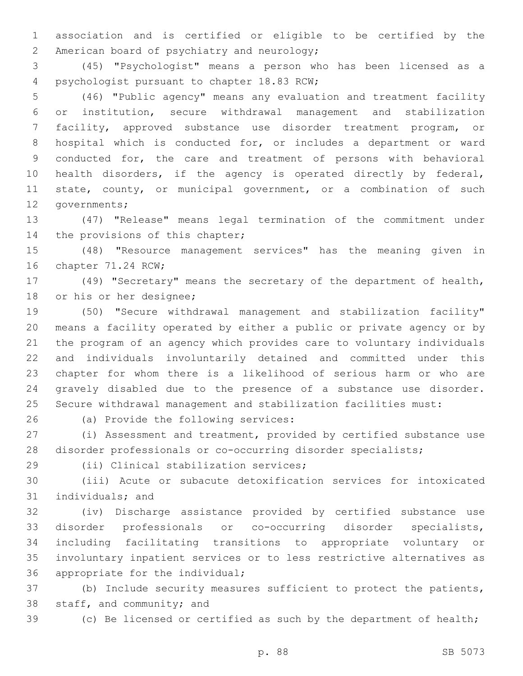association and is certified or eligible to be certified by the 2 American board of psychiatry and neurology;

 (45) "Psychologist" means a person who has been licensed as a 4 psychologist pursuant to chapter 18.83 RCW;

 (46) "Public agency" means any evaluation and treatment facility or institution, secure withdrawal management and stabilization facility, approved substance use disorder treatment program, or hospital which is conducted for, or includes a department or ward conducted for, the care and treatment of persons with behavioral health disorders, if the agency is operated directly by federal, 11 state, county, or municipal government, or a combination of such 12 governments;

 (47) "Release" means legal termination of the commitment under 14 the provisions of this chapter;

 (48) "Resource management services" has the meaning given in 16 chapter 71.24 RCW;

 (49) "Secretary" means the secretary of the department of health, 18 or his or her designee;

 (50) "Secure withdrawal management and stabilization facility" means a facility operated by either a public or private agency or by the program of an agency which provides care to voluntary individuals and individuals involuntarily detained and committed under this chapter for whom there is a likelihood of serious harm or who are gravely disabled due to the presence of a substance use disorder. Secure withdrawal management and stabilization facilities must:

26 (a) Provide the following services:

 (i) Assessment and treatment, provided by certified substance use disorder professionals or co-occurring disorder specialists;

(ii) Clinical stabilization services;29

 (iii) Acute or subacute detoxification services for intoxicated 31 individuals; and

 (iv) Discharge assistance provided by certified substance use disorder professionals or co-occurring disorder specialists, including facilitating transitions to appropriate voluntary or involuntary inpatient services or to less restrictive alternatives as 36 appropriate for the individual;

 (b) Include security measures sufficient to protect the patients, 38 staff, and community; and

(c) Be licensed or certified as such by the department of health;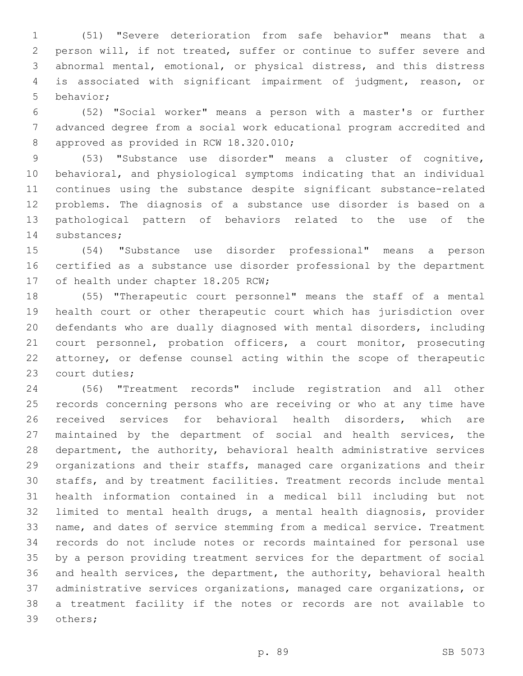(51) "Severe deterioration from safe behavior" means that a person will, if not treated, suffer or continue to suffer severe and abnormal mental, emotional, or physical distress, and this distress is associated with significant impairment of judgment, reason, or 5 behavior:

 (52) "Social worker" means a person with a master's or further advanced degree from a social work educational program accredited and 8 approved as provided in RCW 18.320.010;

 (53) "Substance use disorder" means a cluster of cognitive, behavioral, and physiological symptoms indicating that an individual continues using the substance despite significant substance-related problems. The diagnosis of a substance use disorder is based on a pathological pattern of behaviors related to the use of the 14 substances;

 (54) "Substance use disorder professional" means a person certified as a substance use disorder professional by the department 17 of health under chapter 18.205 RCW;

 (55) "Therapeutic court personnel" means the staff of a mental health court or other therapeutic court which has jurisdiction over defendants who are dually diagnosed with mental disorders, including court personnel, probation officers, a court monitor, prosecuting attorney, or defense counsel acting within the scope of therapeutic 23 court duties;

 (56) "Treatment records" include registration and all other records concerning persons who are receiving or who at any time have received services for behavioral health disorders, which are 27 maintained by the department of social and health services, the department, the authority, behavioral health administrative services organizations and their staffs, managed care organizations and their staffs, and by treatment facilities. Treatment records include mental health information contained in a medical bill including but not limited to mental health drugs, a mental health diagnosis, provider name, and dates of service stemming from a medical service. Treatment records do not include notes or records maintained for personal use by a person providing treatment services for the department of social and health services, the department, the authority, behavioral health administrative services organizations, managed care organizations, or a treatment facility if the notes or records are not available to 39 others;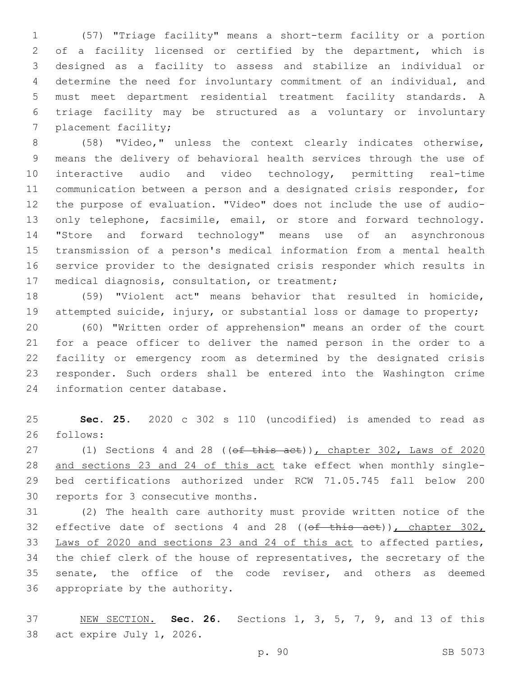(57) "Triage facility" means a short-term facility or a portion of a facility licensed or certified by the department, which is designed as a facility to assess and stabilize an individual or determine the need for involuntary commitment of an individual, and must meet department residential treatment facility standards. A triage facility may be structured as a voluntary or involuntary 7 placement facility;

 (58) "Video," unless the context clearly indicates otherwise, means the delivery of behavioral health services through the use of interactive audio and video technology, permitting real-time communication between a person and a designated crisis responder, for the purpose of evaluation. "Video" does not include the use of audio-13 only telephone, facsimile, email, or store and forward technology. "Store and forward technology" means use of an asynchronous transmission of a person's medical information from a mental health service provider to the designated crisis responder which results in 17 medical diagnosis, consultation, or treatment;

 (59) "Violent act" means behavior that resulted in homicide, attempted suicide, injury, or substantial loss or damage to property;

 (60) "Written order of apprehension" means an order of the court for a peace officer to deliver the named person in the order to a facility or emergency room as determined by the designated crisis responder. Such orders shall be entered into the Washington crime 24 information center database.

 **Sec. 25.** 2020 c 302 s 110 (uncodified) is amended to read as 26 follows:

27 (1) Sections 4 and 28 ((of this act)), chapter 302, Laws of 2020 and sections 23 and 24 of this act take effect when monthly single- bed certifications authorized under RCW 71.05.745 fall below 200 30 reports for 3 consecutive months.

 (2) The health care authority must provide written notice of the 32 effective date of sections 4 and 28 ( $(\overline{off}$  this act)), chapter 302, Laws of 2020 and sections 23 and 24 of this act to affected parties, the chief clerk of the house of representatives, the secretary of the 35 senate, the office of the code reviser, and others as deemed 36 appropriate by the authority.

 NEW SECTION. **Sec. 26.** Sections 1, 3, 5, 7, 9, and 13 of this act expire July 1, 2026.